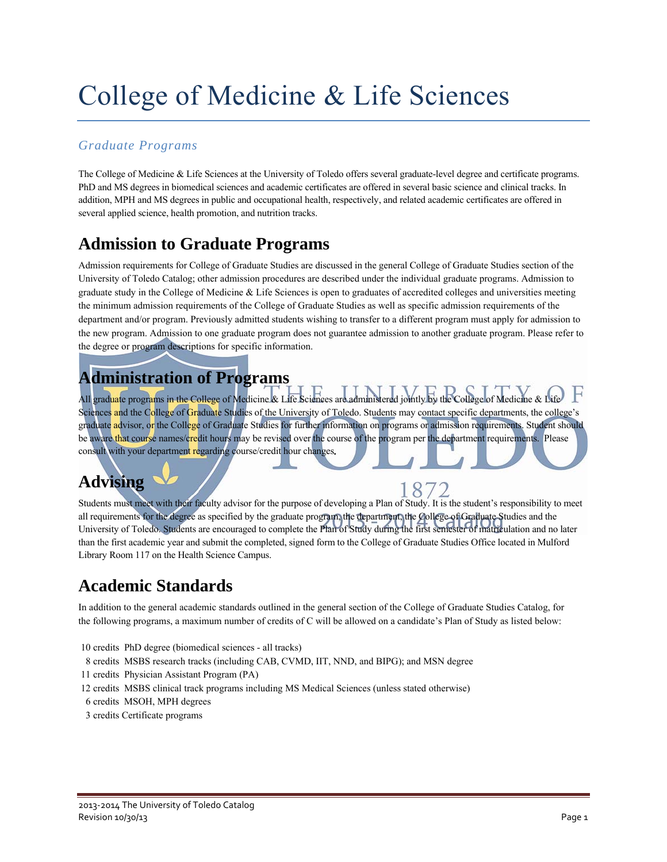# College of Medicine & Life Sciences

### *Graduate Programs*

The College of Medicine & Life Sciences at the University of Toledo offers several graduate-level degree and certificate programs. PhD and MS degrees in biomedical sciences and academic certificates are offered in several basic science and clinical tracks. In addition, MPH and MS degrees in public and occupational health, respectively, and related academic certificates are offered in several applied science, health promotion, and nutrition tracks.

### **Admission to Graduate Programs**

Admission requirements for College of Graduate Studies are discussed in the general College of Graduate Studies section of the University of Toledo Catalog; other admission procedures are described under the individual graduate programs. Admission to graduate study in the College of Medicine & Life Sciences is open to graduates of accredited colleges and universities meeting the minimum admission requirements of the College of Graduate Studies as well as specific admission requirements of the department and/or program. Previously admitted students wishing to transfer to a different program must apply for admission to the new program. Admission to one graduate program does not guarantee admission to another graduate program. Please refer to the degree or program descriptions for specific information.

### **Administration of Programs**

All graduate programs in the College of Medicine & Life Sciences are administered jointly by the College of Medicine & Lift Sciences and the College of Graduate Studies of the University of Toledo. Students may contact specific departments, the college's graduate advisor, or the College of Graduate Studies for further information on programs or admission requirements. Student should be aware that course names/credit hours may be revised over the course of the program per the department requirements. Please consult with your department regarding course/credit hour changes**.**

### **Advising**

Students must meet with their faculty advisor for the purpose of developing a Plan of Study. It is the student's responsibility to meet all requirements for the degree as specified by the graduate program, the department, the College of Graduate Studies and the University of Toledo. Students are encouraged to complete the Plan of Study during the first semester of matriculation and no later than the first academic year and submit the completed, signed form to the College of Graduate Studies Office located in Mulford Library Room 117 on the Health Science Campus.

### **Academic Standards**

In addition to the general academic standards outlined in the general section of the College of Graduate Studies Catalog, for the following programs, a maximum number of credits of C will be allowed on a candidate's Plan of Study as listed below:

- 10 credits PhD degree (biomedical sciences all tracks)
- 8 credits MSBS research tracks (including CAB, CVMD, IIT, NND, and BIPG); and MSN degree
- 11 credits Physician Assistant Program (PA)
- 12 credits MSBS clinical track programs including MS Medical Sciences (unless stated otherwise)
- 6 credits MSOH, MPH degrees
- 3 credits Certificate programs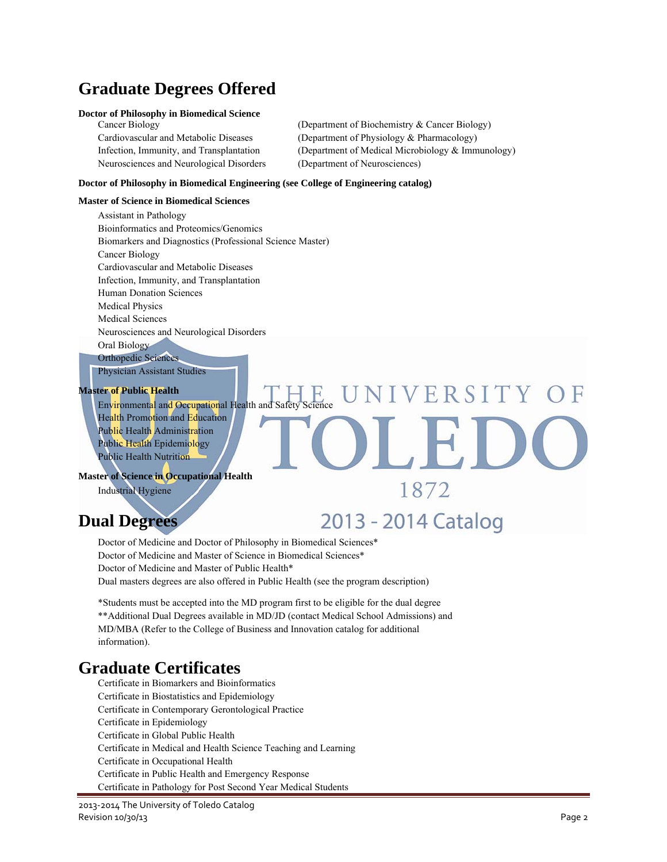### **Graduate Degrees Offered**

#### **Doctor of Philosophy in Biomedical Science**

Neurosciences and Neurological Disorders (Department of Neurosciences)

Cancer Biology (Department of Biochemistry & Cancer Biology) Cardiovascular and Metabolic Diseases (Department of Physiology & Pharmacology) Infection, Immunity, and Transplantation (Department of Medical Microbiology & Immunology)

#### **Doctor of Philosophy in Biomedical Engineering (see College of Engineering catalog)**

#### **Master of Science in Biomedical Sciences**

Assistant in Pathology Bioinformatics and Proteomics/Genomics Biomarkers and Diagnostics (Professional Science Master) Cancer Biology Cardiovascular and Metabolic Diseases Infection, Immunity, and Transplantation Human Donation Sciences Medical Physics Medical Sciences Neurosciences and Neurological Disorders Oral Biology Orthopedic Sciences

Physician Assistant Studies

#### **Master of Public Health**

Environmental and Occupational Health and Safety Health Promotion and Education Public Health Administration Public Health Epidemiology Public Health Nutrition

#### **Master of Science in Occupational Health**

Industrial Hygiene

### **Dual Degrees**

2013 - 2014 Catalog

1872

JNIVERSITY OF

Doctor of Medicine and Doctor of Philosophy in Biomedical Sciences\* Doctor of Medicine and Master of Science in Biomedical Sciences\* Doctor of Medicine and Master of Public Health\* Dual masters degrees are also offered in Public Health (see the program description)

\*Students must be accepted into the MD program first to be eligible for the dual degree \*\*Additional Dual Degrees available in MD/JD (contact Medical School Admissions) and MD/MBA (Refer to the College of Business and Innovation catalog for additional information).

### **Graduate Certificates**

Certificate in Biomarkers and Bioinformatics Certificate in Biostatistics and Epidemiology Certificate in Contemporary Gerontological Practice Certificate in Epidemiology Certificate in Global Public Health Certificate in Medical and Health Science Teaching and Learning Certificate in Occupational Health Certificate in Public Health and Emergency Response Certificate in Pathology for Post Second Year Medical Students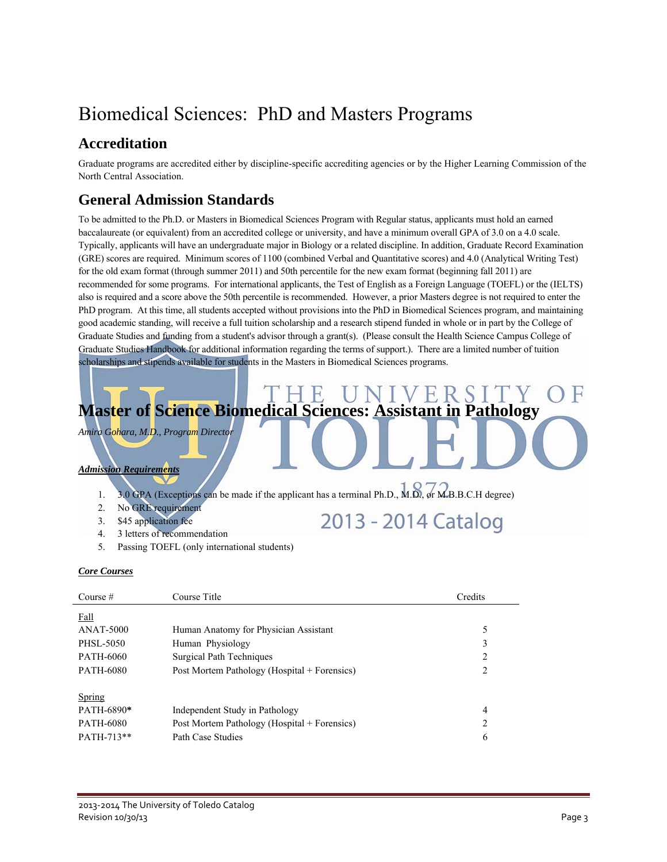# Biomedical Sciences: PhD and Masters Programs

### **Accreditation**

Graduate programs are accredited either by discipline-specific accrediting agencies or by the Higher Learning Commission of the North Central Association.

### **General Admission Standards**

To be admitted to the Ph.D. or Masters in Biomedical Sciences Program with Regular status, applicants must hold an earned baccalaureate (or equivalent) from an accredited college or university, and have a minimum overall GPA of 3.0 on a 4.0 scale. Typically, applicants will have an undergraduate major in Biology or a related discipline. In addition, Graduate Record Examination (GRE) scores are required. Minimum scores of 1100 (combined Verbal and Quantitative scores) and 4.0 (Analytical Writing Test) for the old exam format (through summer 2011) and 50th percentile for the new exam format (beginning fall 2011) are recommended for some programs. For international applicants, the Test of English as a Foreign Language (TOEFL) or the (IELTS) also is required and a score above the 50th percentile is recommended. However, a prior Masters degree is not required to enter the PhD program. At this time, all students accepted without provisions into the PhD in Biomedical Sciences program, and maintaining good academic standing, will receive a full tuition scholarship and a research stipend funded in whole or in part by the College of Graduate Studies and funding from a student's advisor through a grant(s). (Please consult the Health Science Campus College of Graduate Studies Handbook for additional information regarding the terms of support.). There are a limited number of tuition scholarships and stipends available for students in the Masters in Biomedical Sciences programs.



2013 - 2014 Catalog

*Amira Gohara, M.D., Program Director* 

### *Admission Requirements*

- 1. 3.0 GPA (Exceptions can be made if the applicant has a terminal Ph.D., M.D., or M.B.B.C.H degree)
- 2. No GRE requirement
- 3. \$45 application fee
- 4. 3 letters of recommendation
- 5. Passing TOEFL (only international students)

### *Core Courses*

| Course $#$       | Course Title                                 | Credits        |
|------------------|----------------------------------------------|----------------|
| Fall             |                                              |                |
| <b>ANAT-5000</b> | Human Anatomy for Physician Assistant        | 5              |
| PHSL-5050        | Human Physiology                             | 3              |
| PATH-6060        | Surgical Path Techniques                     | $\overline{2}$ |
| <b>PATH-6080</b> | Post Mortem Pathology (Hospital + Forensics) | $\overline{2}$ |
| Spring           |                                              |                |
| PATH-6890*       | Independent Study in Pathology               | 4              |
| <b>PATH-6080</b> | Post Mortem Pathology (Hospital + Forensics) | $\overline{2}$ |
| PATH-713**       | Path Case Studies                            | 6              |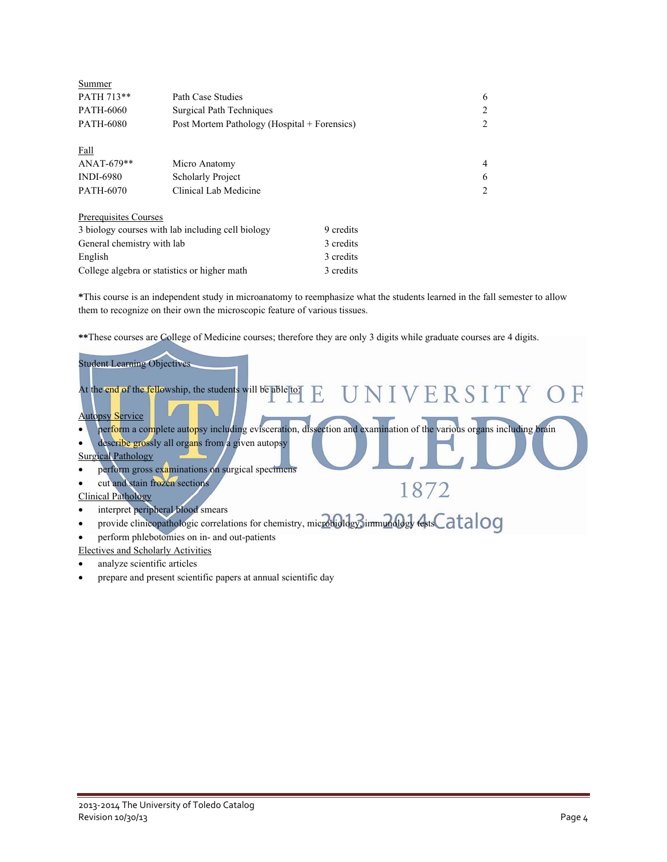| Summer                     |                                                   |           |   |
|----------------------------|---------------------------------------------------|-----------|---|
| PATH 713**                 | Path Case Studies                                 |           | 6 |
| PATH-6060                  | Surgical Path Techniques                          |           | 2 |
| <b>PATH-6080</b>           | Post Mortem Pathology (Hospital + Forensics)      |           | 2 |
| Fall                       |                                                   |           |   |
| $ANAT-679**$               | Micro Anatomy                                     |           | 4 |
| <b>INDI-6980</b>           | <b>Scholarly Project</b>                          |           | 6 |
| PATH-6070                  | Clinical Lab Medicine                             |           | 2 |
| Prerequisites Courses      |                                                   |           |   |
|                            | 3 biology courses with lab including cell biology | 9 credits |   |
| General chemistry with lab |                                                   | 3 credits |   |
| English                    |                                                   | 3 credits |   |
|                            | College algebra or statistics or higher math      | 3 credits |   |

**\***This course is an independent study in microanatomy to reemphasize what the students learned in the fall semester to allow them to recognize on their own the microscopic feature of various tissues.

**\*\***These courses are College of Medicine courses; therefore they are only 3 digits while graduate courses are 4 digits.

| <b>Student Learning Objectives</b>                                                                                                            |  |
|-----------------------------------------------------------------------------------------------------------------------------------------------|--|
| At the end of the fellowship, the students will be able to $E$ $\;\;$ U N I V $\;\!$ R S I T Y $\;\;$ O $\;\!$ F                              |  |
| <b>Autopsy Service</b><br>perform a complete autopsy including evisceration, dissection and examination of the various organs including brain |  |
| describe grossly all organs from a given autopsy<br>$\bullet$<br><b>Surgical Pathology</b>                                                    |  |
| perform gross examinations on surgical specimens                                                                                              |  |
| cut and stain frozen sections<br>1872<br><b>Clinical Pathology</b>                                                                            |  |
| interpret peripheral blood smears<br>provide clinicopathologic correlations for chemistry, microbiology, immunology festsCatalog<br>$\bullet$ |  |
| perform phlebotomies on in- and out-patients<br>٠<br>Electives and Scholarly Activities                                                       |  |
| analyze scientific articles                                                                                                                   |  |

prepare and present scientific papers at annual scientific day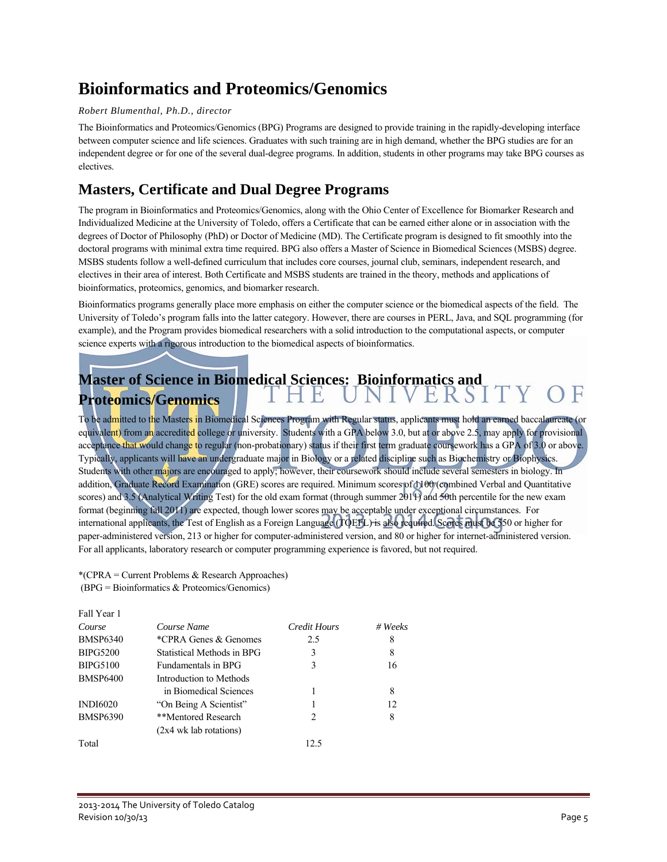### **Bioinformatics and Proteomics/Genomics**

### *Robert Blumenthal, Ph.D., director*

The Bioinformatics and Proteomics/Genomics (BPG) Programs are designed to provide training in the rapidly-developing interface between computer science and life sciences. Graduates with such training are in high demand, whether the BPG studies are for an independent degree or for one of the several dual-degree programs. In addition, students in other programs may take BPG courses as electives.

### **Masters, Certificate and Dual Degree Programs**

The program in Bioinformatics and Proteomics/Genomics, along with the Ohio Center of Excellence for Biomarker Research and Individualized Medicine at the University of Toledo, offers a Certificate that can be earned either alone or in association with the degrees of Doctor of Philosophy (PhD) or Doctor of Medicine (MD). The Certificate program is designed to fit smoothly into the doctoral programs with minimal extra time required. BPG also offers a Master of Science in Biomedical Sciences (MSBS) degree. MSBS students follow a well-defined curriculum that includes core courses, journal club, seminars, independent research, and electives in their area of interest. Both Certificate and MSBS students are trained in the theory, methods and applications of bioinformatics, proteomics, genomics, and biomarker research.

Bioinformatics programs generally place more emphasis on either the computer science or the biomedical aspects of the field. The University of Toledo's program falls into the latter category. However, there are courses in PERL, Java, and SQL programming (for example), and the Program provides biomedical researchers with a solid introduction to the computational aspects, or computer science experts with a rigorous introduction to the biomedical aspects of bioinformatics.

### Master of Science in Biomedical Sciences: Bioinformatics and<br> **THE INIVERSITY Proteomics/Genomics**

To be admitted to the Masters in Biomedical Sciences Program with Regular status, applicants must hold an earned baccalaureate (or equivalent) from an accredited college or university. Students with a GPA below 3.0, but at or above 2.5, may apply for provisional acceptance that would change to regular (non-probationary) status if their first term graduate coursework has a GPA of 3.0 or above. Typically, applicants will have an undergraduate major in Biology or a related discipline such as Biochemistry or Biophysics. Students with other majors are encouraged to apply; however, their coursework should include several semesters in biology. In addition, Graduate Record Examination (GRE) scores are required. Minimum scores of 1100 (combined Verbal and Quantitative scores) and 3.5 (Analytical Writing Test) for the old exam format (through summer  $2011$ ) and  $50th$  percentile for the new exam format (beginning fall 2011) are expected, though lower scores may be acceptable under exceptional circumstances. For international applicants, the Test of English as a Foreign Language (TOEFL) is also required. Scores must be 550 or higher for paper-administered version, 213 or higher for computer-administered version, and 80 or higher for internet-administered version. For all applicants, laboratory research or computer programming experience is favored, but not required.

\*(CPRA = Current Problems & Research Approaches) (BPG = Bioinformatics & Proteomics/Genomics)

 $F_{\rm eff}$ 

| Fall Year I     |                            |                               |             |
|-----------------|----------------------------|-------------------------------|-------------|
| Course          | Course Name                | Credit Hours                  | $# \nWeeks$ |
| <b>BMSP6340</b> | *CPRA Genes & Genomes      | 2.5                           | 8           |
| <b>BIPG5200</b> | Statistical Methods in BPG | 3                             | 8           |
| <b>BIPG5100</b> | Fundamentals in BPG        | 3                             | 16          |
| <b>BMSP6400</b> | Introduction to Methods    |                               |             |
|                 | in Biomedical Sciences     |                               | 8           |
| <b>INDI6020</b> | "On Being A Scientist"     |                               | 12          |
| <b>BMSP6390</b> | **Mentored Research        | $\mathfrak{D}_{\mathfrak{p}}$ | 8           |
|                 | $(2x4)$ wk lab rotations)  |                               |             |
| Total           |                            | 12.5                          |             |
|                 |                            |                               |             |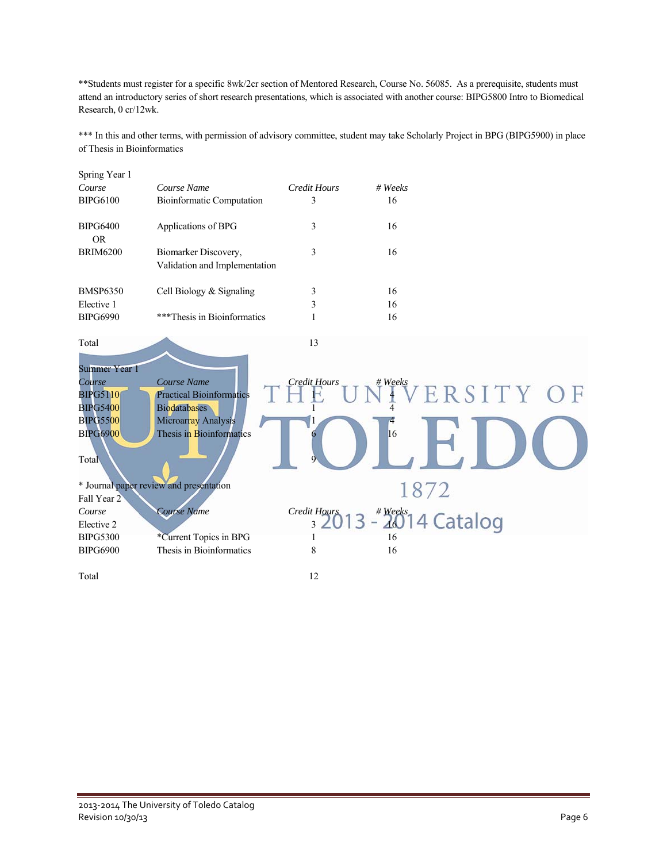\*\*Students must register for a specific 8wk/2cr section of Mentored Research, Course No. 56085. As a prerequisite, students must attend an introductory series of short research presentations, which is associated with another course: BIPG5800 Intro to Biomedical Research, 0 cr/12wk.

\*\*\* In this and other terms, with permission of advisory committee, student may take Scholarly Project in BPG (BIPG5900) in place of Thesis in Bioinformatics

| Spring Year 1                |                                                       |                     |         |                            |  |
|------------------------------|-------------------------------------------------------|---------------------|---------|----------------------------|--|
| Course                       | Course Name                                           | <b>Credit Hours</b> | # Weeks |                            |  |
| <b>BIPG6100</b>              | <b>Bioinformatic Computation</b>                      | 3                   | 16      |                            |  |
| <b>BIPG6400</b><br><b>OR</b> | Applications of BPG                                   | 3                   | 16      |                            |  |
| <b>BRIM6200</b>              | Biomarker Discovery,<br>Validation and Implementation | 3                   | 16      |                            |  |
| <b>BMSP6350</b>              | Cell Biology & Signaling                              | 3                   | 16      |                            |  |
| Elective 1                   |                                                       | 3                   | 16      |                            |  |
| <b>BIPG6990</b>              | ***Thesis in Bioinformatics                           | 1                   | 16      |                            |  |
| Total                        |                                                       | 13                  |         |                            |  |
| <b>Summer Year 1</b>         |                                                       |                     |         |                            |  |
| Course                       | Course Name                                           | <b>Credit Hours</b> | # Weeks |                            |  |
| <b>BIPG5110</b>              | <b>Practical Bioinformatics</b>                       |                     |         | ERSITY OF                  |  |
| <b>BIPG5400</b>              | <b>Biodatabases</b>                                   |                     |         |                            |  |
| <b>BIPG5500</b>              | Microarray Analysis                                   |                     |         |                            |  |
| <b>BIPG6900</b>              | Thesis in Bioinformatics                              |                     | 16      |                            |  |
| Total                        |                                                       |                     |         |                            |  |
|                              | * Journal paper review and presentation               |                     | 1872    |                            |  |
| Fall Year 2                  |                                                       |                     |         |                            |  |
| Course                       | Course Name                                           | <b>Credit Hours</b> |         |                            |  |
| Elective 2                   |                                                       | 3 <sup>1</sup>      |         | $ \frac{4}{46}$ 14 Catalog |  |
| <b>BIPG5300</b>              | *Current Topics in BPG                                | 1                   | 16      |                            |  |
| <b>BIPG6900</b>              | Thesis in Bioinformatics                              | 8                   | 16      |                            |  |
| Total                        |                                                       | 12                  |         |                            |  |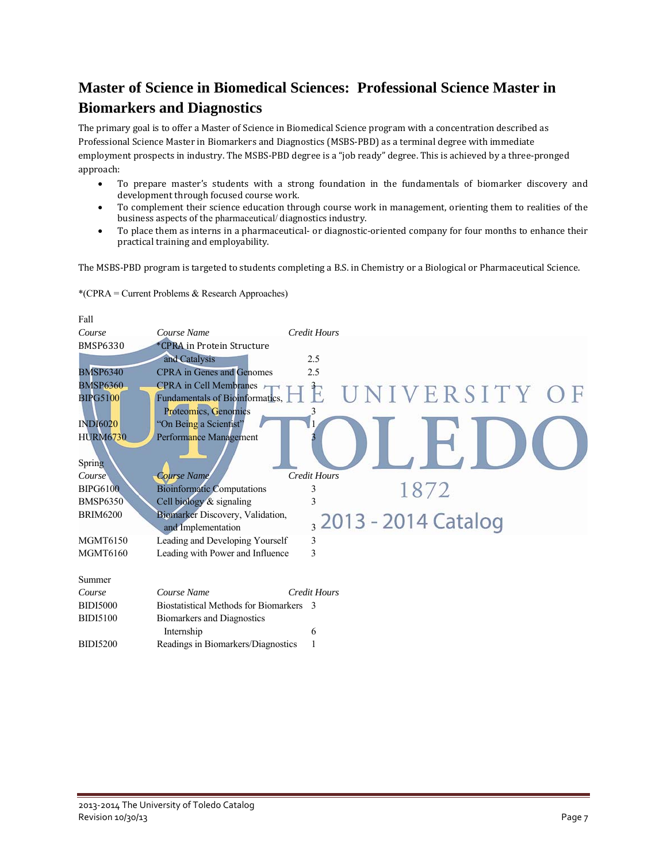### **Master of Science in Biomedical Sciences: Professional Science Master in Biomarkers and Diagnostics**

The primary goal is to offer a Master of Science in Biomedical Science program with a concentration described as Professional Science Master in Biomarkers and Diagnostics (MSBS-PBD) as a terminal degree with immediate employment prospects in industry. The MSBS-PBD degree is a "job ready" degree. This is achieved by a three-pronged approach: 

- To prepare master's students with a strong foundation in the fundamentals of biomarker discovery and development through focused course work.
- To complement their science education through course work in management, orienting them to realities of the business aspects of the pharmaceutical/ diagnostics industry.
- To place them as interns in a pharmaceutical- or diagnostic-oriented company for four months to enhance their practical training and employability.

The MSBS-PBD program is targeted to students completing a B.S. in Chemistry or a Biological or Pharmaceutical Science.



\*(CPRA = Current Problems & Research Approaches)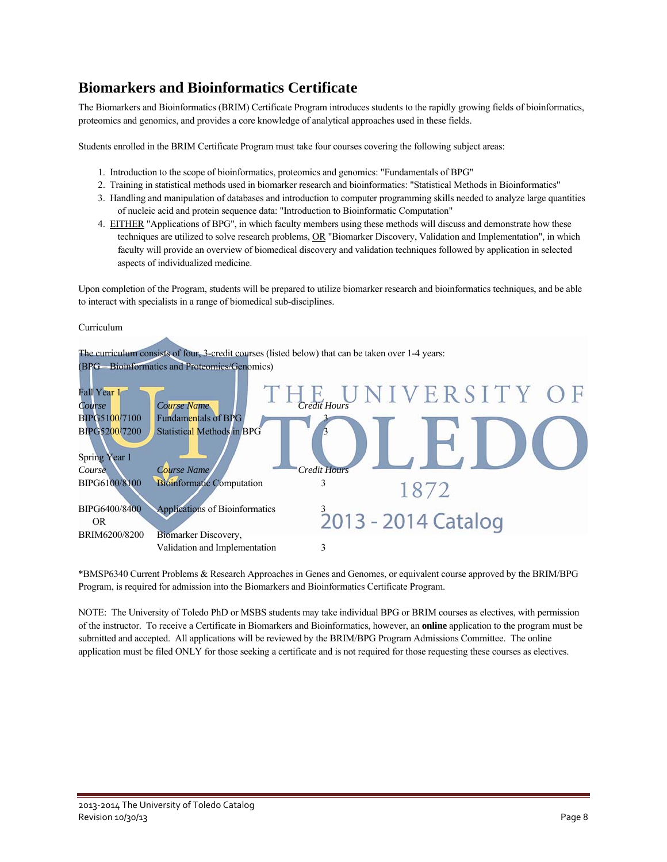### **Biomarkers and Bioinformatics Certificate**

The Biomarkers and Bioinformatics (BRIM) Certificate Program introduces students to the rapidly growing fields of bioinformatics, proteomics and genomics, and provides a core knowledge of analytical approaches used in these fields.

Students enrolled in the BRIM Certificate Program must take four courses covering the following subject areas:

- 1. Introduction to the scope of bioinformatics, proteomics and genomics: "Fundamentals of BPG"
- 2. Training in statistical methods used in biomarker research and bioinformatics: "Statistical Methods in Bioinformatics"
- 3. Handling and manipulation of databases and introduction to computer programming skills needed to analyze large quantities of nucleic acid and protein sequence data: "Introduction to Bioinformatic Computation"
- 4. EITHER "Applications of BPG", in which faculty members using these methods will discuss and demonstrate how these techniques are utilized to solve research problems, OR "Biomarker Discovery, Validation and Implementation", in which faculty will provide an overview of biomedical discovery and validation techniques followed by application in selected aspects of individualized medicine.

Upon completion of the Program, students will be prepared to utilize biomarker research and bioinformatics techniques, and be able to interact with specialists in a range of biomedical sub-disciplines.



\*BMSP6340 Current Problems & Research Approaches in Genes and Genomes, or equivalent course approved by the BRIM/BPG Program, is required for admission into the Biomarkers and Bioinformatics Certificate Program.

NOTE: The University of Toledo PhD or MSBS students may take individual BPG or BRIM courses as electives, with permission of the instructor. To receive a Certificate in Biomarkers and Bioinformatics, however, an **online** application to the program must be submitted and accepted. All applications will be reviewed by the BRIM/BPG Program Admissions Committee. The online application must be filed ONLY for those seeking a certificate and is not required for those requesting these courses as electives.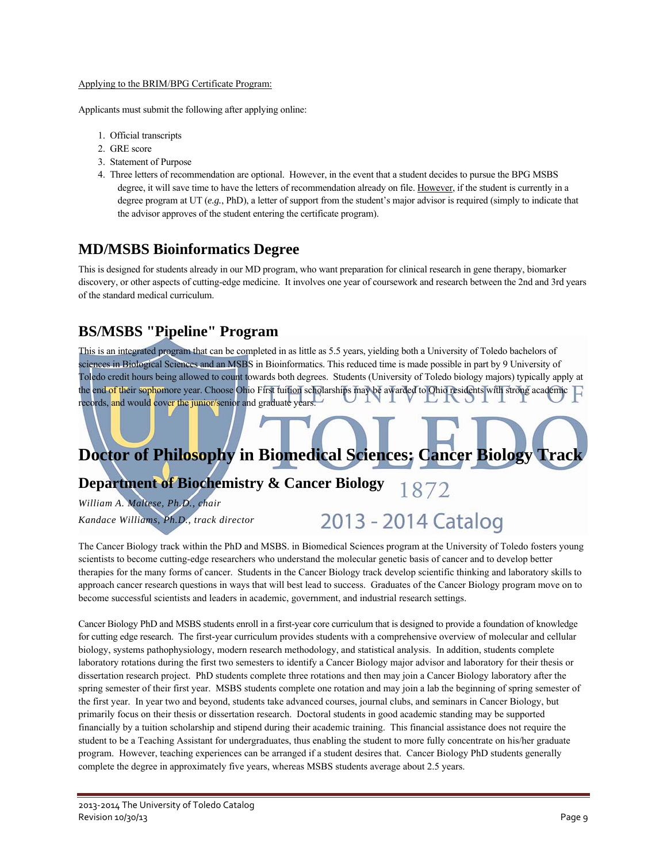#### Applying to the BRIM/BPG Certificate Program:

Applicants must submit the following after applying online:

- 1. Official transcripts
- 2. GRE score
- 3. Statement of Purpose
- 4. Three letters of recommendation are optional. However, in the event that a student decides to pursue the BPG MSBS degree, it will save time to have the letters of recommendation already on file. However, if the student is currently in a degree program at UT (*e.g.*, PhD), a letter of support from the student's major advisor is required (simply to indicate that the advisor approves of the student entering the certificate program).

### **MD/MSBS Bioinformatics Degree**

This is designed for students already in our MD program, who want preparation for clinical research in gene therapy, biomarker discovery, or other aspects of cutting-edge medicine. It involves one year of coursework and research between the 2nd and 3rd years of the standard medical curriculum.

### **BS/MSBS "Pipeline" Program**

This is an integrated program that can be completed in as little as 5.5 years, yielding both a University of Toledo bachelors of sciences in Biological Sciences and an MSBS in Bioinformatics. This reduced time is made possible in part by 9 University of Toledo credit hours being allowed to count towards both degrees. Students (University of Toledo biology majors) typically apply at the end of their sophomore year. Choose Ohio First tuition scholarships may be awarded to Ohio residents with strong academic records, and would cover the junior/senior and graduate years.

## **Doctor of Philosophy in Biomedical Sciences: Cancer Biology Track**

#### **Department of Biochemistry & Cancer Biology**  1872

*William A. Maltese, Ph.D., chair Kandace Williams, Ph.D., track director* 

# 2013 - 2014 Catalog

The Cancer Biology track within the PhD and MSBS. in Biomedical Sciences program at the University of Toledo fosters young scientists to become cutting-edge researchers who understand the molecular genetic basis of cancer and to develop better therapies for the many forms of cancer. Students in the Cancer Biology track develop scientific thinking and laboratory skills to approach cancer research questions in ways that will best lead to success. Graduates of the Cancer Biology program move on to become successful scientists and leaders in academic, government, and industrial research settings.

Cancer Biology PhD and MSBS students enroll in a first-year core curriculum that is designed to provide a foundation of knowledge for cutting edge research. The first-year curriculum provides students with a comprehensive overview of molecular and cellular biology, systems pathophysiology, modern research methodology, and statistical analysis. In addition, students complete laboratory rotations during the first two semesters to identify a Cancer Biology major advisor and laboratory for their thesis or dissertation research project. PhD students complete three rotations and then may join a Cancer Biology laboratory after the spring semester of their first year. MSBS students complete one rotation and may join a lab the beginning of spring semester of the first year. In year two and beyond, students take advanced courses, journal clubs, and seminars in Cancer Biology, but primarily focus on their thesis or dissertation research. Doctoral students in good academic standing may be supported financially by a tuition scholarship and stipend during their academic training. This financial assistance does not require the student to be a Teaching Assistant for undergraduates, thus enabling the student to more fully concentrate on his/her graduate program. However, teaching experiences can be arranged if a student desires that. Cancer Biology PhD students generally complete the degree in approximately five years, whereas MSBS students average about 2.5 years.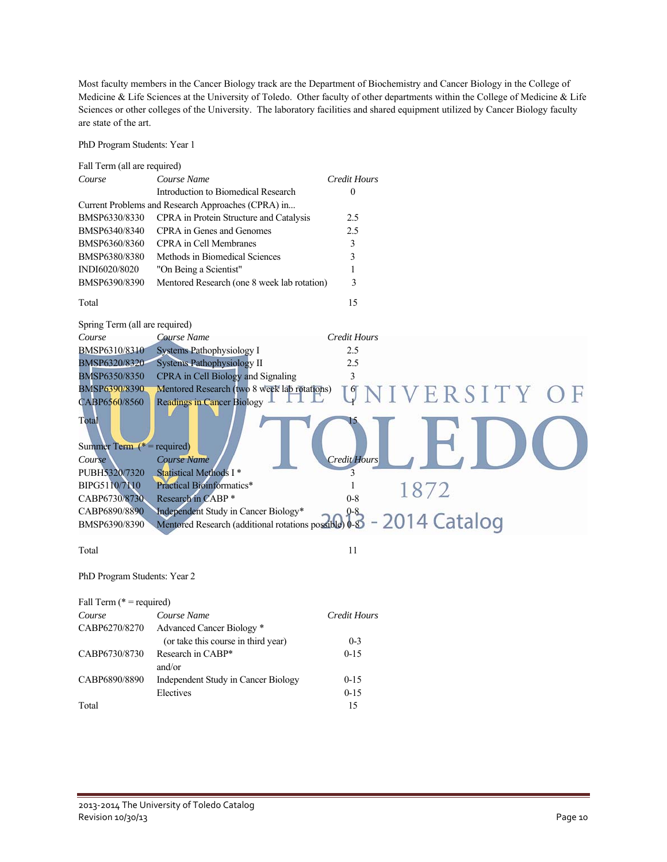Most faculty members in the Cancer Biology track are the Department of Biochemistry and Cancer Biology in the College of Medicine & Life Sciences at the University of Toledo. Other faculty of other departments within the College of Medicine & Life Sciences or other colleges of the University. The laboratory facilities and shared equipment utilized by Cancer Biology faculty are state of the art.

PhD Program Students: Year 1

| Fall Term (all are required)                                     |                                                       |                       |  |
|------------------------------------------------------------------|-------------------------------------------------------|-----------------------|--|
| Course                                                           | Course Name                                           | Credit Hours          |  |
|                                                                  | Introduction to Biomedical Research                   | $\boldsymbol{0}$      |  |
|                                                                  | Current Problems and Research Approaches (CPRA) in    |                       |  |
| BMSP6330/8330                                                    | CPRA in Protein Structure and Catalysis               | 2.5                   |  |
| BMSP6340/8340                                                    | CPRA in Genes and Genomes                             | 2.5                   |  |
| BMSP6360/8360                                                    | <b>CPRA</b> in Cell Membranes                         | 3                     |  |
| BMSP6380/8380                                                    | Methods in Biomedical Sciences                        | 3                     |  |
| INDI6020/8020                                                    | "On Being a Scientist"                                | 1                     |  |
| BMSP6390/8390                                                    | Mentored Research (one 8 week lab rotation)           | 3                     |  |
| Total                                                            |                                                       | 15                    |  |
| Spring Term (all are required)                                   |                                                       |                       |  |
| Course                                                           | Course Name                                           | Credit Hours          |  |
| BMSP6310/8310                                                    | <b>Systems Pathophysiology I</b>                      | 2.5                   |  |
| BMSP6320/8320                                                    | <b>Systems Pathophysiology II</b>                     | 2.5                   |  |
| <b>BMSP6350/8350</b>                                             | CPRA in Cell Biology and Signaling                    | 3                     |  |
| BMSP6390/8390                                                    | Mentored Research (two 8 week lab rotations)          | 6<br>VERSITY O        |  |
| CABP6560/8560                                                    | <b>Readings in Cancer Biology</b>                     |                       |  |
| Total<br>Summer Term $(* = required)$<br>Course<br>PUBH5320/7320 | <b>Course Name</b><br>Statistical Methods I*          | Credit Hours<br>3     |  |
| BIPG5110/7110                                                    | <b>Practical Bioinformatics*</b>                      | $\mathbf{1}$          |  |
| CABP6730/8730                                                    | Research in CABP *                                    | 1872<br>$0 - 8$       |  |
| CABP6890/8890                                                    | Independent Study in Cancer Biology*                  |                       |  |
| BMSP6390/8390                                                    | Mentored Research (additional rotations possible) 0-8 | 0-8<br>- 2014 Catalog |  |
|                                                                  |                                                       | 11                    |  |
| Total                                                            |                                                       |                       |  |
| PhD Program Students: Year 2                                     |                                                       |                       |  |
| Fall Term ( $* =$ required)                                      |                                                       |                       |  |
| Course                                                           | Course Name                                           | Credit Hours          |  |
| CABP6270/8270                                                    | Advanced Cancer Biology *                             |                       |  |
|                                                                  | (or take this course in third year)                   | $0 - 3$               |  |
| CABP6730/8730                                                    | Research in CABP*<br>and/or                           | $0 - 15$              |  |
| CABP6890/8890                                                    | Independent Study in Cancer Biology                   | $0 - 15$              |  |
|                                                                  | Electives                                             | $0 - 15$              |  |
| Total                                                            |                                                       | 15                    |  |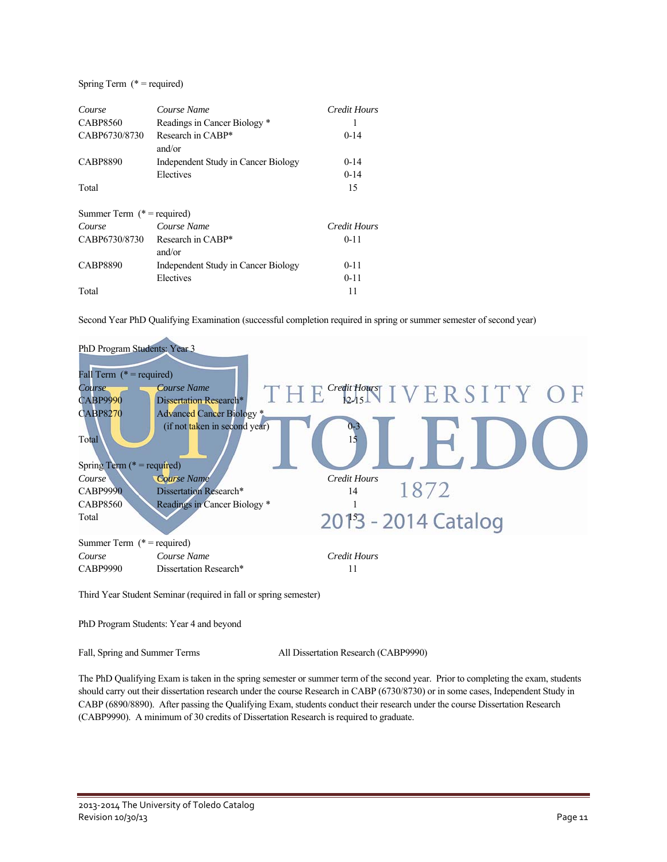#### Spring Term (\* = required)

| Course                        | Course Name                         | Credit Hours |
|-------------------------------|-------------------------------------|--------------|
| <b>CABP8560</b>               | Readings in Cancer Biology *        |              |
| CABP6730/8730                 | Research in CABP*<br>and/or         | $0 - 14$     |
| <b>CABP8890</b>               | Independent Study in Cancer Biology | $0 - 14$     |
|                               | Electives                           | $0 - 14$     |
| Total                         |                                     | 15           |
| Summer Term $(*)$ = required) |                                     |              |
| Course                        | Course Name                         | Credit Hours |
| CABP6730/8730                 | Research in CABP*                   | $0 - 11$     |
|                               | and/or                              |              |
| <b>CABP8890</b>               | Independent Study in Cancer Biology | $0 - 11$     |
|                               | Electives                           | $0 - 11$     |
| Total                         |                                     | 11           |

Second Year PhD Qualifying Examination (successful completion required in spring or summer semester of second year)



Third Year Student Seminar (required in fall or spring semester)

PhD Program Students: Year 4 and beyond

Fall, Spring and Summer Terms All Dissertation Research (CABP9990)

The PhD Qualifying Exam is taken in the spring semester or summer term of the second year. Prior to completing the exam, students should carry out their dissertation research under the course Research in CABP (6730/8730) or in some cases, Independent Study in CABP (6890/8890). After passing the Qualifying Exam, students conduct their research under the course Dissertation Research (CABP9990). A minimum of 30 credits of Dissertation Research is required to graduate.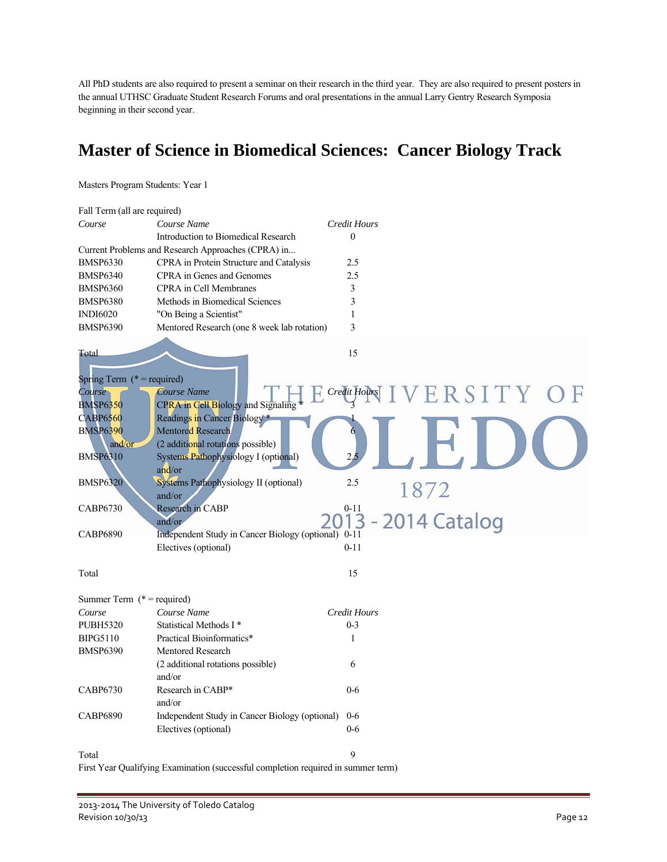All PhD students are also required to present a seminar on their research in the third year. They are also required to present posters in the annual UTHSC Graduate Student Research Forums and oral presentations in the annual Larry Gentry Research Symposia beginning in their second year.

### **Master of Science in Biomedical Sciences: Cancer Biology Track**

Masters Program Students: Year 1

| Fall Term (all are required)                                                                                                                    |                                                                                                                                                                                                                                        |                                   |
|-------------------------------------------------------------------------------------------------------------------------------------------------|----------------------------------------------------------------------------------------------------------------------------------------------------------------------------------------------------------------------------------------|-----------------------------------|
| Course                                                                                                                                          | Course Name                                                                                                                                                                                                                            | <b>Credit Hours</b>               |
|                                                                                                                                                 | Introduction to Biomedical Research                                                                                                                                                                                                    | $\theta$                          |
|                                                                                                                                                 | Current Problems and Research Approaches (CPRA) in                                                                                                                                                                                     |                                   |
| <b>BMSP6330</b>                                                                                                                                 | CPRA in Protein Structure and Catalysis                                                                                                                                                                                                | 2.5                               |
| <b>BMSP6340</b>                                                                                                                                 | CPRA in Genes and Genomes                                                                                                                                                                                                              | 2.5                               |
| <b>BMSP6360</b>                                                                                                                                 | <b>CPRA</b> in Cell Membranes                                                                                                                                                                                                          | 3                                 |
| <b>BMSP6380</b>                                                                                                                                 | Methods in Biomedical Sciences                                                                                                                                                                                                         | 3                                 |
| <b>INDI6020</b>                                                                                                                                 | "On Being a Scientist"                                                                                                                                                                                                                 | $\mathbf{1}$                      |
| <b>BMSP6390</b>                                                                                                                                 | Mentored Research (one 8 week lab rotation)                                                                                                                                                                                            | 3                                 |
| Total                                                                                                                                           |                                                                                                                                                                                                                                        | 15                                |
| Spring Term $(* = required)$<br>Course<br><b>BMSP6350</b><br><b>CABP6560</b><br><b>BMSP6390</b><br>and/or<br><b>BMSP6310</b><br><b>BMSP6320</b> | Course Name<br>CPRA in Cell Biology and Signaling<br>Readings in Cancer Biology *<br>Mentored Research<br>(2 additional rotations possible)<br>Systems Pathophysiology I (optional)<br>and/or<br>Systems Pathophysiology II (optional) | VERSITY OF<br>Credit Hours<br>2.5 |
|                                                                                                                                                 | and/or                                                                                                                                                                                                                                 | 1872                              |
| <b>CABP6730</b>                                                                                                                                 | Research in CABP<br>and/or                                                                                                                                                                                                             | $0 - 11$<br>3 - 2014 Catalog      |
| <b>CABP6890</b>                                                                                                                                 | Independent Study in Cancer Biology (optional) 0-11                                                                                                                                                                                    |                                   |
|                                                                                                                                                 | Electives (optional)                                                                                                                                                                                                                   | $0 - 11$                          |
| Total                                                                                                                                           |                                                                                                                                                                                                                                        | 15                                |
| Summer Term $(* = required)$                                                                                                                    |                                                                                                                                                                                                                                        |                                   |
| Course                                                                                                                                          | Course Name                                                                                                                                                                                                                            | <b>Credit Hours</b>               |
| <b>PUBH5320</b>                                                                                                                                 | Statistical Methods I*                                                                                                                                                                                                                 | $0 - 3$                           |
| <b>BIPG5110</b>                                                                                                                                 | Practical Bioinformatics*                                                                                                                                                                                                              | 1                                 |
| <b>BMSP6390</b>                                                                                                                                 | <b>Mentored Research</b><br>(2 additional rotations possible)<br>and/or                                                                                                                                                                | 6                                 |
| CABP6730                                                                                                                                        | Research in CABP*<br>and/or                                                                                                                                                                                                            | $0 - 6$                           |
| <b>CABP6890</b>                                                                                                                                 | Independent Study in Cancer Biology (optional)                                                                                                                                                                                         | $0-6$                             |
|                                                                                                                                                 | Electives (optional)                                                                                                                                                                                                                   | $0 - 6$                           |
| Total                                                                                                                                           |                                                                                                                                                                                                                                        | 9                                 |

First Year Qualifying Examination (successful completion required in summer term)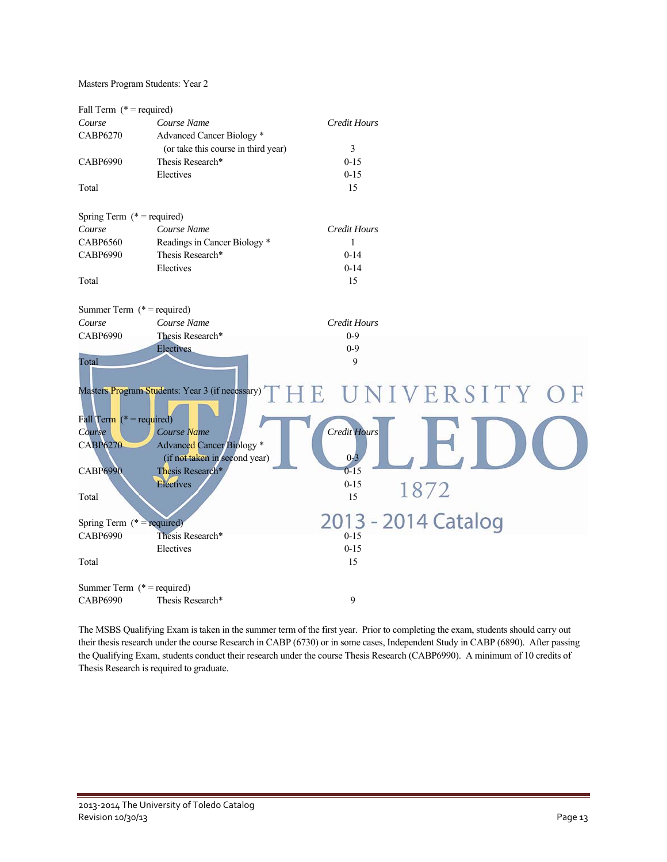Masters Program Students: Year 2

| Fall Term $(* = required)$   |                                                 |                     |                     |
|------------------------------|-------------------------------------------------|---------------------|---------------------|
| Course                       | Course Name                                     | Credit Hours        |                     |
| <b>CABP6270</b>              | Advanced Cancer Biology <sup>*</sup>            |                     |                     |
|                              | (or take this course in third year)             | 3                   |                     |
| <b>CABP6990</b>              | Thesis Research*                                | $0 - 15$            |                     |
|                              | Electives                                       | $0 - 15$            |                     |
| Total                        |                                                 | 15                  |                     |
| Spring Term $(* = required)$ |                                                 |                     |                     |
| Course                       | Course Name                                     | <b>Credit Hours</b> |                     |
| <b>CABP6560</b>              | Readings in Cancer Biology *                    | $\mathbf{1}$        |                     |
| <b>CABP6990</b>              | Thesis Research*                                | $0 - 14$            |                     |
|                              | Electives                                       | $0 - 14$            |                     |
| Total                        |                                                 | 15                  |                     |
| Summer Term $(* = required)$ |                                                 |                     |                     |
| Course                       | Course Name                                     | <b>Credit Hours</b> |                     |
| <b>CABP6990</b>              | Thesis Research*                                | $0 - 9$             |                     |
|                              | Electives                                       | $0 - 9$             |                     |
| Total                        | Masters Program Students: Year 3 (if necessary) | 9                   | UNIVERSITY OF       |
| Fall Term $(* = required)$   |                                                 |                     |                     |
| Course                       | Course Name                                     | <b>Credit Hours</b> |                     |
| <b>CABP6270</b>              | <b>Advanced Cancer Biology *</b>                |                     |                     |
|                              | (if not taken in second year)                   | 0 <sup>2</sup>      |                     |
| <b>CABP6990</b>              | Thesis Research*                                | $0 - 15$            |                     |
|                              | Electives                                       | $0 - 15$            |                     |
| Total                        |                                                 | 15                  | 1872                |
| Spring Term $(* = required)$ |                                                 |                     | 2013 - 2014 Catalog |
| <b>CABP6990</b>              | Thesis Research*                                | $0 - 15$            |                     |
|                              | Electives                                       | $0 - 15$            |                     |
| Total                        |                                                 | 15                  |                     |
| Summer Term $(* = required)$ |                                                 |                     |                     |
| <b>CABP6990</b>              | Thesis Research*                                | 9                   |                     |

The MSBS Qualifying Exam is taken in the summer term of the first year. Prior to completing the exam, students should carry out their thesis research under the course Research in CABP (6730) or in some cases, Independent Study in CABP (6890). After passing the Qualifying Exam, students conduct their research under the course Thesis Research (CABP6990). A minimum of 10 credits of Thesis Research is required to graduate.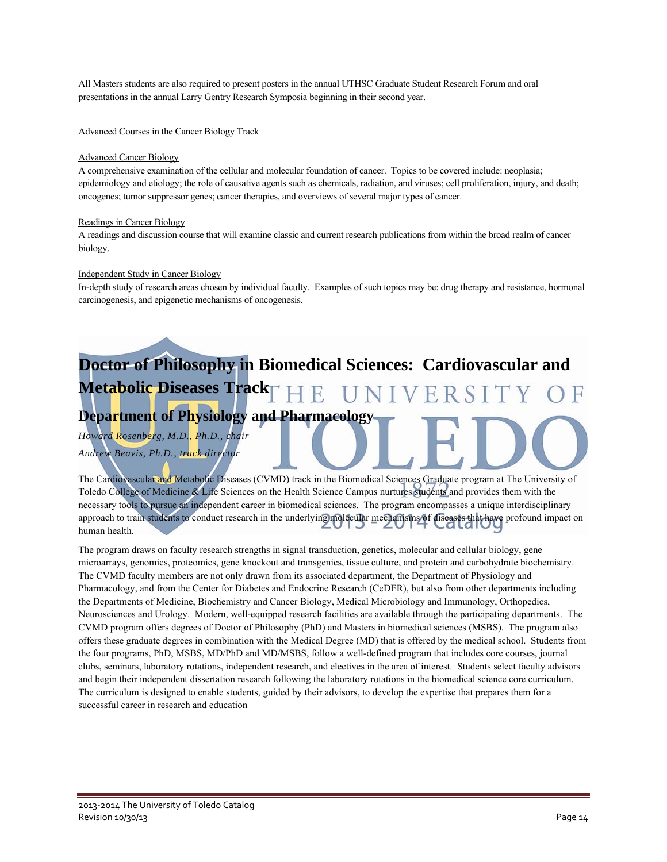All Masters students are also required to present posters in the annual UTHSC Graduate Student Research Forum and oral presentations in the annual Larry Gentry Research Symposia beginning in their second year.

Advanced Courses in the Cancer Biology Track

#### Advanced Cancer Biology

A comprehensive examination of the cellular and molecular foundation of cancer. Topics to be covered include: neoplasia; epidemiology and etiology; the role of causative agents such as chemicals, radiation, and viruses; cell proliferation, injury, and death; oncogenes; tumor suppressor genes; cancer therapies, and overviews of several major types of cancer.

#### Readings in Cancer Biology

A readings and discussion course that will examine classic and current research publications from within the broad realm of cancer biology.

#### Independent Study in Cancer Biology

In-depth study of research areas chosen by individual faculty. Examples of such topics may be: drug therapy and resistance, hormonal carcinogenesis, and epigenetic mechanisms of oncogenesis.

# **Doctor of Philosophy in Biomedical Sciences: Cardiovascular and Metabolic Diseases Track HE UNIVERSITY**

### **Department of Physiology and Pharmacology**

*Howard Rosenberg, M.D., Ph.D., chair* 

### *Andrew Beavis, Ph.D., track director*

The Cardiovascular and Metabolic Diseases (CVMD) track in the Biomedical Sciences Graduate program at The University of Toledo College of Medicine & Life Sciences on the Health Science Campus nurtures students and provides them with the necessary tools to pursue an independent career in biomedical sciences. The program encompasses a unique interdisciplinary approach to train students to conduct research in the underlying molecular mechanisms of diseases that have profound impact on human health.

The program draws on faculty research strengths in signal transduction, genetics, molecular and cellular biology, gene microarrays, genomics, proteomics, gene knockout and transgenics, tissue culture, and protein and carbohydrate biochemistry. The CVMD faculty members are not only drawn from its associated department, the Department of Physiology and Pharmacology, and from the Center for Diabetes and Endocrine Research (CeDER), but also from other departments including the Departments of Medicine, Biochemistry and Cancer Biology, Medical Microbiology and Immunology, Orthopedics, Neurosciences and Urology. Modern, well-equipped research facilities are available through the participating departments. The CVMD program offers degrees of Doctor of Philosophy (PhD) and Masters in biomedical sciences (MSBS). The program also offers these graduate degrees in combination with the Medical Degree (MD) that is offered by the medical school. Students from the four programs, PhD, MSBS, MD/PhD and MD/MSBS, follow a well-defined program that includes core courses, journal clubs, seminars, laboratory rotations, independent research, and electives in the area of interest. Students select faculty advisors and begin their independent dissertation research following the laboratory rotations in the biomedical science core curriculum. The curriculum is designed to enable students, guided by their advisors, to develop the expertise that prepares them for a successful career in research and education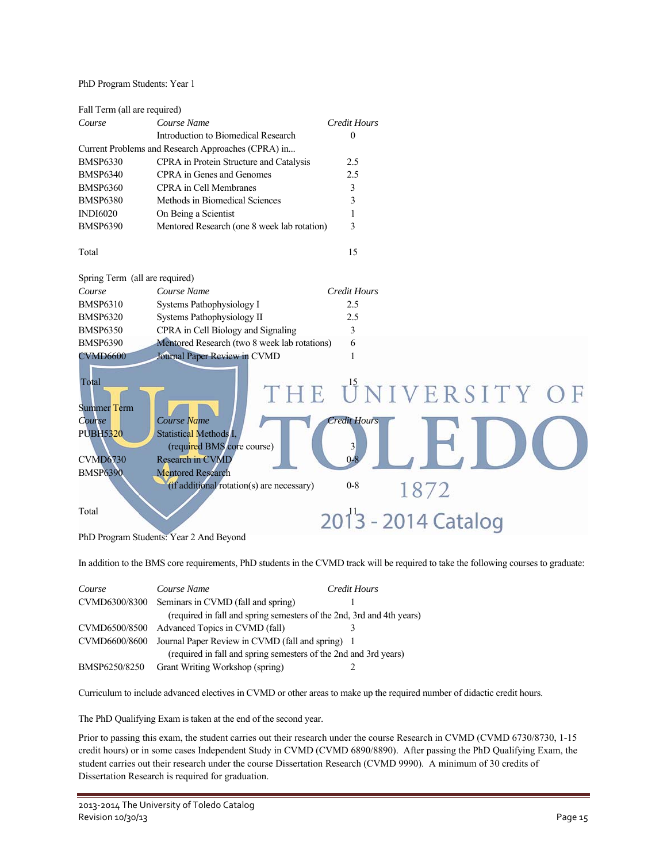PhD Program Students: Year 1

| Fall Term (all are required)                   |                                                                       |                                                |
|------------------------------------------------|-----------------------------------------------------------------------|------------------------------------------------|
| Course                                         | Course Name                                                           | <b>Credit Hours</b>                            |
|                                                | Introduction to Biomedical Research                                   | $\theta$                                       |
|                                                | Current Problems and Research Approaches (CPRA) in                    |                                                |
| <b>BMSP6330</b>                                | CPRA in Protein Structure and Catalysis                               | 2.5                                            |
| <b>BMSP6340</b>                                | CPRA in Genes and Genomes                                             | 2.5                                            |
| <b>BMSP6360</b>                                | <b>CPRA</b> in Cell Membranes                                         | 3                                              |
| <b>BMSP6380</b>                                | Methods in Biomedical Sciences                                        | 3                                              |
| <b>INDI6020</b>                                | On Being a Scientist                                                  | 1                                              |
| <b>BMSP6390</b>                                | Mentored Research (one 8 week lab rotation)                           | 3                                              |
| Total                                          |                                                                       | 15                                             |
| Spring Term (all are required)                 |                                                                       |                                                |
| Course                                         | Course Name                                                           | <b>Credit Hours</b>                            |
| <b>BMSP6310</b>                                | Systems Pathophysiology I                                             | 2.5                                            |
| <b>BMSP6320</b>                                | Systems Pathophysiology II                                            | 2.5                                            |
| <b>BMSP6350</b>                                | CPRA in Cell Biology and Signaling                                    | 3                                              |
| <b>BMSP6390</b>                                | Mentored Research (two 8 week lab rotations)                          | 6                                              |
| <b>CVMD6600</b><br>Total<br><b>Summer Term</b> | Journal Paper Review in CVMD                                          | $\mathbf{1}$<br>THE UNIVERSITY OF              |
| Course<br><b>PUBH5320</b>                      | Course Name<br>Statistical Methods I,<br>(required BMS core course)   | <b>Credit Hours</b><br>$\overline{\mathbf{3}}$ |
| <b>CVMD6730</b>                                | <b>Research in CVMD</b>                                               |                                                |
| <b>BMSP6390</b>                                | <b>Mentored Research</b><br>(if additional rotation(s) are necessary) | $0 - 8$<br>1872                                |
| Total                                          |                                                                       | 2013 - 2014 Catalog                            |
|                                                | PhD Program Students: Year 2 And Beyond                               |                                                |

In addition to the BMS core requirements, PhD students in the CVMD track will be required to take the following courses to graduate:

| Course        | Course Name                                                           | Credit Hours |
|---------------|-----------------------------------------------------------------------|--------------|
| CVMD6300/8300 | Seminars in CVMD (fall and spring)                                    |              |
|               | (required in fall and spring semesters of the 2nd, 3rd and 4th years) |              |
|               | CVMD6500/8500 Advanced Topics in CVMD (fall)                          |              |
| CVMD6600/8600 | Journal Paper Review in CVMD (fall and spring) 1                      |              |
|               | (required in fall and spring semesters of the 2nd and 3rd years)      |              |
| BMSP6250/8250 | Grant Writing Workshop (spring)                                       |              |

Curriculum to include advanced electives in CVMD or other areas to make up the required number of didactic credit hours.

The PhD Qualifying Exam is taken at the end of the second year.

Prior to passing this exam, the student carries out their research under the course Research in CVMD (CVMD 6730/8730, 1-15 credit hours) or in some cases Independent Study in CVMD (CVMD 6890/8890). After passing the PhD Qualifying Exam, the student carries out their research under the course Dissertation Research (CVMD 9990). A minimum of 30 credits of Dissertation Research is required for graduation.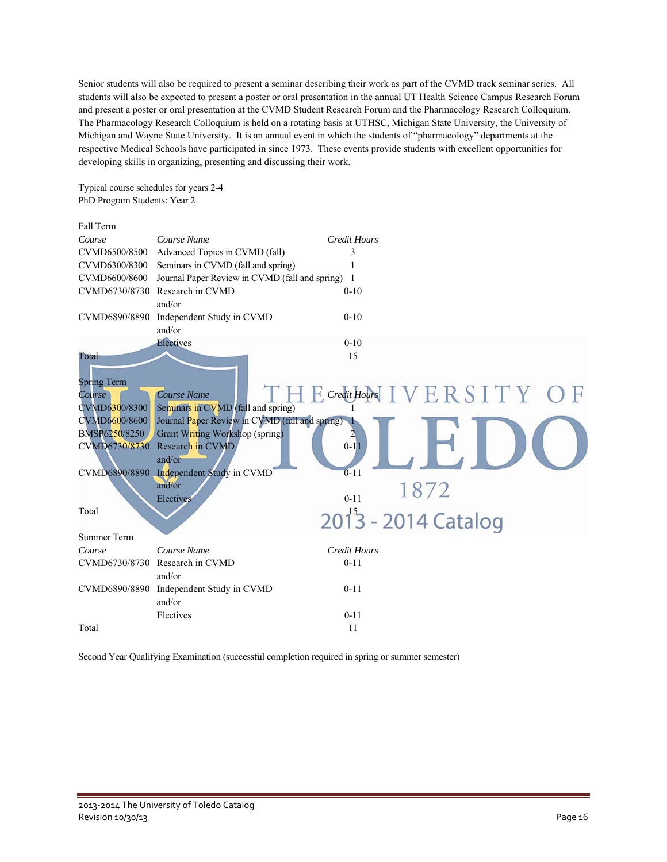Senior students will also be required to present a seminar describing their work as part of the CVMD track seminar series. All students will also be expected to present a poster or oral presentation in the annual UT Health Science Campus Research Forum and present a poster or oral presentation at the CVMD Student Research Forum and the Pharmacology Research Colloquium. The Pharmacology Research Colloquium is held on a rotating basis at UTHSC, Michigan State University, the University of Michigan and Wayne State University. It is an annual event in which the students of "pharmacology" departments at the respective Medical Schools have participated in since 1973. These events provide students with excellent opportunities for developing skills in organizing, presenting and discussing their work.

Typical course schedules for years 2-4 PhD Program Students: Year 2

| Fall Term                             |                                                               |                                    |
|---------------------------------------|---------------------------------------------------------------|------------------------------------|
| Course                                | Course Name                                                   | <b>Credit Hours</b>                |
| CVMD6500/8500                         | Advanced Topics in CVMD (fall)                                | 3                                  |
| CVMD6300/8300                         | Seminars in CVMD (fall and spring)                            |                                    |
| CVMD6600/8600                         | Journal Paper Review in CVMD (fall and spring) 1              |                                    |
| CVMD6730/8730                         | Research in CVMD<br>and/or                                    | $0 - 10$                           |
| CVMD6890/8890                         | Independent Study in CVMD<br>and/or                           | $0 - 10$                           |
|                                       | Electives                                                     | $0 - 10$                           |
| Total<br><b>Spring Term</b>           |                                                               | 15<br>THE Credit Hours IVERSITY OF |
| Course<br>CVMD6300/8300               | <b>Course Name</b><br>Seminars in CVMD (fall and spring)      |                                    |
| CVMD6600/8600                         | Journal Paper Review in CVMD (fall and spring)                |                                    |
| <b>BMSP6250/8250</b><br>CVMD6730/8730 | Grant Writing Workshop (spring)<br>Research in CVMD<br>and/or | 2<br>$0 - 11$                      |
| CVMD6890/8890                         | Independent Study in CVMD                                     | $0 - 11$                           |
|                                       | and/or<br>Electives                                           | 1872<br>$0 - 11$                   |
| Total                                 |                                                               | 2013 - 2014 Catalog                |
| <b>Summer Term</b>                    |                                                               |                                    |
| Course                                | Course Name                                                   | <b>Credit Hours</b>                |
| CVMD6730/8730                         | Research in CVMD<br>and/or                                    | $0 - 11$                           |
| CVMD6890/8890                         | Independent Study in CVMD<br>and/or                           | $0 - 11$                           |
|                                       | Electives                                                     | $0 - 11$                           |
| Total                                 |                                                               | 11                                 |

Second Year Qualifying Examination (successful completion required in spring or summer semester)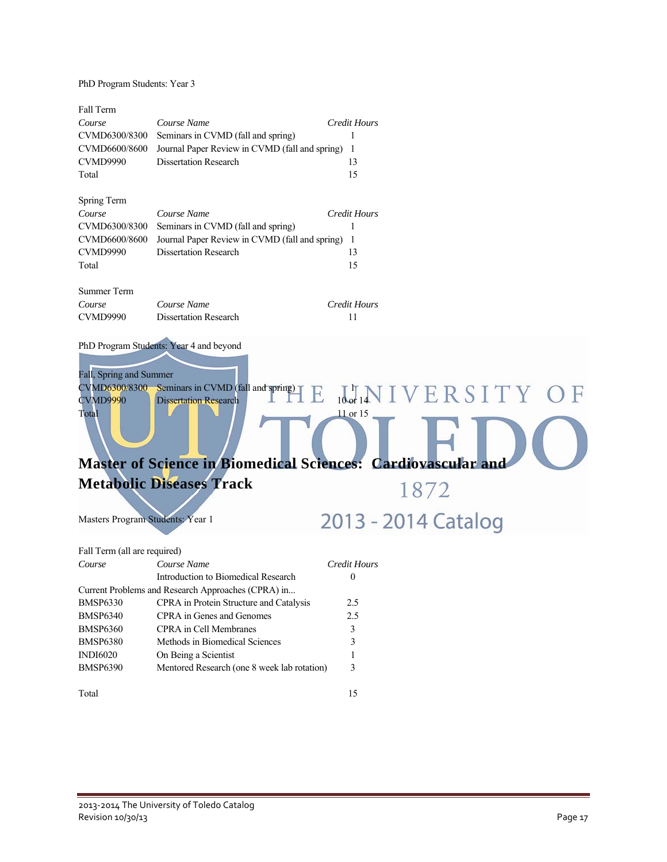PhD Program Students: Year 3

| Fall Term                                    |                                                                                                                                                                                            |                     |                                                |
|----------------------------------------------|--------------------------------------------------------------------------------------------------------------------------------------------------------------------------------------------|---------------------|------------------------------------------------|
| Course                                       | Course Name                                                                                                                                                                                | <b>Credit Hours</b> |                                                |
| CVMD6300/8300                                | Seminars in CVMD (fall and spring)                                                                                                                                                         |                     |                                                |
| CVMD6600/8600                                | Journal Paper Review in CVMD (fall and spring)                                                                                                                                             | - 1                 |                                                |
| <b>CVMD9990</b>                              | <b>Dissertation Research</b>                                                                                                                                                               | 13                  |                                                |
| Total                                        |                                                                                                                                                                                            | 15                  |                                                |
| Spring Term                                  |                                                                                                                                                                                            |                     |                                                |
| Course                                       | Course Name                                                                                                                                                                                | <b>Credit Hours</b> |                                                |
| CVMD6300/8300                                | Seminars in CVMD (fall and spring)                                                                                                                                                         |                     |                                                |
| CVMD6600/8600                                | Journal Paper Review in CVMD (fall and spring) 1                                                                                                                                           |                     |                                                |
| CVMD9990                                     | <b>Dissertation Research</b>                                                                                                                                                               | 13                  |                                                |
| Total                                        |                                                                                                                                                                                            | 15                  |                                                |
| <b>Summer Term</b>                           |                                                                                                                                                                                            |                     |                                                |
| Course                                       | Course Name                                                                                                                                                                                | <b>Credit Hours</b> |                                                |
| CVMD9990                                     | <b>Dissertation Research</b>                                                                                                                                                               | 11                  |                                                |
| Fall, Spring and Summer<br>CVMD9990<br>Total | CVMD6300/8300 Seminars in CVMD (fall and spring)<br><b>Dissertation Research</b><br><b>Master of Science in Biomedical Sciences: Cardiovascular and</b><br><b>Metabolic Diseases Track</b> | $11$ or $15$        | $\frac{1}{10\text{ eV}}$ INIVERSITY OF<br>1872 |
| Masters Program Students: Year 1             |                                                                                                                                                                                            |                     | 2013 - 2014 Catalog                            |
| Fall Term (all are required)                 |                                                                                                                                                                                            |                     |                                                |
| Course                                       | Course Name                                                                                                                                                                                | Credit Hours        |                                                |
|                                              | Introduction to Biomedical Research                                                                                                                                                        | $\boldsymbol{0}$    |                                                |
|                                              | Current Problems and Research Approaches (CPRA) in                                                                                                                                         |                     |                                                |
| <b>BMSP6330</b>                              | CPRA in Protein Structure and Catalysis                                                                                                                                                    | 2.5                 |                                                |
| <b>BMSP6340</b>                              | CPRA in Genes and Genomes                                                                                                                                                                  | 2.5                 |                                                |
| <b>BMSP6360</b>                              | CPRA in Cell Membranes                                                                                                                                                                     | 3                   |                                                |
| <b>BMSP6380</b>                              | Methods in Biomedical Sciences                                                                                                                                                             | 3                   |                                                |
| <b>INDI6020</b>                              | On Being a Scientist                                                                                                                                                                       | 1                   |                                                |
| <b>BMSP6390</b>                              | Mentored Research (one 8 week lab rotation)                                                                                                                                                | 3                   |                                                |

Total 15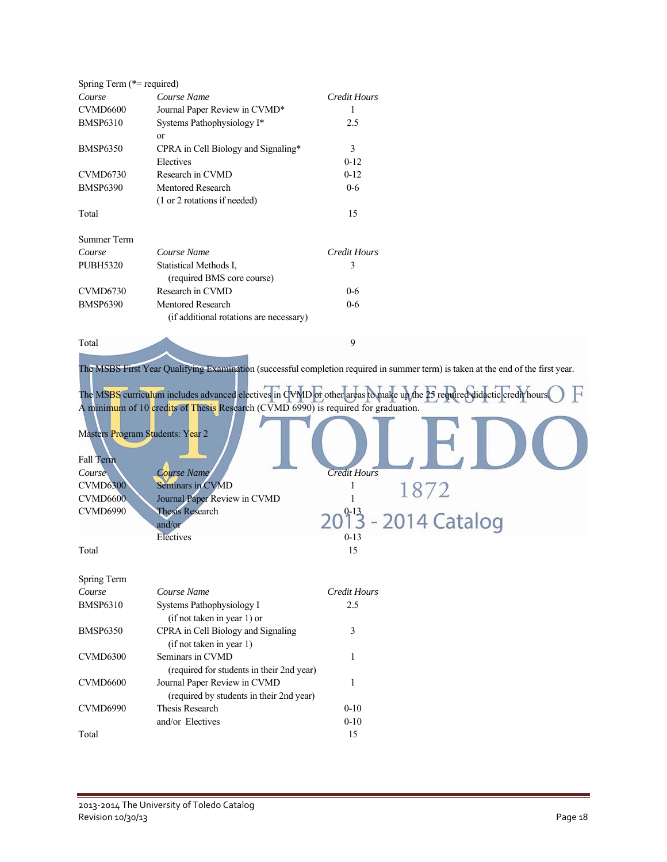| Spring Term (*= required)                                             |                                                                                                                                                                                                                                            |                                      |                             |
|-----------------------------------------------------------------------|--------------------------------------------------------------------------------------------------------------------------------------------------------------------------------------------------------------------------------------------|--------------------------------------|-----------------------------|
| Course                                                                | Course Name                                                                                                                                                                                                                                | <b>Credit Hours</b>                  |                             |
| CVMD6600                                                              | Journal Paper Review in CVMD*                                                                                                                                                                                                              | 1                                    |                             |
| <b>BMSP6310</b>                                                       | Systems Pathophysiology I*<br>or                                                                                                                                                                                                           | 2.5                                  |                             |
| <b>BMSP6350</b>                                                       | CPRA in Cell Biology and Signaling*                                                                                                                                                                                                        | 3                                    |                             |
|                                                                       | Electives                                                                                                                                                                                                                                  | $0-12$                               |                             |
| CVMD6730                                                              | Research in CVMD                                                                                                                                                                                                                           | $0 - 12$                             |                             |
| <b>BMSP6390</b>                                                       | <b>Mentored Research</b>                                                                                                                                                                                                                   | $0 - 6$                              |                             |
|                                                                       | (1 or 2 rotations if needed)                                                                                                                                                                                                               |                                      |                             |
| Total                                                                 |                                                                                                                                                                                                                                            | 15                                   |                             |
| <b>Summer Term</b>                                                    |                                                                                                                                                                                                                                            |                                      |                             |
| Course                                                                | Course Name                                                                                                                                                                                                                                | <b>Credit Hours</b>                  |                             |
| <b>PUBH5320</b>                                                       | Statistical Methods I,                                                                                                                                                                                                                     | 3                                    |                             |
|                                                                       | (required BMS core course)                                                                                                                                                                                                                 |                                      |                             |
| <b>CVMD6730</b>                                                       | Research in CVMD                                                                                                                                                                                                                           | $0-6$                                |                             |
| <b>BMSP6390</b>                                                       | <b>Mentored Research</b>                                                                                                                                                                                                                   | $0 - 6$                              |                             |
|                                                                       | (if additional rotations are necessary)                                                                                                                                                                                                    |                                      |                             |
| Total                                                                 |                                                                                                                                                                                                                                            | 9                                    |                             |
| Fall Term<br>Course<br><b>CVMD6300</b><br><b>CVMD6600</b><br>CVMD6990 | A minimum of 10 credits of Thesis Research (CVMD 6990) is required for graduation.<br>Masters Program Students: Year 2<br>Course Name<br>Seminars in CVMD<br>Journal Paper Review in CVMD<br><b>Thesis Research</b><br>and/or<br>Electives | <b>Credit Hours</b><br>1<br>$0 - 13$ | 1872<br>2013 - 2014 Catalog |
| Total                                                                 |                                                                                                                                                                                                                                            | 15                                   |                             |
| Spring Term                                                           |                                                                                                                                                                                                                                            |                                      |                             |
| Course                                                                | Course Name                                                                                                                                                                                                                                | <b>Credit Hours</b>                  |                             |
| <b>BMSP6310</b>                                                       | Systems Pathophysiology I<br>(if not taken in year 1) or                                                                                                                                                                                   | 2.5                                  |                             |
| BMSP6350                                                              | CPRA in Cell Biology and Signaling<br>(if not taken in year 1)                                                                                                                                                                             | 3                                    |                             |
| CVMD6300                                                              | Seminars in CVMD<br>(required for students in their 2nd year)                                                                                                                                                                              | 1                                    |                             |
| CVMD6600                                                              | Journal Paper Review in CVMD<br>(required by students in their 2nd year)                                                                                                                                                                   | 1                                    |                             |
| CVMD6990                                                              | Thesis Research                                                                                                                                                                                                                            | $0 - 10$                             |                             |
|                                                                       | and/or Electives                                                                                                                                                                                                                           | $0 - 10$                             |                             |
| Total                                                                 |                                                                                                                                                                                                                                            | 15                                   |                             |
|                                                                       |                                                                                                                                                                                                                                            |                                      |                             |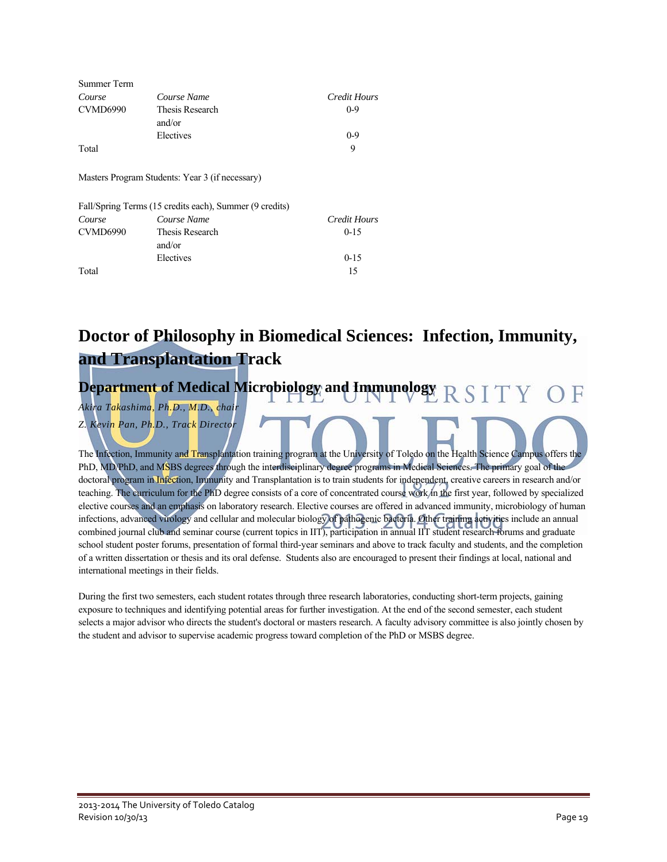| Summer Term     |                                                         |              |
|-----------------|---------------------------------------------------------|--------------|
| Course          | Course Name                                             | Credit Hours |
| <b>CVMD6990</b> | Thesis Research                                         | $0 - 9$      |
|                 | and/or                                                  |              |
|                 | Electives                                               | $0-9$        |
| Total           |                                                         | 9            |
|                 | Masters Program Students: Year 3 (if necessary)         |              |
|                 | Fall/Spring Terms (15 credits each), Summer (9 credits) |              |
| Course          | Course Name                                             | Credit Hours |
| <b>CVMD6990</b> | Thesis Research                                         | $0 - 15$     |
|                 | and/or                                                  |              |
|                 | Electives                                               | $0 - 15$     |
| Total           |                                                         | 15           |

### **Doctor of Philosophy in Biomedical Sciences: Infection, Immunity, and Transplantation Track**

#### **Department of Medical Microbiology and Immunology**  RSITY

*Akira Takashima, Ph.D., M.D., chair Z. Kevin Pan, Ph.D., Track Director* 

The Infection, Immunity and Transplantation training program at the University of Toledo on the Health Science Campus offers the PhD, MD/PhD, and MSBS degrees through the interdisciplinary degree programs in Medical Sciences. The primary goal of the doctoral program in Infection, Immunity and Transplantation is to train students for independent, creative careers in research and/or teaching. The curriculum for the PhD degree consists of a core of concentrated course work in the first year, followed by specialized elective courses and an emphasis on laboratory research. Elective courses are offered in advanced immunity, microbiology of human infections, advanced virology and cellular and molecular biology of pathogenic bacteria. Other training activities include an annual combined journal club and seminar course (current topics in IIT), participation in annual IIT student research forums and graduate school student poster forums, presentation of formal third-year seminars and above to track faculty and students, and the completion of a written dissertation or thesis and its oral defense. Students also are encouraged to present their findings at local, national and international meetings in their fields.

During the first two semesters, each student rotates through three research laboratories, conducting short-term projects, gaining exposure to techniques and identifying potential areas for further investigation. At the end of the second semester, each student selects a major advisor who directs the student's doctoral or masters research. A faculty advisory committee is also jointly chosen by the student and advisor to supervise academic progress toward completion of the PhD or MSBS degree.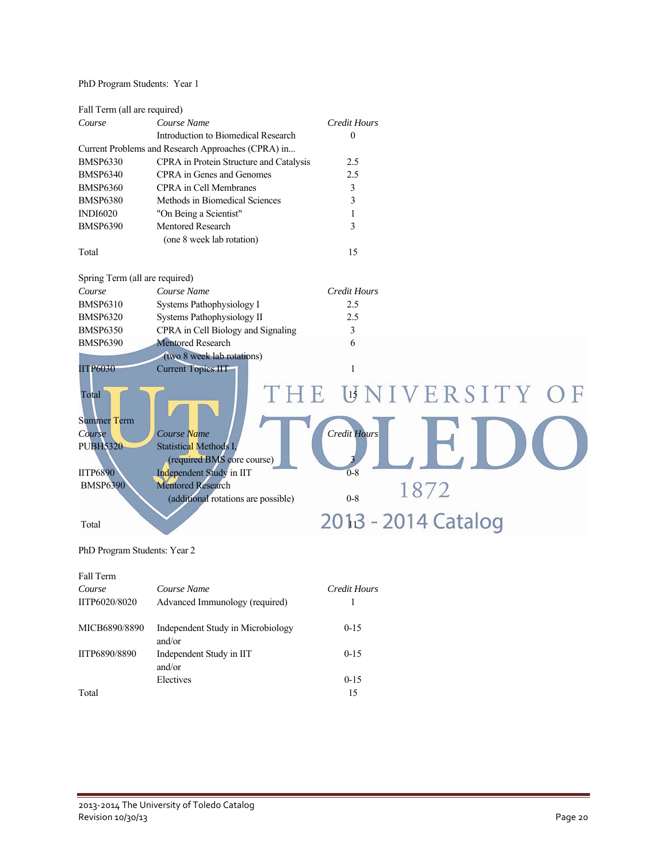### PhD Program Students: Year 1

| Fall Term (all are required)   |                                                    |                     |                      |
|--------------------------------|----------------------------------------------------|---------------------|----------------------|
| Course                         | Course Name                                        | <b>Credit Hours</b> |                      |
|                                | Introduction to Biomedical Research                | $\mathbf{0}$        |                      |
|                                | Current Problems and Research Approaches (CPRA) in |                     |                      |
| <b>BMSP6330</b>                | CPRA in Protein Structure and Catalysis            | 2.5                 |                      |
| <b>BMSP6340</b>                | CPRA in Genes and Genomes                          | 2.5                 |                      |
| <b>BMSP6360</b>                | <b>CPRA</b> in Cell Membranes                      | 3                   |                      |
| <b>BMSP6380</b>                | Methods in Biomedical Sciences                     | 3                   |                      |
| <b>INDI6020</b>                | "On Being a Scientist"                             | $\mathbf{1}$        |                      |
| <b>BMSP6390</b>                | Mentored Research                                  | 3                   |                      |
|                                | (one 8 week lab rotation)                          |                     |                      |
| Total                          |                                                    | 15                  |                      |
|                                |                                                    |                     |                      |
| Spring Term (all are required) |                                                    |                     |                      |
| Course                         | Course Name                                        | <b>Credit Hours</b> |                      |
| <b>BMSP6310</b>                | Systems Pathophysiology I                          | 2.5                 |                      |
| <b>BMSP6320</b>                | Systems Pathophysiology II                         | 2.5                 |                      |
| <b>BMSP6350</b>                | CPRA in Cell Biology and Signaling                 | $\mathfrak{Z}$      |                      |
| <b>BMSP6390</b>                | <b>Mentored Research</b>                           | 6                   |                      |
|                                | (two 8 week lab rotations)                         |                     |                      |
| <b>IITP6030</b>                | <b>Current Topics IIT</b>                          | $\mathbf{1}$        |                      |
|                                |                                                    |                     |                      |
| Total                          | 1 E                                                |                     | <b>UNIVERSITY OF</b> |
|                                |                                                    |                     |                      |
| <b>Summer Term</b>             |                                                    |                     |                      |
| Course                         | Course Name                                        | <b>Credit Hours</b> |                      |
| <b>PUBH5320</b>                | <b>Statistical Methods I</b>                       |                     |                      |
|                                | (required BMS core course)                         |                     |                      |
| <b>IITP6890</b>                | Independent Study in IIT                           | $0 - 8$             |                      |
| <b>BMSP6390</b>                | <b>Mentored Research</b>                           |                     | 1872                 |
|                                | (additional rotations are possible)                | $0 - 8$             |                      |
|                                |                                                    |                     |                      |
| Total                          |                                                    |                     | 2013 - 2014 Catalog  |
|                                |                                                    |                     |                      |
| PhD Program Students: Year 2   |                                                    |                     |                      |
|                                |                                                    |                     |                      |
| Fall Term                      |                                                    |                     |                      |

| Course<br>IITP6020/8020 | Course Name<br>Advanced Immunology (required) | Credit Hours |
|-------------------------|-----------------------------------------------|--------------|
| MICB6890/8890           | Independent Study in Microbiology<br>and/or   | $0 - 15$     |
| IITP6890/8890           | Independent Study in IIT<br>and/or            | $0 - 15$     |
|                         | Electives                                     | $0 - 15$     |
| Total                   |                                               | 15           |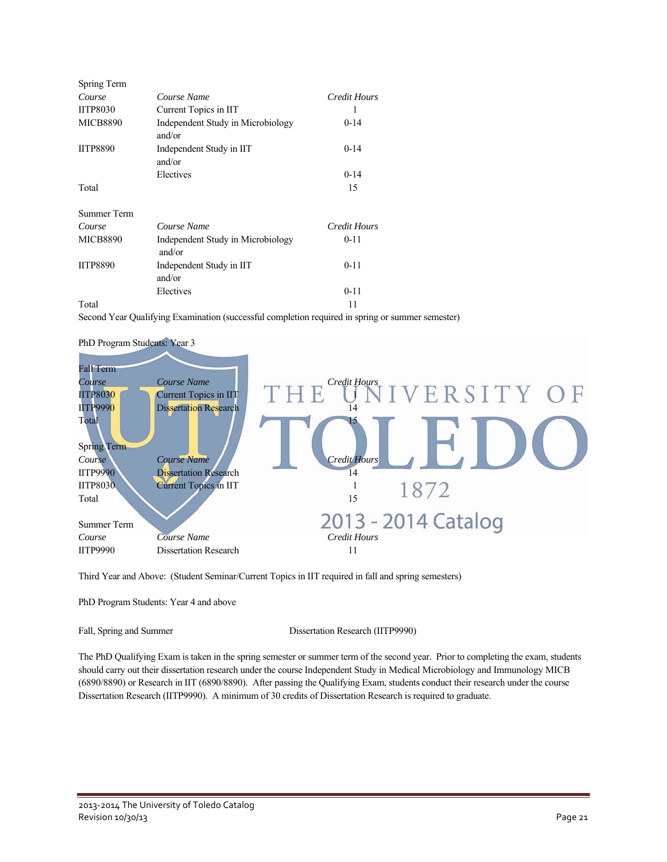| Spring Term     |                                             |                     |
|-----------------|---------------------------------------------|---------------------|
| Course          | Course Name                                 | Credit Hours        |
| <b>IITP8030</b> | Current Topics in IIT                       | 1                   |
| <b>MICB8890</b> | Independent Study in Microbiology<br>and/or | $0 - 14$            |
| <b>IITP8890</b> | Independent Study in IIT<br>and/or          | $0-14$              |
|                 | Electives                                   | $0 - 14$            |
| Total           |                                             | 15                  |
| Summer Term     |                                             |                     |
| Course          | Course Name                                 | <b>Credit Hours</b> |
| <b>MICB8890</b> | Independent Study in Microbiology<br>and/or | $0 - 11$            |
| <b>IITP8890</b> | Independent Study in IIT<br>and/or          | $0 - 11$            |
|                 | Electives                                   | $0 - 11$            |
| Total           |                                             | 11                  |

Second Year Qualifying Examination (successful completion required in spring or summer semester)



PhD Program Students: Year 3

Third Year and Above: (Student Seminar/Current Topics in IIT required in fall and spring semesters)

PhD Program Students: Year 4 and above

Fall, Spring and Summer Dissertation Research (IITP9990)

The PhD Qualifying Exam is taken in the spring semester or summer term of the second year. Prior to completing the exam, students should carry out their dissertation research under the course Independent Study in Medical Microbiology and Immunology MICB (6890/8890) or Research in IIT (6890/8890). After passing the Qualifying Exam, students conduct their research under the course Dissertation Research (IITP9990). A minimum of 30 credits of Dissertation Research is required to graduate.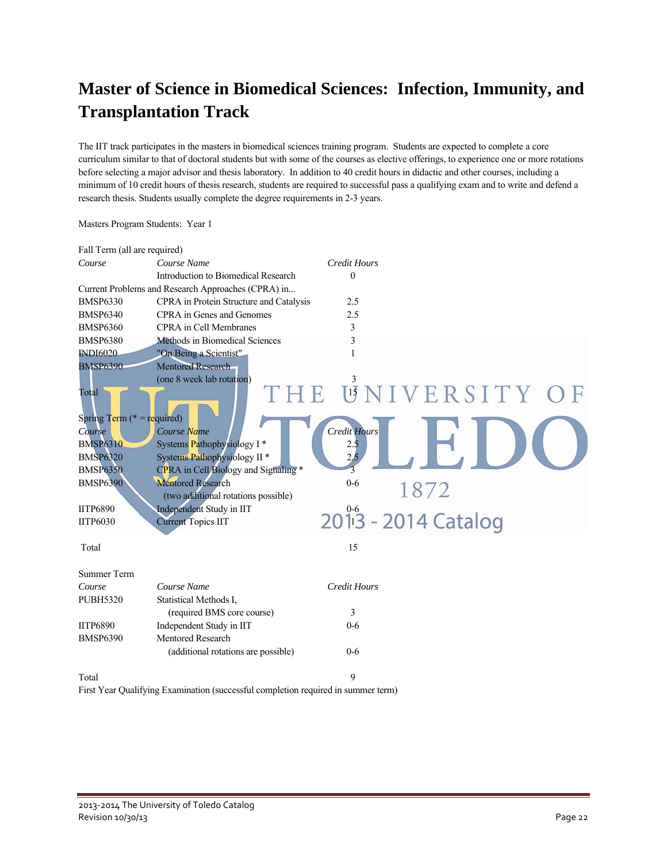### **Master of Science in Biomedical Sciences: Infection, Immunity, and Transplantation Track**

The IIT track participates in the masters in biomedical sciences training program. Students are expected to complete a core curriculum similar to that of doctoral students but with some of the courses as elective offerings, to experience one or more rotations before selecting a major advisor and thesis laboratory. In addition to 40 credit hours in didactic and other courses, including a minimum of 10 credit hours of thesis research, students are required to successful pass a qualifying exam and to write and defend a research thesis. Students usually complete the degree requirements in 2-3 years.

| Fall Term (all are required)                                                                                                                                       |                                                                                                                                                                                                                                                                                                          |                                                 |                                           |  |
|--------------------------------------------------------------------------------------------------------------------------------------------------------------------|----------------------------------------------------------------------------------------------------------------------------------------------------------------------------------------------------------------------------------------------------------------------------------------------------------|-------------------------------------------------|-------------------------------------------|--|
| Course                                                                                                                                                             | Course Name                                                                                                                                                                                                                                                                                              | <b>Credit Hours</b>                             |                                           |  |
|                                                                                                                                                                    | Introduction to Biomedical Research                                                                                                                                                                                                                                                                      | $\mathbf{0}$                                    |                                           |  |
|                                                                                                                                                                    | Current Problems and Research Approaches (CPRA) in                                                                                                                                                                                                                                                       |                                                 |                                           |  |
| <b>BMSP6330</b>                                                                                                                                                    | CPRA in Protein Structure and Catalysis                                                                                                                                                                                                                                                                  | 2.5                                             |                                           |  |
| <b>BMSP6340</b>                                                                                                                                                    | CPRA in Genes and Genomes                                                                                                                                                                                                                                                                                | 2.5                                             |                                           |  |
| <b>BMSP6360</b>                                                                                                                                                    | <b>CPRA</b> in Cell Membranes                                                                                                                                                                                                                                                                            | 3                                               |                                           |  |
| <b>BMSP6380</b>                                                                                                                                                    | Methods in Biomedical Sciences                                                                                                                                                                                                                                                                           | 3                                               |                                           |  |
| <b>INDI6020</b>                                                                                                                                                    | "On Being a Scientist"                                                                                                                                                                                                                                                                                   | $\mathbf{1}$                                    |                                           |  |
| <b>BMSP6390</b>                                                                                                                                                    | <b>Mentored Research</b>                                                                                                                                                                                                                                                                                 |                                                 |                                           |  |
| Total<br>Spring Term ( $* =$ required)<br>Course<br><b>BMSP6310</b><br><b>BMSP6320</b><br><b>BMSP6350</b><br><b>BMSP6390</b><br><b>IITP6890</b><br><b>IITP6030</b> | (one 8 week lab rotation)<br>Course Name<br>Systems Pathophysiology I <sup>*</sup><br>Systems Pathophysiology II <sup>*</sup><br>CPRA in Cell Biology and Signaling *<br><b>Mentored Research</b><br>(two additional rotations possible)<br><b>Independent Study in IIT</b><br><b>Current Topics IIT</b> | <b>Credit Hours</b><br>2.5<br>2,5<br>3<br>$0-6$ | UNIVERSITY<br>1872<br>2013 - 2014 Catalog |  |
| Total                                                                                                                                                              |                                                                                                                                                                                                                                                                                                          | 15                                              |                                           |  |
| <b>Summer Term</b>                                                                                                                                                 |                                                                                                                                                                                                                                                                                                          |                                                 |                                           |  |
| Course                                                                                                                                                             | Course Name                                                                                                                                                                                                                                                                                              | <b>Credit Hours</b>                             |                                           |  |
| <b>PUBH5320</b>                                                                                                                                                    | Statistical Methods I,                                                                                                                                                                                                                                                                                   |                                                 |                                           |  |
|                                                                                                                                                                    | (required BMS core course)                                                                                                                                                                                                                                                                               | 3                                               |                                           |  |
| <b>IITP6890</b>                                                                                                                                                    | Independent Study in IIT                                                                                                                                                                                                                                                                                 | $0 - 6$                                         |                                           |  |
| <b>BMSP6390</b>                                                                                                                                                    | Mentored Research                                                                                                                                                                                                                                                                                        |                                                 |                                           |  |
|                                                                                                                                                                    | (additional rotations are possible)                                                                                                                                                                                                                                                                      | $0 - 6$                                         |                                           |  |
| Total                                                                                                                                                              |                                                                                                                                                                                                                                                                                                          | 9                                               |                                           |  |
|                                                                                                                                                                    | First Year Qualifying Examination (successful completion required in summer term)                                                                                                                                                                                                                        |                                                 |                                           |  |

Masters Program Students: Year 1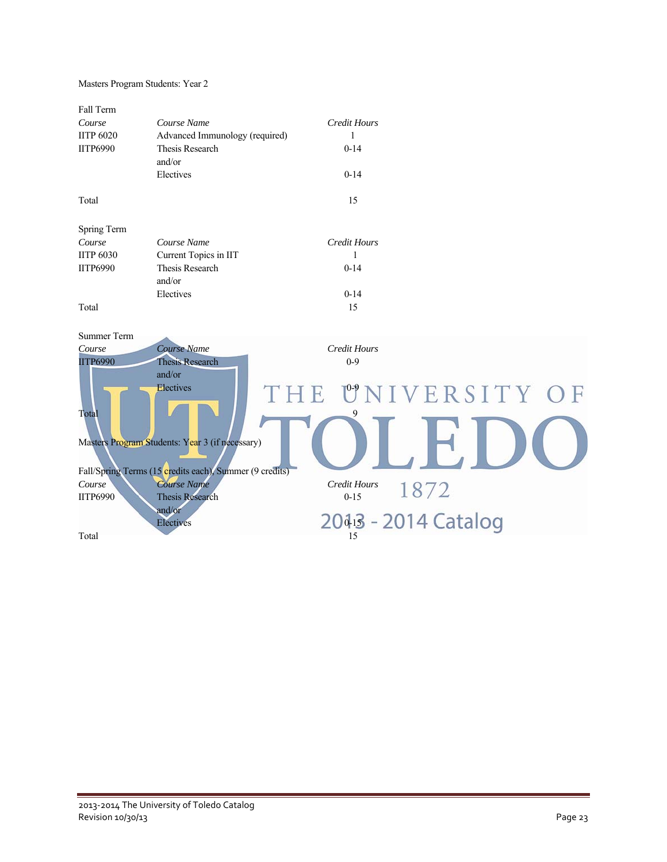#### Masters Program Students: Year 2

| Fall Term<br>Course<br><b>IITP 6020</b><br><b>IITP6990</b> | Course Name<br>Advanced Immunology (required)<br>Thesis Research<br>and/or<br>Electives | Credit Hours<br>1<br>$0-14$<br>$0 - 14$ |
|------------------------------------------------------------|-----------------------------------------------------------------------------------------|-----------------------------------------|
| Total                                                      |                                                                                         | 15                                      |
| Spring Term                                                |                                                                                         |                                         |
| Course                                                     | Course Name                                                                             | Credit Hours                            |
| <b>IITP 6030</b>                                           | Current Topics in IIT                                                                   |                                         |
| <b>IITP6990</b>                                            | Thesis Research                                                                         | $0-14$                                  |
|                                                            | and/or                                                                                  |                                         |
|                                                            | Electives                                                                               | $0 - 14$                                |
| Total                                                      |                                                                                         | 15                                      |

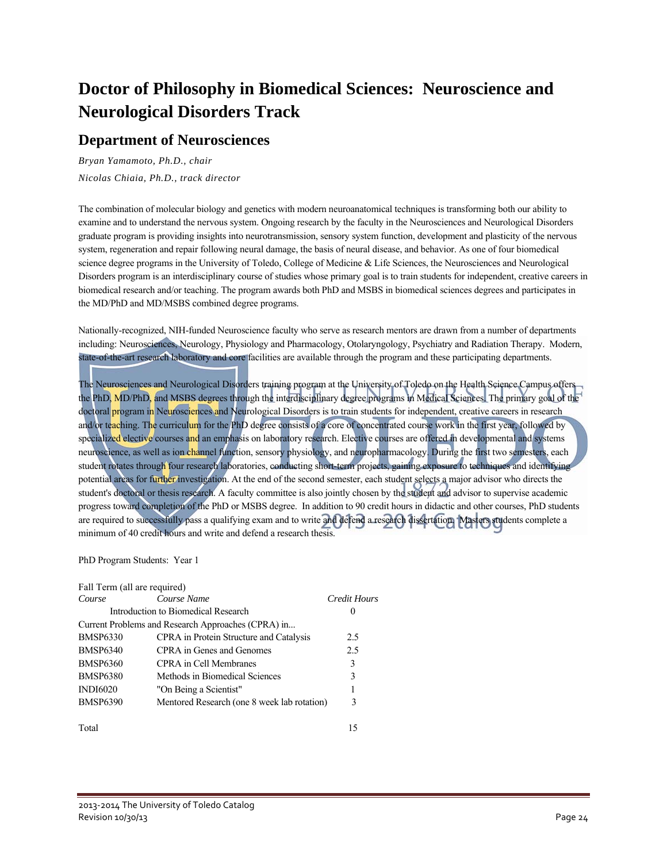### **Doctor of Philosophy in Biomedical Sciences: Neuroscience and Neurological Disorders Track**

### **Department of Neurosciences**

*Bryan Yamamoto, Ph.D., chair Nicolas Chiaia, Ph.D., track director* 

The combination of molecular biology and genetics with modern neuroanatomical techniques is transforming both our ability to examine and to understand the nervous system. Ongoing research by the faculty in the Neurosciences and Neurological Disorders graduate program is providing insights into neurotransmission, sensory system function, development and plasticity of the nervous system, regeneration and repair following neural damage, the basis of neural disease, and behavior. As one of four biomedical science degree programs in the University of Toledo, College of Medicine & Life Sciences, the Neurosciences and Neurological Disorders program is an interdisciplinary course of studies whose primary goal is to train students for independent, creative careers in biomedical research and/or teaching. The program awards both PhD and MSBS in biomedical sciences degrees and participates in the MD/PhD and MD/MSBS combined degree programs.

Nationally-recognized, NIH-funded Neuroscience faculty who serve as research mentors are drawn from a number of departments including: Neurosciences, Neurology, Physiology and Pharmacology, Otolaryngology, Psychiatry and Radiation Therapy. Modern, state-of-the-art research laboratory and core facilities are available through the program and these participating departments.

The Neurosciences and Neurological Disorders training program at the University of Toledo on the Health Science Campus offers the PhD, MD/PhD, and MSBS degrees through the interdisciplinary degree programs in Medical Sciences. The primary goal of the doctoral program in Neurosciences and Neurological Disorders is to train students for independent, creative careers in research and/or teaching. The curriculum for the PhD degree consists of a core of concentrated course work in the first year, followed by specialized elective courses and an emphasis on laboratory research. Elective courses are offered in developmental and systems neuroscience, as well as ion channel function, sensory physiology, and neuropharmacology. During the first two semesters, each student rotates through four research laboratories, conducting short-term projects, gaining exposure to techniques and identifying potential areas for further investigation. At the end of the second semester, each student selects a major advisor who directs the student's doctoral or thesis research. A faculty committee is also jointly chosen by the student and advisor to supervise academic progress toward completion of the PhD or MSBS degree. In addition to 90 credit hours in didactic and other courses, PhD students are required to successfully pass a qualifying exam and to write and defend a research dissertation. Masters students complete a minimum of 40 credit hours and write and defend a research thesis.

#### PhD Program Students: Year 1

| Fall Term (all are required) |                                                    |              |
|------------------------------|----------------------------------------------------|--------------|
| Course                       | Course Name                                        | Credit Hours |
|                              | Introduction to Biomedical Research                | $\theta$     |
|                              | Current Problems and Research Approaches (CPRA) in |              |
| <b>BMSP6330</b>              | <b>CPRA</b> in Protein Structure and Catalysis     | 2.5          |
| <b>BMSP6340</b>              | CPRA in Genes and Genomes                          | 2.5          |
| <b>BMSP6360</b>              | CPRA in Cell Membranes                             | 3            |
| <b>BMSP6380</b>              | Methods in Biomedical Sciences                     | 3            |
| <b>INDI6020</b>              | "On Being a Scientist"                             |              |
| <b>BMSP6390</b>              | Mentored Research (one 8 week lab rotation)        | 3            |
| Total                        |                                                    | 15           |

2013‐2014 The University of Toledo Catalog Revision  $10/30/13$  Page 24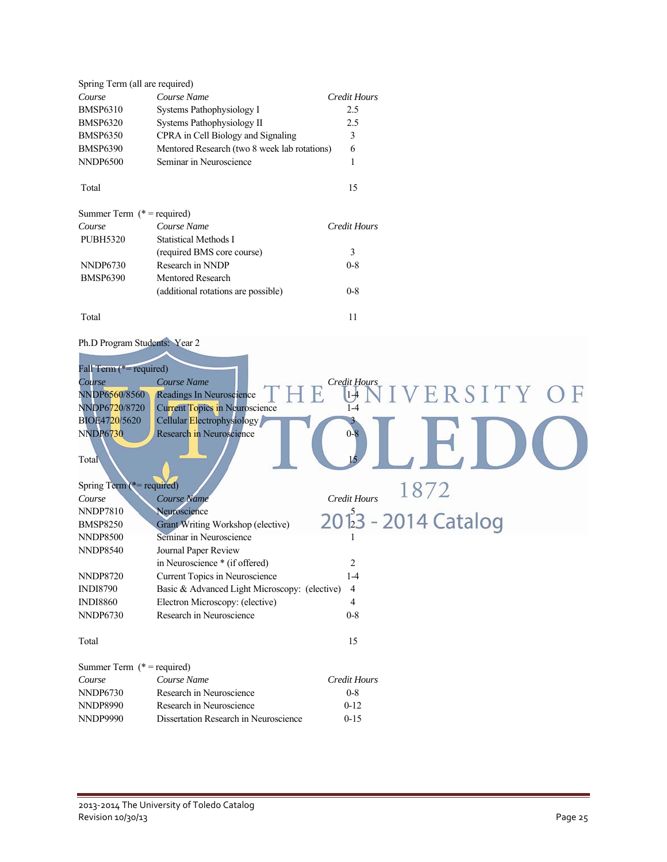| Spring Term (all are required) |                                              |              |
|--------------------------------|----------------------------------------------|--------------|
| Course                         | Course Name                                  | Credit Hours |
| <b>BMSP6310</b>                | Systems Pathophysiology I                    | 2.5          |
| <b>BMSP6320</b>                | Systems Pathophysiology II                   | 2.5          |
| <b>BMSP6350</b>                | CPRA in Cell Biology and Signaling           | 3            |
| <b>BMSP6390</b>                | Mentored Research (two 8 week lab rotations) | 6            |
| <b>NNDP6500</b>                | Seminar in Neuroscience                      | 1            |
| Total                          |                                              | 15           |
| Summer Term $(* = required)$   |                                              |              |
| Course                         | Course Name                                  | Credit Hours |
| <b>PUBH5320</b>                | <b>Statistical Methods I</b>                 |              |
|                                | (required BMS core course)                   | 3            |
| NNDP6730                       | Research in NNDP                             | $0 - 8$      |
| <b>BMSP6390</b>                | <b>Mentored Research</b>                     |              |
|                                | (additional rotations are possible)          | $0 - 8$      |
| Total                          |                                              | 11           |

### Ph.D Program Students: Year 2

| Fall Term (*= required)      |                                               |                     |                                   |
|------------------------------|-----------------------------------------------|---------------------|-----------------------------------|
| Course                       | Course Name                                   | Credit Hours        |                                   |
| NNDP6560/8560                | Readings In Neuroscience                      | $1 - 4$             | ERSITY OF                         |
| NNDP6720/8720                | <b>Current Topics in Neuroscience</b>         | $1 - 4$             |                                   |
| BIOE4720/5620                | Cellular Electrophysiology                    |                     |                                   |
| <b>NNDP6730</b>              | Research in Neuroscience                      | $0-8$               |                                   |
| Total                        |                                               |                     |                                   |
| Spring Term (*= required)    |                                               |                     | 1872                              |
| Course                       | Course Name                                   | Credit Hours        |                                   |
| <b>NNDP7810</b>              | Neuroscience                                  |                     |                                   |
| <b>BMSP8250</b>              | Grant Writing Workshop (elective)             |                     | 201 <sup>2</sup> 3 - 2014 Catalog |
| <b>NNDP8500</b>              | Seminar in Neuroscience                       |                     |                                   |
| <b>NNDP8540</b>              | Journal Paper Review                          |                     |                                   |
|                              | in Neuroscience * (if offered)                | $\overline{c}$      |                                   |
| <b>NNDP8720</b>              | Current Topics in Neuroscience                | $1 - 4$             |                                   |
| <b>INDI8790</b>              | Basic & Advanced Light Microscopy: (elective) | 4                   |                                   |
| <b>INDI8860</b>              | Electron Microscopy: (elective)               | 4                   |                                   |
| <b>NNDP6730</b>              | Research in Neuroscience                      | $0 - 8$             |                                   |
| Total                        |                                               | 15                  |                                   |
| Summer Term $(* = required)$ |                                               |                     |                                   |
| Course                       | Course Name                                   | <b>Credit Hours</b> |                                   |
| <b>NNDP6730</b>              | Research in Neuroscience                      | $0 - 8$             |                                   |
| <b>NNDP8990</b>              | Research in Neuroscience                      | $0 - 12$            |                                   |
| <b>NNDP9990</b>              | Dissertation Research in Neuroscience         | $0 - 15$            |                                   |
|                              |                                               |                     |                                   |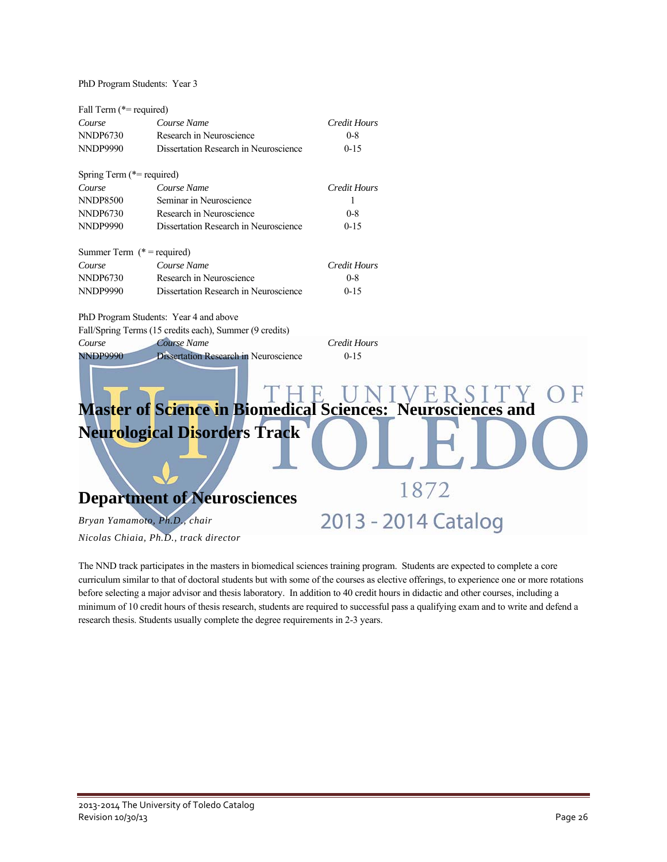PhD Program Students: Year 3

| Fall Term (*= required)      |                                                         |                                                                          |
|------------------------------|---------------------------------------------------------|--------------------------------------------------------------------------|
| Course                       | Course Name                                             | <b>Credit Hours</b>                                                      |
| <b>NNDP6730</b>              | Research in Neuroscience                                | $0 - 8$                                                                  |
| <b>NNDP9990</b>              | Dissertation Research in Neuroscience                   | $0 - 15$                                                                 |
| Spring Term (*= required)    |                                                         |                                                                          |
| Course                       | Course Name                                             | <b>Credit Hours</b>                                                      |
| <b>NNDP8500</b>              | Seminar in Neuroscience                                 | 1                                                                        |
| <b>NNDP6730</b>              | Research in Neuroscience                                | $0 - 8$                                                                  |
| <b>NNDP9990</b>              | Dissertation Research in Neuroscience                   | $0 - 15$                                                                 |
| Summer Term $(* = required)$ |                                                         |                                                                          |
| Course                       | Course Name                                             | <b>Credit Hours</b>                                                      |
| <b>NNDP6730</b>              | Research in Neuroscience                                | $0 - 8$                                                                  |
| <b>NNDP9990</b>              | Dissertation Research in Neuroscience                   | $0 - 15$                                                                 |
|                              | PhD Program Students: Year 4 and above                  |                                                                          |
|                              | Fall/Spring Terms (15 credits each), Summer (9 credits) |                                                                          |
| Course                       | Course Name                                             | <b>Credit Hours</b>                                                      |
| <b>NNDP9990</b>              | <b>Dissertation Research in Neuroscience</b>            | $0 - 1.5$<br>Master of Science in Biomedical Sciences: Neurosciences and |
|                              |                                                         |                                                                          |
|                              | <b>Neurological Disorders Track</b>                     | 1872                                                                     |
|                              | <b>Department of Neurosciences</b>                      |                                                                          |
|                              | Bryan Yamamoto, Ph.D., chair                            | 2013 - 2014 Catalog                                                      |
|                              | Nicolas Chiaia, Ph.D., track director                   |                                                                          |

The NND track participates in the masters in biomedical sciences training program. Students are expected to complete a core curriculum similar to that of doctoral students but with some of the courses as elective offerings, to experience one or more rotations before selecting a major advisor and thesis laboratory. In addition to 40 credit hours in didactic and other courses, including a minimum of 10 credit hours of thesis research, students are required to successful pass a qualifying exam and to write and defend a research thesis. Students usually complete the degree requirements in 2-3 years.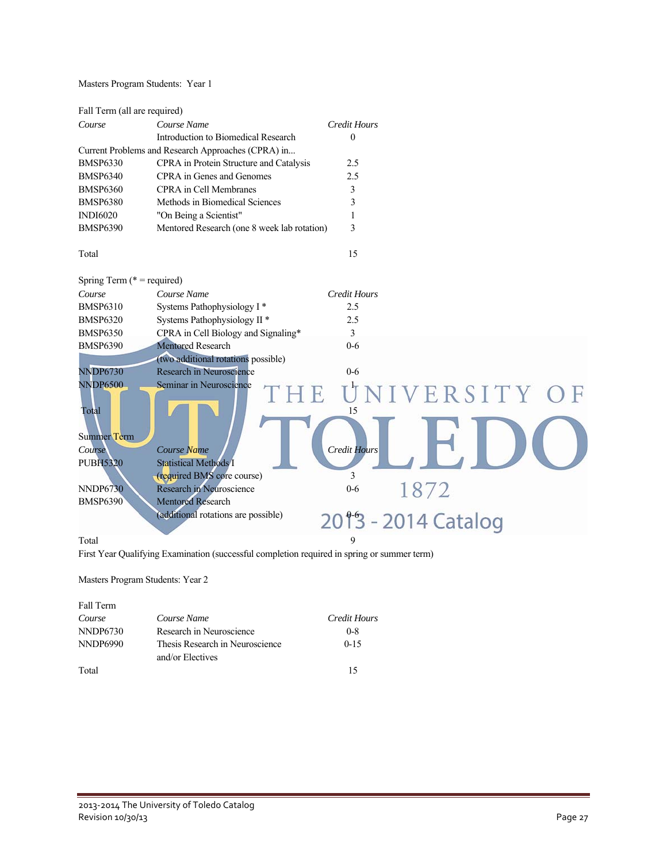Masters Program Students: Year 1

| Fall Term (all are required)                       |                                         |          |
|----------------------------------------------------|-----------------------------------------|----------|
| Course                                             | Course Name<br>Credit Hours             |          |
|                                                    | Introduction to Biomedical Research     | $\theta$ |
| Current Problems and Research Approaches (CPRA) in |                                         |          |
| <b>BMSP6330</b>                                    | CPRA in Protein Structure and Catalysis | 2.5      |
| <b>BMSP6340</b>                                    | CPRA in Genes and Genomes               | 2.5      |
| <b>BMSP6360</b>                                    | CPRA in Cell Membranes                  | 3        |
| <b>BMSP6380</b>                                    | Methods in Biomedical Sciences          | 3        |
| <b>INDI6020</b>                                    | "On Being a Scientist"                  |          |

BMSP6390 Mentored Research (one 8 week lab rotation) 3

Total 15

| Spring Term $(* = required)$ |                                                            |
|------------------------------|------------------------------------------------------------|
| Course                       | Course Name<br>Credit Hours                                |
| <b>BMSP6310</b>              | Systems Pathophysiology I <sup>*</sup><br>2.5              |
| <b>BMSP6320</b>              | Systems Pathophysiology II <sup>*</sup><br>2.5             |
| <b>BMSP6350</b>              | CPRA in Cell Biology and Signaling*<br>3                   |
| <b>BMSP6390</b>              | <b>Mentored Research</b><br>$0 - 6$                        |
|                              | (two additional rotations possible)                        |
| <b>NNDP6730</b>              | Research in Neuroscience<br>$0 - 6$                        |
| <b>NNDP6500</b><br>Total     | Seminar in Neuroscience<br>UNIVERSITY OF<br>TH<br>15       |
| Summer Term                  |                                                            |
| Course                       | <b>Credit Hours</b><br>Course Name                         |
| <b>PUBH5320</b>              | <b>Statistical Methods I</b><br>(required BMS core course) |
| <b>NNDP6730</b>              | 1872<br>Research in Neuroscience<br>$0 - 6$                |
| <b>BMSP6390</b>              | <b>Mentored Research</b>                                   |
|                              | (additional rotations are possible)<br>2013 - 2014 Catalog |
| Total                        | 9                                                          |

First Year Qualifying Examination (successful completion required in spring or summer term)

Masters Program Students: Year 2

| Fall Term |                                 |              |
|-----------|---------------------------------|--------------|
| Course    | Course Name                     | Credit Hours |
| NNDP6730  | Research in Neuroscience        | $0 - 8$      |
| NNDP6990  | Thesis Research in Neuroscience | $0 - 15$     |
|           | and/or Electives                |              |
| Total     |                                 | 15           |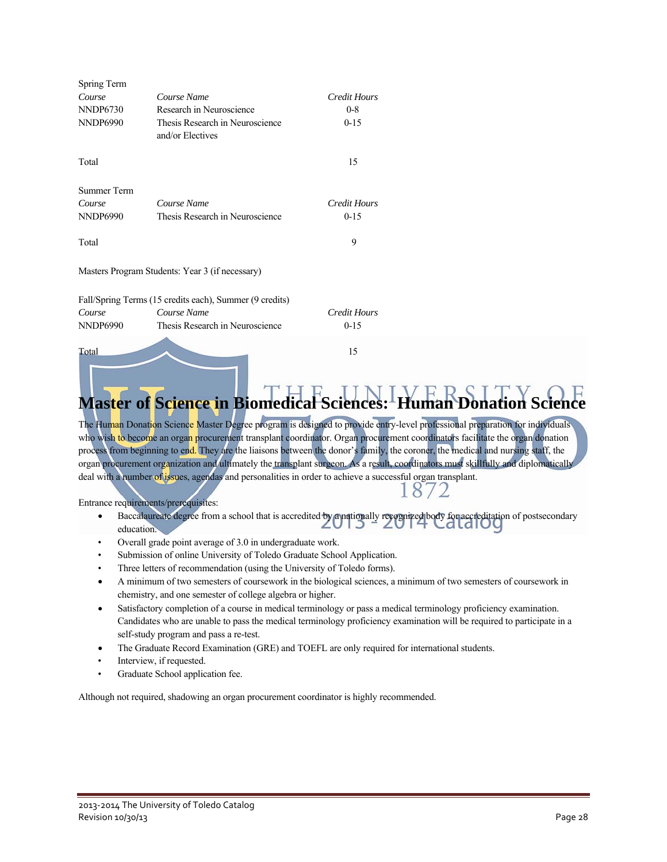| Spring Term        |                                                         |              |
|--------------------|---------------------------------------------------------|--------------|
| Course             | Course Name                                             | Credit Hours |
| NNDP6730           | Research in Neuroscience                                | $0 - 8$      |
| <b>NNDP6990</b>    | Thesis Research in Neuroscience<br>and/or Electives     | $0 - 15$     |
| Total              |                                                         | 15           |
| <b>Summer Term</b> |                                                         |              |
| Course             | Course Name                                             | Credit Hours |
| <b>NNDP6990</b>    | Thesis Research in Neuroscience                         | $0-15$       |
| Total              |                                                         | 9            |
|                    | Masters Program Students: Year 3 (if necessary)         |              |
|                    | Fall/Spring Terms (15 credits each), Summer (9 credits) |              |
| Course             | Course Name                                             | Credit Hours |
| NNDP6990           | Thesis Research in Neuroscience                         | $0-15$       |
| Total              |                                                         | 15           |

# **Master of Science in Biomedical**

The Human Donation Science Master Degree program is designed to provide entry-level professional preparation for individuals who wish to become an organ procurement transplant coordinator. Organ procurement coordinators facilitate the organ donation process from beginning to end. They are the liaisons between the donor's family, the coroner, the medical and nursing staff, the organ procurement organization and ultimately the transplant surgeon. As a result, coordinators must skillfully and diplomatically deal with a number of issues, agendas and personalities in order to achieve a successful organ transplant.

Entrance requirements/prerequisites:

- Baccalaureate degree from a school that is accredited by a nationally recognized body for accreditation of postsecondary education.
- Overall grade point average of 3.0 in undergraduate work.
- Submission of online University of Toledo Graduate School Application.
- Three letters of recommendation (using the University of Toledo forms).
- A minimum of two semesters of coursework in the biological sciences, a minimum of two semesters of coursework in chemistry, and one semester of college algebra or higher.
- Satisfactory completion of a course in medical terminology or pass a medical terminology proficiency examination. Candidates who are unable to pass the medical terminology proficiency examination will be required to participate in a self-study program and pass a re-test.
- The Graduate Record Examination (GRE) and TOEFL are only required for international students.
- Interview, if requested.
- Graduate School application fee.

Although not required, shadowing an organ procurement coordinator is highly recommended.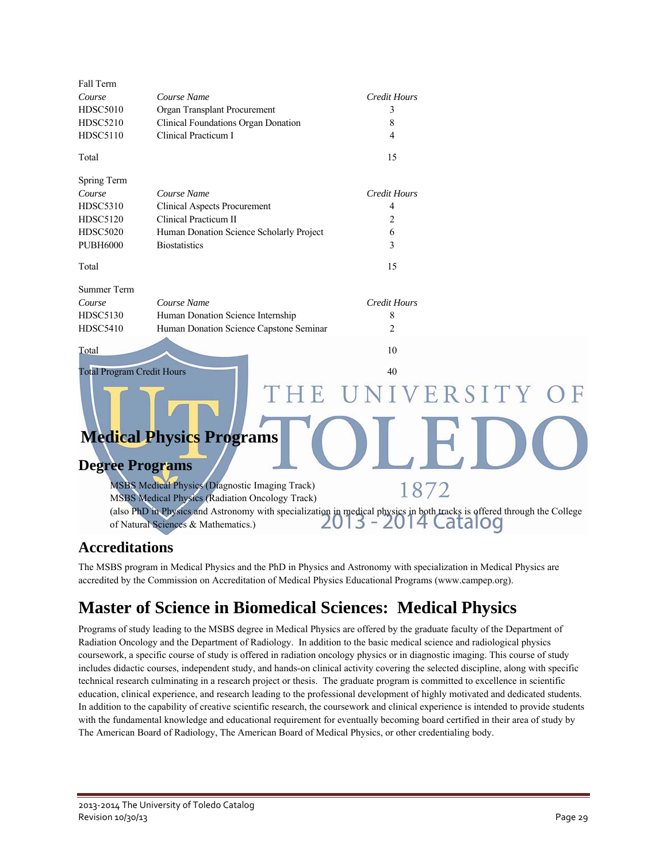| Fall Term                         |                                                                                                                                                                |                     |  |
|-----------------------------------|----------------------------------------------------------------------------------------------------------------------------------------------------------------|---------------------|--|
| Course                            | Course Name                                                                                                                                                    | <b>Credit Hours</b> |  |
| <b>HDSC5010</b>                   | Organ Transplant Procurement                                                                                                                                   | 3                   |  |
| <b>HDSC5210</b>                   | Clinical Foundations Organ Donation                                                                                                                            | 8                   |  |
| <b>HDSC5110</b>                   | Clinical Practicum I                                                                                                                                           | 4                   |  |
| Total                             |                                                                                                                                                                | 15                  |  |
| Spring Term                       |                                                                                                                                                                |                     |  |
| Course                            | Course Name                                                                                                                                                    | <b>Credit Hours</b> |  |
| <b>HDSC5310</b>                   | <b>Clinical Aspects Procurement</b>                                                                                                                            | 4                   |  |
| <b>HDSC5120</b>                   | Clinical Practicum II                                                                                                                                          | $\overline{c}$      |  |
| <b>HDSC5020</b>                   | Human Donation Science Scholarly Project                                                                                                                       | 6                   |  |
| <b>PUBH6000</b>                   | <b>Biostatistics</b>                                                                                                                                           | 3                   |  |
| Total                             |                                                                                                                                                                | 15                  |  |
| <b>Summer Term</b>                |                                                                                                                                                                |                     |  |
| Course                            | Course Name                                                                                                                                                    | <b>Credit Hours</b> |  |
| <b>HDSC5130</b>                   | Human Donation Science Internship                                                                                                                              | 8                   |  |
| <b>HDSC5410</b>                   | Human Donation Science Capstone Seminar                                                                                                                        | $\overline{2}$      |  |
| Total                             |                                                                                                                                                                | 10                  |  |
| <b>Total Program Credit Hours</b> |                                                                                                                                                                | 40                  |  |
|                                   |                                                                                                                                                                | VERSITY             |  |
|                                   |                                                                                                                                                                |                     |  |
|                                   | <b>Medical Physics Programs</b>                                                                                                                                |                     |  |
|                                   |                                                                                                                                                                |                     |  |
| <b>Degree Programs</b>            |                                                                                                                                                                |                     |  |
|                                   | <b>MSBS Medical Physics (Diagnostic Imaging Track)</b>                                                                                                         | 1872                |  |
|                                   | <b>MSBS</b> Medical Physics (Radiation Oncology Track)                                                                                                         |                     |  |
|                                   | (also PhD in Physics and Astronomy with specialization in medical physics in both tracks is offered through the College<br>of Natural Sciences & Mathematics.) | Latalod             |  |
|                                   |                                                                                                                                                                |                     |  |

### **Accreditations**

 The MSBS program in Medical Physics and the PhD in Physics and Astronomy with specialization in Medical Physics are accredited by the Commission on Accreditation of Medical Physics Educational Programs (www.campep.org).

### **Master of Science in Biomedical Sciences: Medical Physics**

Programs of study leading to the MSBS degree in Medical Physics are offered by the graduate faculty of the Department of Radiation Oncology and the Department of Radiology. In addition to the basic medical science and radiological physics coursework, a specific course of study is offered in radiation oncology physics or in diagnostic imaging. This course of study includes didactic courses, independent study, and hands-on clinical activity covering the selected discipline, along with specific technical research culminating in a research project or thesis. The graduate program is committed to excellence in scientific education, clinical experience, and research leading to the professional development of highly motivated and dedicated students. In addition to the capability of creative scientific research, the coursework and clinical experience is intended to provide students with the fundamental knowledge and educational requirement for eventually becoming board certified in their area of study by The American Board of Radiology, The American Board of Medical Physics, or other credentialing body.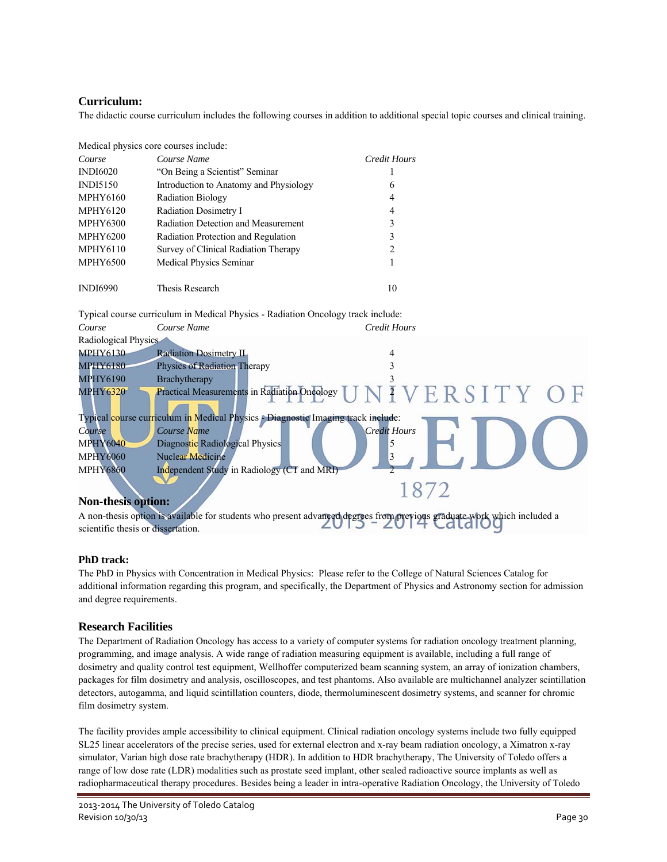### **Curriculum:**

The didactic course curriculum includes the following courses in addition to additional special topic courses and clinical training.

|                 | Medical physics core courses include:  |              |
|-----------------|----------------------------------------|--------------|
| Course          | Course Name                            | Credit Hours |
| <b>INDI6020</b> | "On Being a Scientist" Seminar         |              |
| <b>INDI5150</b> | Introduction to Anatomy and Physiology | 6            |
| <b>MPHY6160</b> | <b>Radiation Biology</b>               | 4            |
| <b>MPHY6120</b> | Radiation Dosimetry I                  | 4            |
| <b>MPHY6300</b> | Radiation Detection and Measurement    | 3            |
| <b>MPHY6200</b> | Radiation Protection and Regulation    | 3            |
| <b>MPHY6110</b> | Survey of Clinical Radiation Therapy   | 2            |
| <b>MPHY6500</b> | <b>Medical Physics Seminar</b>         |              |
|                 |                                        |              |
| <b>INDI6990</b> | <b>Thesis Research</b>                 | 10           |

Typical course curriculum in Medical Physics - Radiation Oncology track include:

| Course               | Course Name                                                                      | <b>Credit Hours</b>                                                                                                |
|----------------------|----------------------------------------------------------------------------------|--------------------------------------------------------------------------------------------------------------------|
| Radiological Physics |                                                                                  |                                                                                                                    |
| <b>MPHY6130</b>      | <b>Radiation Dosimetry II</b>                                                    |                                                                                                                    |
| <b>MPHY6180</b>      | <b>Physics of Radiation Therapy</b>                                              |                                                                                                                    |
| <b>MPHY6190</b>      | Brachytherapy                                                                    |                                                                                                                    |
| <b>MPHY6320</b>      |                                                                                  | Practical Measurements in Radiation Oncology $\overline{U}$ $N$ $\overline{I}$ $V$ $E$ $R$ $S$ $I$ $T$ $Y$ $O$ $F$ |
|                      | Typical course curriculum in Medical Physics - Diagnostic Imaging track include: |                                                                                                                    |
| Course               | Course Name                                                                      | <b>Credit Hours</b>                                                                                                |
| <b>MPHY6040</b>      | Diagnostic Radiological Physics                                                  |                                                                                                                    |
| <b>MPHY6060</b>      | <b>Nuclear Medicine</b>                                                          |                                                                                                                    |
| <b>MPHY6860</b>      | Independent Study in Radiology (CT and MRI)                                      |                                                                                                                    |
|                      |                                                                                  |                                                                                                                    |

### **Non-thesis option:**

A non-thesis option is available for students who present advanced degrees from previous graduate work which included a scientific thesis or dissertation.

### **PhD track:**

The PhD in Physics with Concentration in Medical Physics: Please refer to the College of Natural Sciences Catalog for additional information regarding this program, and specifically, the Department of Physics and Astronomy section for admission and degree requirements.

### **Research Facilities**

The Department of Radiation Oncology has access to a variety of computer systems for radiation oncology treatment planning, programming, and image analysis. A wide range of radiation measuring equipment is available, including a full range of dosimetry and quality control test equipment, Wellhoffer computerized beam scanning system, an array of ionization chambers, packages for film dosimetry and analysis, oscilloscopes, and test phantoms. Also available are multichannel analyzer scintillation detectors, autogamma, and liquid scintillation counters, diode, thermoluminescent dosimetry systems, and scanner for chromic film dosimetry system.

The facility provides ample accessibility to clinical equipment. Clinical radiation oncology systems include two fully equipped SL25 linear accelerators of the precise series, used for external electron and x-ray beam radiation oncology, a Ximatron x-ray simulator, Varian high dose rate brachytherapy (HDR). In addition to HDR brachytherapy, The University of Toledo offers a range of low dose rate (LDR) modalities such as prostate seed implant, other sealed radioactive source implants as well as radiopharmaceutical therapy procedures. Besides being a leader in intra-operative Radiation Oncology, the University of Toledo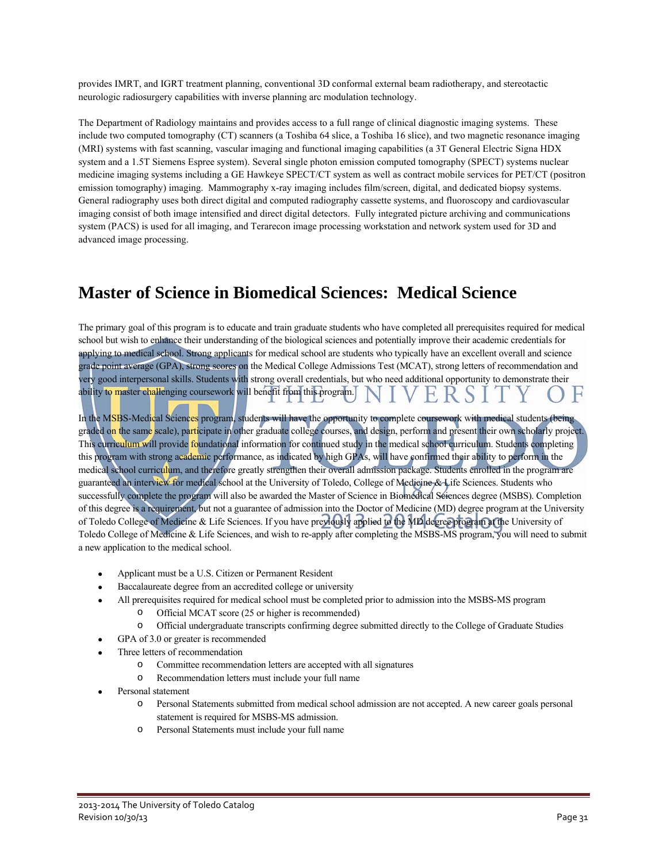provides IMRT, and IGRT treatment planning, conventional 3D conformal external beam radiotherapy, and stereotactic neurologic radiosurgery capabilities with inverse planning arc modulation technology.

The Department of Radiology maintains and provides access to a full range of clinical diagnostic imaging systems. These include two computed tomography (CT) scanners (a Toshiba 64 slice, a Toshiba 16 slice), and two magnetic resonance imaging (MRI) systems with fast scanning, vascular imaging and functional imaging capabilities (a 3T General Electric Signa HDX system and a 1.5T Siemens Espree system). Several single photon emission computed tomography (SPECT) systems nuclear medicine imaging systems including a GE Hawkeye SPECT/CT system as well as contract mobile services for PET/CT (positron emission tomography) imaging. Mammography x-ray imaging includes film/screen, digital, and dedicated biopsy systems. General radiography uses both direct digital and computed radiography cassette systems, and fluoroscopy and cardiovascular imaging consist of both image intensified and direct digital detectors. Fully integrated picture archiving and communications system (PACS) is used for all imaging, and Terarecon image processing workstation and network system used for 3D and advanced image processing.

### **Master of Science in Biomedical Sciences: Medical Science**

The primary goal of this program is to educate and train graduate students who have completed all prerequisites required for medical school but wish to enhance their understanding of the biological sciences and potentially improve their academic credentials for applying to medical school. Strong applicants for medical school are students who typically have an excellent overall and science grade point average (GPA), strong scores on the Medical College Admissions Test (MCAT), strong letters of recommendation and very good interpersonal skills. Students with strong overall credentials, but who need additional opportunity to demonstrate their ability to master challenging coursework will benefit from this program.

In the MSBS-Medical Sciences program, students will have the opportunity to complete coursework with medical students (being graded on the same scale), participate in other graduate college courses, and design, perform and present their own scholarly project. This curriculum will provide foundational information for continued study in the medical school curriculum. Students completing this program with strong academic performance, as indicated by high GPAs, will have confirmed their ability to perform in the medical school curriculum, and therefore greatly strengthen their overall admission package. Students enrolled in the program are guaranteed an interview for medical school at the University of Toledo, College of Medicine & Life Sciences. Students who successfully complete the program will also be awarded the Master of Science in Biomedical Sciences degree (MSBS). Completion of this degree is a requirement, but not a guarantee of admission into the Doctor of Medicine (MD) degree program at the University of Toledo College of Medicine & Life Sciences. If you have previously applied to the MD degree program at the University of Toledo College of Medicine & Life Sciences, and wish to re-apply after completing the MSBS-MS program, you will need to submit a new application to the medical school.

- Applicant must be a U.S. Citizen or Permanent Resident
- Baccalaureate degree from an accredited college or university
- All prerequisites required for medical school must be completed prior to admission into the MSBS-MS program
	- o Official MCAT score (25 or higher is recommended)
	- o Official undergraduate transcripts confirming degree submitted directly to the College of Graduate Studies
- GPA of 3.0 or greater is recommended
- Three letters of recommendation
	- o Committee recommendation letters are accepted with all signatures
	- o Recommendation letters must include your full name
- Personal statement
	- o Personal Statements submitted from medical school admission are not accepted. A new career goals personal statement is required for MSBS-MS admission.
	- o Personal Statements must include your full name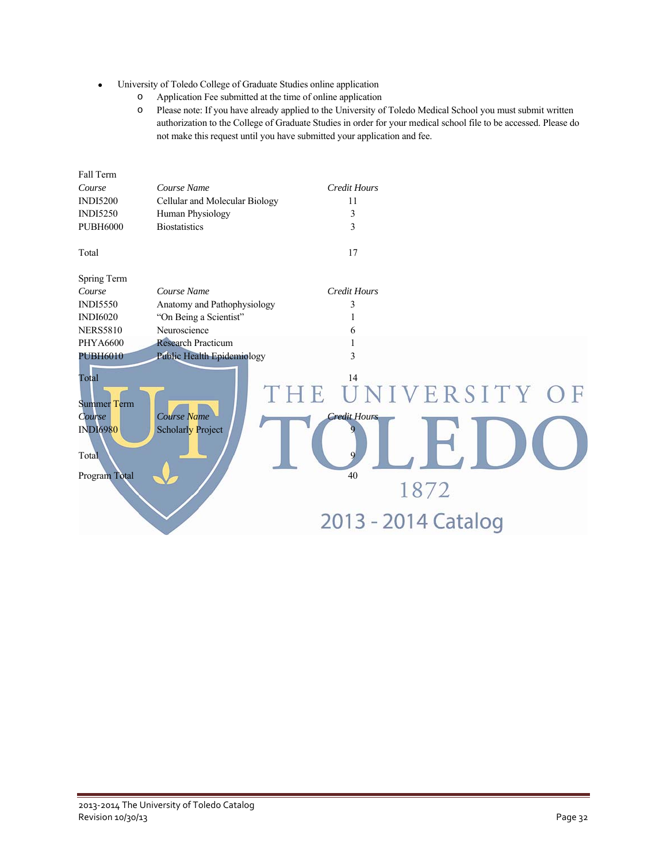- University of Toledo College of Graduate Studies online application
	- o Application Fee submitted at the time of online application
	- o Please note: If you have already applied to the University of Toledo Medical School you must submit written authorization to the College of Graduate Studies in order for your medical school file to be accessed. Please do not make this request until you have submitted your application and fee.

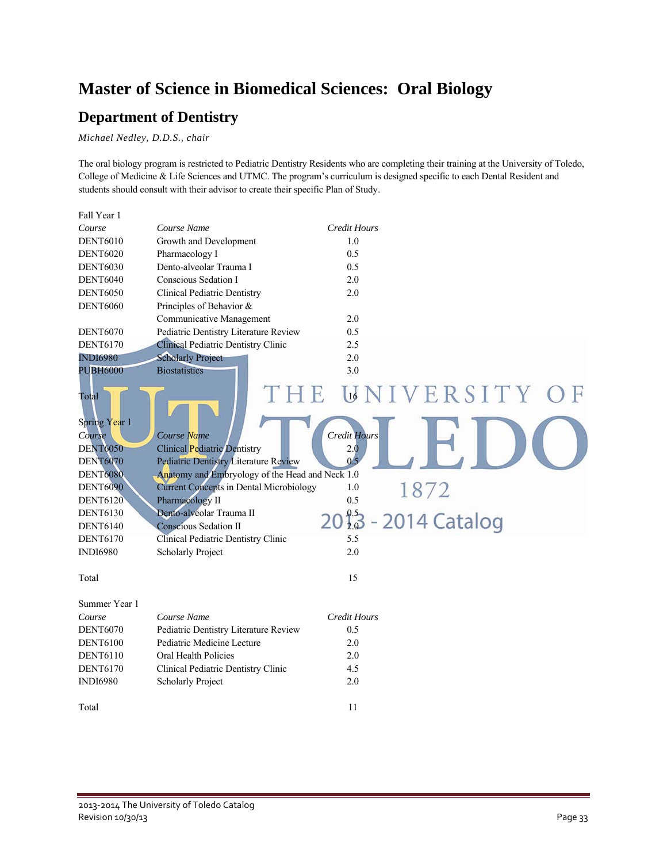### **Master of Science in Biomedical Sciences: Oral Biology**

### **Department of Dentistry**

*Michael Nedley, D.D.S., chair* 

The oral biology program is restricted to Pediatric Dentistry Residents who are completing their training at the University of Toledo, College of Medicine & Life Sciences and UTMC. The program's curriculum is designed specific to each Dental Resident and students should consult with their advisor to create their specific Plan of Study.

| Fall Year 1     |                                                 |                                 |
|-----------------|-------------------------------------------------|---------------------------------|
| Course          | Course Name                                     | <b>Credit Hours</b>             |
| <b>DENT6010</b> | Growth and Development                          | 1.0                             |
| <b>DENT6020</b> | Pharmacology I                                  | 0.5                             |
| <b>DENT6030</b> | Dento-alveolar Trauma I                         | 0.5                             |
| <b>DENT6040</b> | Conscious Sedation I                            | 2.0                             |
| <b>DENT6050</b> | <b>Clinical Pediatric Dentistry</b>             | 2.0                             |
| <b>DENT6060</b> | Principles of Behavior &                        |                                 |
|                 | Communicative Management                        | 2.0                             |
| <b>DENT6070</b> | Pediatric Dentistry Literature Review           | 0.5                             |
| <b>DENT6170</b> | Clinical Pediatric Dentistry Clinic             | 2.5                             |
| <b>INDI6980</b> | <b>Scholarly Project</b>                        | 2.0                             |
| <b>PUBH6000</b> | <b>Biostatistics</b>                            | 3.0                             |
| Total           |                                                 | <b>UNIVERSITY OF</b>            |
|                 |                                                 |                                 |
| Spring Year 1   |                                                 |                                 |
| Course          | Course Name                                     | <b>Credit Hours</b>             |
| <b>DENT6050</b> | <b>Clinical Pediatric Dentistry</b>             | 2.0                             |
| <b>DENT6070</b> | <b>Pediatric Dentistry Literature Review</b>    | 0 <sub>5</sub>                  |
| <b>DENT6080</b> | Anatomy and Embryology of the Head and Neck 1.0 |                                 |
| <b>DENT6090</b> | <b>Current Concepts in Dental Microbiology</b>  | 1872<br>1.0                     |
| <b>DENT6120</b> | Pharmacology II                                 | 0.5                             |
| <b>DENT6130</b> | Dento-alveolar Trauma II                        | $20^{9.5}_{1.9}$ - 2014 Catalog |
| <b>DENT6140</b> | <b>Conscious Sedation II</b>                    |                                 |
| <b>DENT6170</b> | Clinical Pediatric Dentistry Clinic             | 5.5                             |
| <b>INDI6980</b> | <b>Scholarly Project</b>                        | 2.0                             |
| Total           |                                                 | 15                              |
| Summer Year 1   |                                                 |                                 |
| Course          | Course Name                                     | <b>Credit Hours</b>             |
| <b>DENT6070</b> | Pediatric Dentistry Literature Review           | 0.5                             |
| <b>DENT6100</b> | Pediatric Medicine Lecture                      | 2.0                             |
| <b>DENT6110</b> | Oral Health Policies                            | 2.0                             |
| <b>DENT6170</b> | Clinical Pediatric Dentistry Clinic             | 4.5                             |
| <b>INDI6980</b> | <b>Scholarly Project</b>                        | 2.0                             |
|                 |                                                 |                                 |
| Total           |                                                 | 11                              |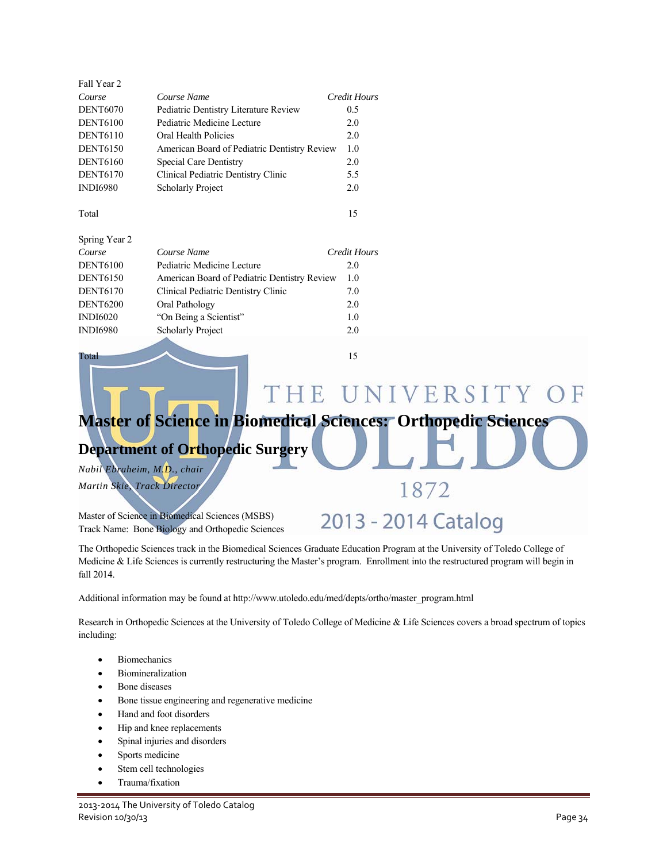| Fall Year 2     |                                              |              |
|-----------------|----------------------------------------------|--------------|
| Course          | Course Name                                  | Credit Hours |
| <b>DENT6070</b> | Pediatric Dentistry Literature Review        | 0.5          |
| <b>DENT6100</b> | Pediatric Medicine Lecture                   | 2.0          |
| <b>DENT6110</b> | Oral Health Policies                         | 2.0          |
| <b>DENT6150</b> | American Board of Pediatric Dentistry Review | 1.0          |
| <b>DENT6160</b> | <b>Special Care Dentistry</b>                | 2.0          |
| <b>DENT6170</b> | Clinical Pediatric Dentistry Clinic          | 5.5          |
| <b>INDI6980</b> | <b>Scholarly Project</b>                     | 2.0          |
|                 |                                              |              |

Total 15

| Spring Year 2   |                                              |              |
|-----------------|----------------------------------------------|--------------|
| Course          | Course Name                                  | Credit Hours |
| <b>DENT6100</b> | Pediatric Medicine Lecture                   | 2.0          |
| <b>DENT6150</b> | American Board of Pediatric Dentistry Review | 1.0          |
| <b>DENT6170</b> | Clinical Pediatric Dentistry Clinic          | 7.0          |
| <b>DENT6200</b> | Oral Pathology                               | 2.0          |
| <b>INDI6020</b> | "On Being a Scientist"                       | 1.0          |
| <b>INDI6980</b> | <b>Scholarly Project</b>                     | 2.0          |
|                 |                                              |              |

Total 15

#### THE UNIVERSITY ) F

### **Master of Science in Biomedical Sciences: Orthopedic Sciences**

### **Department of Orthopedic Surgery**

*Nabil Ebraheim, M.D., chair Martin Skie, Track Director* 

Master of Science in Biomedical Sciences (MSBS) Track Name: Bone Biology and Orthopedic Sciences

# 1872

# 2013 - 2014 Catalog

The Orthopedic Sciences track in the Biomedical Sciences Graduate Education Program at the University of Toledo College of Medicine & Life Sciences is currently restructuring the Master's program. Enrollment into the restructured program will begin in fall 2014.

Additional information may be found at http://www.utoledo.edu/med/depts/ortho/master\_program.html

Research in Orthopedic Sciences at the University of Toledo College of Medicine & Life Sciences covers a broad spectrum of topics including:

- Biomechanics
- Biomineralization
- Bone diseases
- Bone tissue engineering and regenerative medicine
- Hand and foot disorders
- Hip and knee replacements
- Spinal injuries and disorders
- Sports medicine
- Stem cell technologies
- Trauma/fixation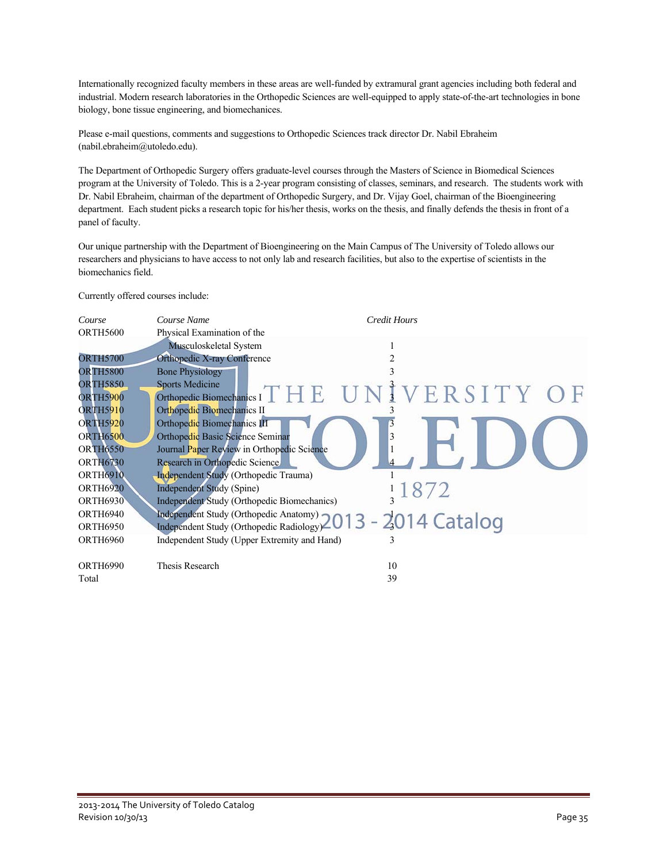Internationally recognized faculty members in these areas are well-funded by extramural grant agencies including both federal and industrial. Modern research laboratories in the Orthopedic Sciences are well-equipped to apply state-of-the-art technologies in bone biology, bone tissue engineering, and biomechanices.

Please e-mail questions, comments and suggestions to Orthopedic Sciences track director Dr. Nabil Ebraheim (nabil.ebraheim@utoledo.edu).

The Department of Orthopedic Surgery offers graduate-level courses through the Masters of Science in Biomedical Sciences program at the University of Toledo. This is a 2-year program consisting of classes, seminars, and research. The students work with Dr. Nabil Ebraheim, chairman of the department of Orthopedic Surgery, and Dr. Vijay Goel, chairman of the Bioengineering department. Each student picks a research topic for his/her thesis, works on the thesis, and finally defends the thesis in front of a panel of faculty.

Our unique partnership with the Department of Bioengineering on the Main Campus of The University of Toledo allows our researchers and physicians to have access to not only lab and research facilities, but also to the expertise of scientists in the biomechanics field.

Currently offered courses include:

| Course          | Course Name                                                | Credit Hours                                 |
|-----------------|------------------------------------------------------------|----------------------------------------------|
| <b>ORTH5600</b> | Physical Examination of the                                |                                              |
|                 | Musculoskeletal System                                     |                                              |
| <b>ORTH5700</b> | <b>Orthopedic X-ray Conference</b>                         | 2                                            |
| <b>ORTH5800</b> | <b>Bone Physiology</b>                                     | 3                                            |
| <b>ORTH5850</b> | <b>Sports Medicine</b>                                     |                                              |
| <b>ORTH5900</b> |                                                            | Orthopedic Biomechanics IT H E UNIVERSITY OF |
| <b>ORTH5910</b> | Orthopedic Biomechanics II                                 |                                              |
| <b>ORTH5920</b> | Orthopedic Biomechanics III                                |                                              |
| <b>ORTH6500</b> | Orthopedic Basic Science Seminar                           |                                              |
| <b>ORTH6550</b> | Journal Paper Review in Orthopedic Science                 |                                              |
| <b>ORTH6730</b> | Research in Orthopedic Science                             |                                              |
| <b>ORTH6910</b> | <b>Independent Study (Orthopedic Trauma)</b>               |                                              |
| <b>ORTH6920</b> | <b>Independent Study (Spine)</b>                           |                                              |
| <b>ORTH6930</b> | Independent Study (Orthopedic Biomechanics)                |                                              |
| <b>ORTH6940</b> | Independent Study (Orthopedic Anatomy) 2013 - 2014 Catalog |                                              |
| <b>ORTH6950</b> | Independent Study (Orthopedic Radiology)                   |                                              |
| <b>ORTH6960</b> | Independent Study (Upper Extremity and Hand)               | 3                                            |
|                 |                                                            |                                              |
| <b>ORTH6990</b> | Thesis Research                                            | 10                                           |
| Total           |                                                            | 39                                           |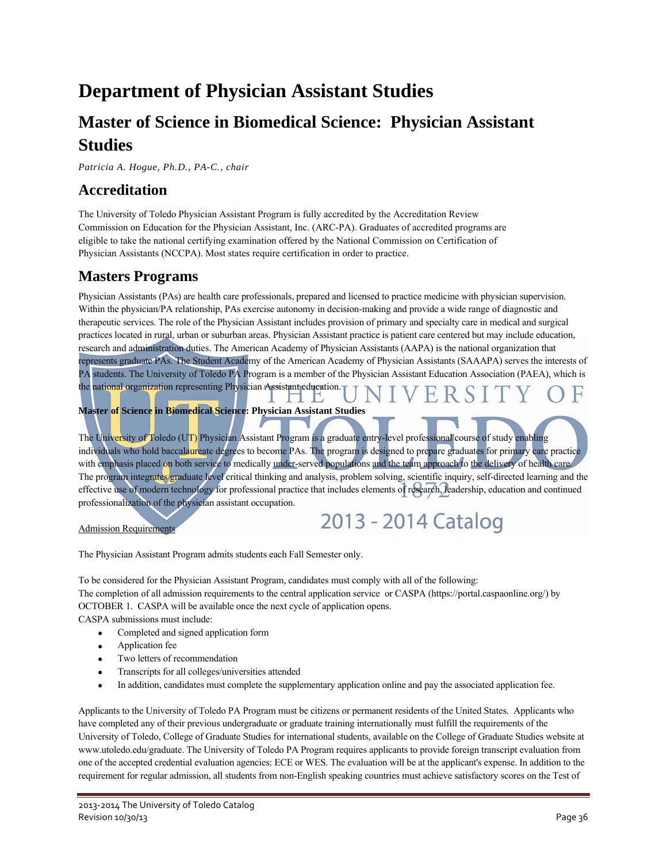## **Department of Physician Assistant Studies**

### **Master of Science in Biomedical Science: Physician Assistant Studies**

*Patricia A. Hogue, Ph.D., PA-C., chair* 

### **Accreditation**

The University of Toledo Physician Assistant Program is fully accredited by the Accreditation Review Commission on Education for the Physician Assistant, Inc. (ARC-PA). Graduates of accredited programs are eligible to take the national certifying examination offered by the National Commission on Certification of Physician Assistants (NCCPA). Most states require certification in order to practice.

### **Masters Programs**

Physician Assistants (PAs) are health care professionals, prepared and licensed to practice medicine with physician supervision. Within the physician/PA relationship, PAs exercise autonomy in decision-making and provide a wide range of diagnostic and therapeutic services. The role of the Physician Assistant includes provision of primary and specialty care in medical and surgical practices located in rural, urban or suburban areas. Physician Assistant practice is patient care centered but may include education, research and administration duties. The American Academy of Physician Assistants (AAPA) is the national organization that represents graduate PAs. The Student Academy of the American Academy of Physician Assistants (SAAAPA) serves the interests of PA students. The University of Toledo PA Program is a member of the Physician Assistant Education Association (PAEA), which is the national organization representing Physician Assistant education.  $\perp$ 

**Master of Science in Biomedical Science: Physician Assistant Studies** 

The University of Toledo (UT) Physician Assistant Program is a graduate entry-level professional course of study enabling individuals who hold baccalaureate degrees to become PAs. The program is designed to prepare graduates for primary care practice with emphasis placed on both service to medically under-served populations and the team approach to the delivery of health care. The program integrates graduate level critical thinking and analysis, problem solving, scientific inquiry, self-directed learning and the effective use of modern technology for professional practice that includes elements of research, leadership, education and continued professionalization of the physician assistant occupation. 2013 - 2014 Catalog

Admission Requirements

The Physician Assistant Program admits students each Fall Semester only.

To be considered for the Physician Assistant Program, candidates must comply with all of the following: The completion of all admission requirements to the central application service or CASPA (https://portal.caspaonline.org/) by OCTOBER 1. CASPA will be available once the next cycle of application opens.

CASPA submissions must include:

- Completed and signed application form
- Application fee
- Two letters of recommendation
- Transcripts for all colleges/universities attended
- In addition, candidates must complete the supplementary application online and pay the associated application fee.

Applicants to the University of Toledo PA Program must be citizens or permanent residents of the United States. Applicants who have completed any of their previous undergraduate or graduate training internationally must fulfill the requirements of the University of Toledo, College of Graduate Studies for international students, available on the College of Graduate Studies website at www.utoledo.edu/graduate. The University of Toledo PA Program requires applicants to provide foreign transcript evaluation from one of the accepted credential evaluation agencies: ECE or WES. The evaluation will be at the applicant's expense. In addition to the requirement for regular admission, all students from non-English speaking countries must achieve satisfactory scores on the Test of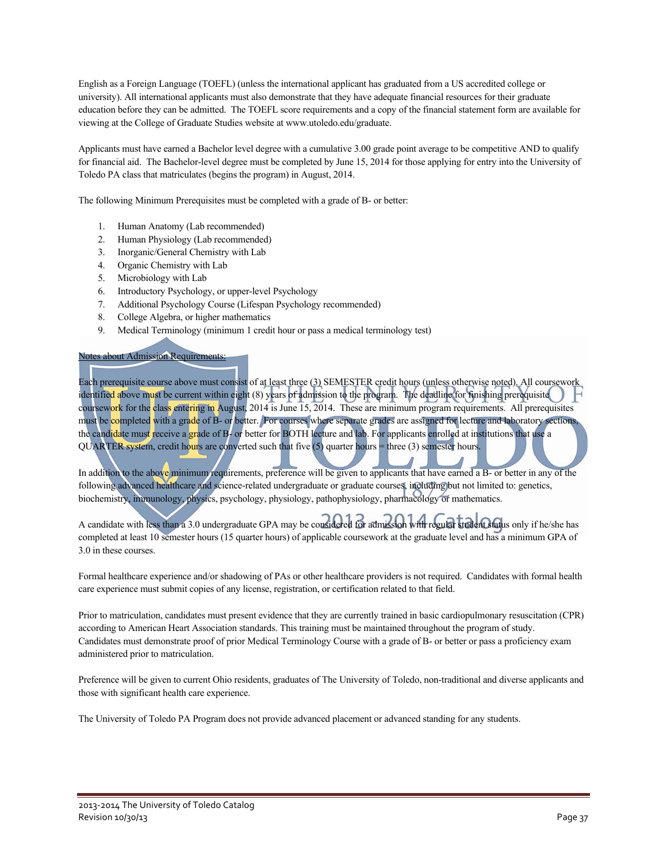English as a Foreign Language (TOEFL) (unless the international applicant has graduated from a US accredited college or university). All international applicants must also demonstrate that they have adequate financial resources for their graduate education before they can be admitted. The TOEFL score requirements and a copy of the financial statement form are available for viewing at the College of Graduate Studies website at www.utoledo.edu/graduate.

Applicants must have earned a Bachelor level degree with a cumulative 3.00 grade point average to be competitive AND to qualify for financial aid. The Bachelor-level degree must be completed by June 15, 2014 for those applying for entry into the University of Toledo PA class that matriculates (begins the program) in August, 2014.

The following Minimum Prerequisites must be completed with a grade of B- or better:

- 1. Human Anatomy (Lab recommended)
- 2. Human Physiology (Lab recommended)
- 3. Inorganic/General Chemistry with Lab
- 4. Organic Chemistry with Lab
- 5. Microbiology with Lab
- 6. Introductory Psychology, or upper-level Psychology
- 7. Additional Psychology Course (Lifespan Psychology recommended)
- 8. College Algebra, or higher mathematics
- 9. Medical Terminology (minimum 1 credit hour or pass a medical terminology test)

### Notes about Admission Requirements:

Each prerequisite course above must consist of at least three (3) SEMESTER credit hours (unless otherwise noted). All coursework identified above must be current within eight (8) years of admission to the program. The deadline for finishing prerequisite coursework for the class entering in August, 2014 is June 15, 2014. These are minimum program requirements. All prerequisites must be completed with a grade of B- or better. For courses where separate grades are assigned for lecture and laboratory sections, the candidate must receive a grade of B- or better for BOTH lecture and lab. For applicants enrolled at institutions that use a QUARTER system, credit hours are converted such that five (5) quarter hours = three (3) semester hours.

In addition to the above minimum requirements, preference will be given to applicants that have earned a B- or better in any of the following advanced healthcare and science-related undergraduate or graduate courses, including but not limited to: genetics, biochemistry, immunology, physics, psychology, physiology, pathophysiology, pharmacology or mathematics.

A candidate with less than a 3.0 undergraduate GPA may be considered for admission with regular student status only if he/she has completed at least 10 semester hours (15 quarter hours) of applicable coursework at the graduate level and has a minimum GPA of 3.0 in these courses.

Formal healthcare experience and/or shadowing of PAs or other healthcare providers is not required. Candidates with formal health care experience must submit copies of any license, registration, or certification related to that field.

Prior to matriculation, candidates must present evidence that they are currently trained in basic cardiopulmonary resuscitation (CPR) according to American Heart Association standards. This training must be maintained throughout the program of study. Candidates must demonstrate proof of prior Medical Terminology Course with a grade of B- or better or pass a proficiency exam administered prior to matriculation.

Preference will be given to current Ohio residents, graduates of The University of Toledo, non-traditional and diverse applicants and those with significant health care experience.

The University of Toledo PA Program does not provide advanced placement or advanced standing for any students.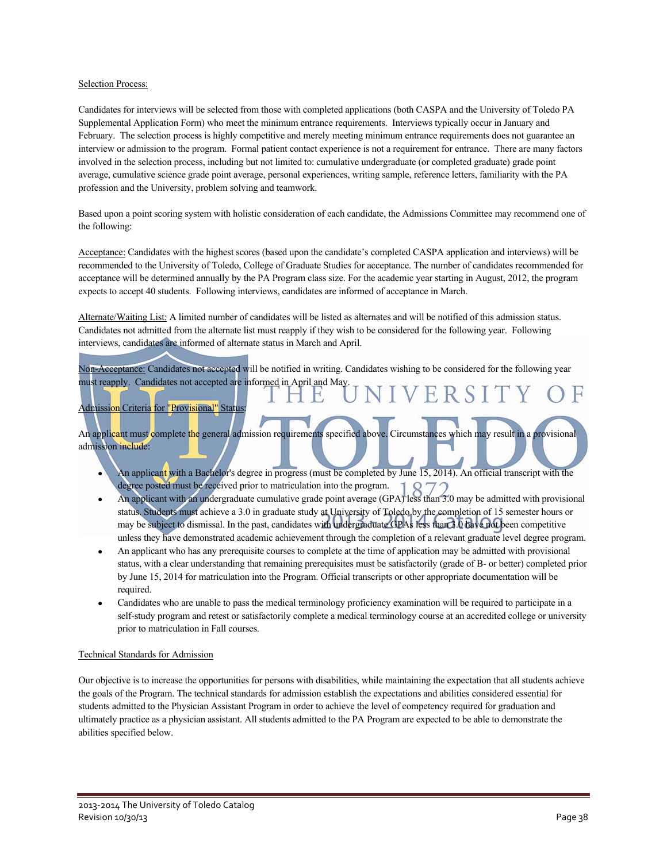#### Selection Process:

Candidates for interviews will be selected from those with completed applications (both CASPA and the University of Toledo PA Supplemental Application Form) who meet the minimum entrance requirements. Interviews typically occur in January and February. The selection process is highly competitive and merely meeting minimum entrance requirements does not guarantee an interview or admission to the program. Formal patient contact experience is not a requirement for entrance. There are many factors involved in the selection process, including but not limited to: cumulative undergraduate (or completed graduate) grade point average, cumulative science grade point average, personal experiences, writing sample, reference letters, familiarity with the PA profession and the University, problem solving and teamwork.

Based upon a point scoring system with holistic consideration of each candidate, the Admissions Committee may recommend one of the following:

Acceptance: Candidates with the highest scores (based upon the candidate's completed CASPA application and interviews) will be recommended to the University of Toledo, College of Graduate Studies for acceptance. The number of candidates recommended for acceptance will be determined annually by the PA Program class size. For the academic year starting in August, 2012, the program expects to accept 40 students. Following interviews, candidates are informed of acceptance in March.

Alternate/Waiting List: A limited number of candidates will be listed as alternates and will be notified of this admission status. Candidates not admitted from the alternate list must reapply if they wish to be considered for the following year. Following interviews, candidates are informed of alternate status in March and April.

Non-Acceptance: Candidates not accepted will be notified in writing. Candidates wishing to be considered for the following year must reapply. Candidates not accepted are informed in April and May. VERSI

### **Admission Criteria for "Provisional" Status**

An applicant must complete the general admission requirements specified above. Circumstances which may result in a provisional admission include:

- An applicant with a Bachelor's degree in progress (must be completed by June 15, 2014). An official transcript with the degree posted must be received prior to matriculation into the program.
- An applicant with an undergraduate cumulative grade point average (GPA) less than 3.0 may be admitted with provisional status. Students must achieve a 3.0 in graduate study at University of Toledo by the completion of 15 semester hours or may be subject to dismissal. In the past, candidates with undergraduate GPAs less than 3.0 have not been competitive unless they have demonstrated academic achievement through the completion of a relevant graduate level degree program.
- An applicant who has any prerequisite courses to complete at the time of application may be admitted with provisional status, with a clear understanding that remaining prerequisites must be satisfactorily (grade of B- or better) completed prior by June 15, 2014 for matriculation into the Program. Official transcripts or other appropriate documentation will be required.
- Candidates who are unable to pass the medical terminology proficiency examination will be required to participate in a self-study program and retest or satisfactorily complete a medical terminology course at an accredited college or university prior to matriculation in Fall courses.

#### Technical Standards for Admission

Our objective is to increase the opportunities for persons with disabilities, while maintaining the expectation that all students achieve the goals of the Program. The technical standards for admission establish the expectations and abilities considered essential for students admitted to the Physician Assistant Program in order to achieve the level of competency required for graduation and ultimately practice as a physician assistant. All students admitted to the PA Program are expected to be able to demonstrate the abilities specified below.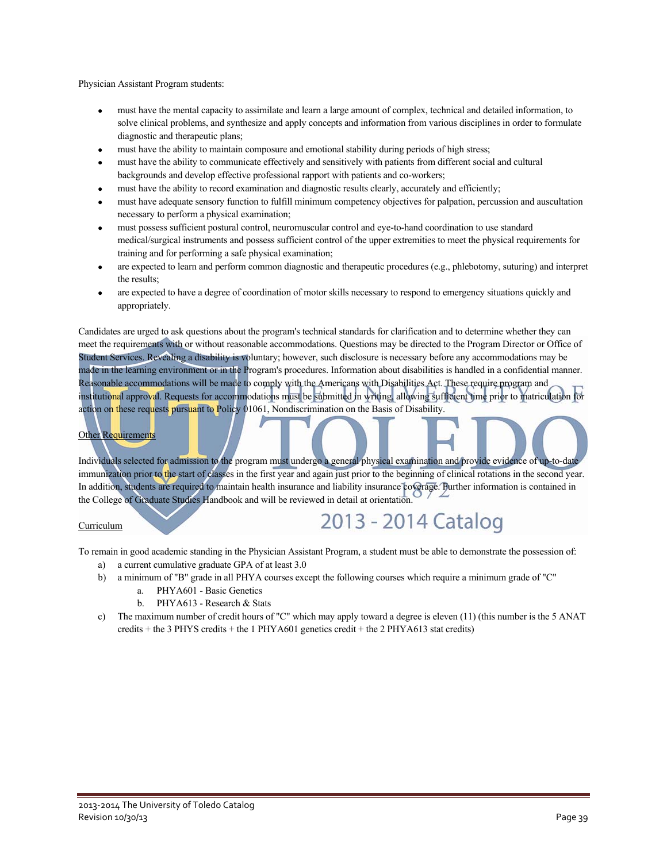Physician Assistant Program students:

- must have the mental capacity to assimilate and learn a large amount of complex, technical and detailed information, to solve clinical problems, and synthesize and apply concepts and information from various disciplines in order to formulate diagnostic and therapeutic plans;
- must have the ability to maintain composure and emotional stability during periods of high stress;
- must have the ability to communicate effectively and sensitively with patients from different social and cultural backgrounds and develop effective professional rapport with patients and co-workers;
- must have the ability to record examination and diagnostic results clearly, accurately and efficiently;
- must have adequate sensory function to fulfill minimum competency objectives for palpation, percussion and auscultation necessary to perform a physical examination;
- must possess sufficient postural control, neuromuscular control and eye-to-hand coordination to use standard medical/surgical instruments and possess sufficient control of the upper extremities to meet the physical requirements for training and for performing a safe physical examination;
- are expected to learn and perform common diagnostic and therapeutic procedures (e.g., phlebotomy, suturing) and interpret the results;
- are expected to have a degree of coordination of motor skills necessary to respond to emergency situations quickly and appropriately.

Candidates are urged to ask questions about the program's technical standards for clarification and to determine whether they can meet the requirements with or without reasonable accommodations. Questions may be directed to the Program Director or Office of Student Services. Revealing a disability is voluntary; however, such disclosure is necessary before any accommodations may be made in the learning environment or in the Program's procedures. Information about disabilities is handled in a confidential manner. Reasonable accommodations will be made to comply with the Americans with Disabilities Act. These require program and institutional approval. Requests for accommodations must be submitted in writing, allowing sufficient time prior to matriculation for action on these requests pursuant to Policy 01061, Nondiscrimination on the Basis of Disability.

#### **Other Requirements**

Individuals selected for admission to the program must undergo a general physical examination and provide evidence of up-to-date immunization prior to the start of classes in the first year and again just prior to the beginning of clinical rotations in the second year. In addition, students are required to maintain health insurance and liability insurance coverage. Further information is contained in the College of Graduate Studies Handbook and will be reviewed in detail at orientation.

#### Curriculum

# 2013 - 2014 Catalog

To remain in good academic standing in the Physician Assistant Program, a student must be able to demonstrate the possession of:

- a) a current cumulative graduate GPA of at least 3.0
- b) a minimum of "B" grade in all PHYA courses except the following courses which require a minimum grade of "C"
	- a. PHYA601 Basic Genetics
	- b. PHYA613 Research & Stats
- c) The maximum number of credit hours of "C" which may apply toward a degree is eleven (11) (this number is the 5 ANAT credits + the 3 PHYS credits + the 1 PHYA601 genetics credit + the 2 PHYA613 stat credits)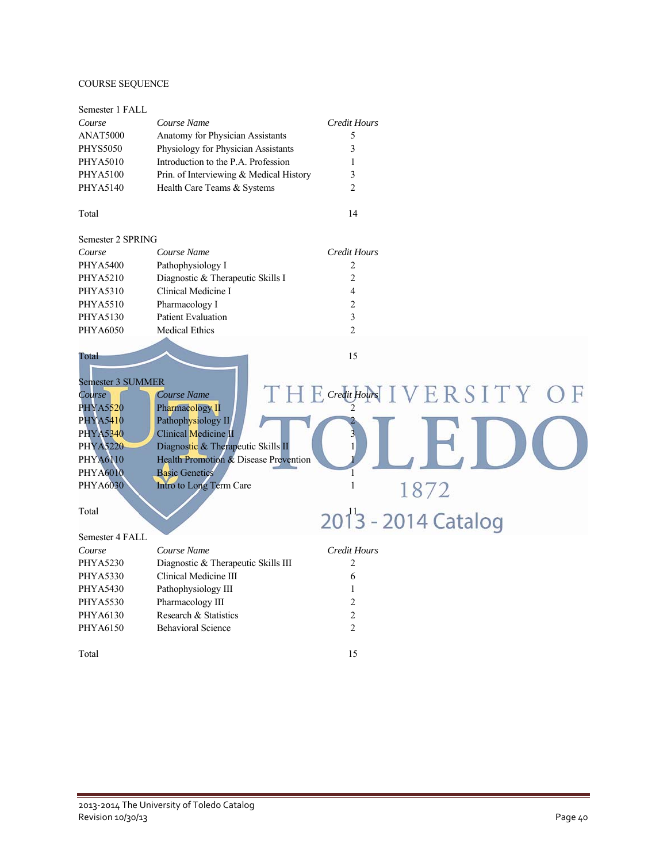### COURSE SEQUENCE

| Semester 1 FALL                                            |                                                                             |                                      |
|------------------------------------------------------------|-----------------------------------------------------------------------------|--------------------------------------|
| Course                                                     | Course Name                                                                 | <b>Credit Hours</b>                  |
| <b>ANAT5000</b>                                            | Anatomy for Physician Assistants                                            | 5                                    |
| <b>PHYS5050</b>                                            | Physiology for Physician Assistants                                         | 3                                    |
| PHYA5010                                                   | Introduction to the P.A. Profession                                         | 1                                    |
| <b>PHYA5100</b>                                            | Prin. of Interviewing & Medical History                                     | 3                                    |
| PHYA5140                                                   | Health Care Teams & Systems                                                 | $\overline{2}$                       |
| Total                                                      |                                                                             | 14                                   |
| Semester 2 SPRING                                          |                                                                             |                                      |
| Course                                                     | Course Name                                                                 | <b>Credit Hours</b>                  |
| <b>PHYA5400</b>                                            | Pathophysiology I                                                           | $\overline{c}$                       |
| <b>PHYA5210</b>                                            | Diagnostic & Therapeutic Skills I                                           | $\overline{c}$                       |
| PHYA5310                                                   | Clinical Medicine I                                                         | $\overline{\mathbf{4}}$              |
| <b>PHYA5510</b>                                            | Pharmacology I                                                              | $\overline{c}$                       |
| PHYA5130                                                   | <b>Patient Evaluation</b>                                                   | 3                                    |
| PHYA6050                                                   | <b>Medical Ethics</b>                                                       | $\overline{2}$                       |
| Total                                                      |                                                                             | 15                                   |
| Semester 3 SUMMER<br>Course<br>PHYA5520<br><b>PHYA5410</b> | Course Name<br>Pharmacology II<br>Pathophysiology II                        | VERSITY O<br>$E$ Credit Hours $\Box$ |
| <b>PHYA5340</b><br><b>PHYA5220</b>                         | Clinical Medicine II                                                        |                                      |
| <b>PHYA6110</b>                                            | Diagnostic & Therapeutic Skills II<br>Health Promotion & Disease Prevention |                                      |
| <b>PHYA6010</b>                                            | <b>Basic Genetics</b>                                                       | 1                                    |
| <b>PHYA6030</b>                                            | Intro to Long Term Care                                                     | $\mathbf{1}$<br>1872                 |
| Total                                                      |                                                                             | 2013 - 2014 Catalog                  |
| Semester 4 FALL                                            |                                                                             |                                      |
| Course                                                     | Course Name                                                                 | <b>Credit Hours</b>                  |
| <b>PHYA5230</b>                                            | Diagnostic & Therapeutic Skills III                                         | $\overline{c}$                       |
| <b>PHYA5330</b>                                            | Clinical Medicine III                                                       | 6                                    |
| <b>PHYA5430</b>                                            | Pathophysiology III                                                         | 1                                    |
| <b>PHYA5530</b>                                            | Pharmacology III                                                            | $\overline{c}$                       |
| PHYA6130                                                   | Research & Statistics                                                       | $\overline{2}$                       |
| PHYA6150                                                   | <b>Behavioral Science</b>                                                   | $\overline{c}$                       |
| Total                                                      |                                                                             | 15                                   |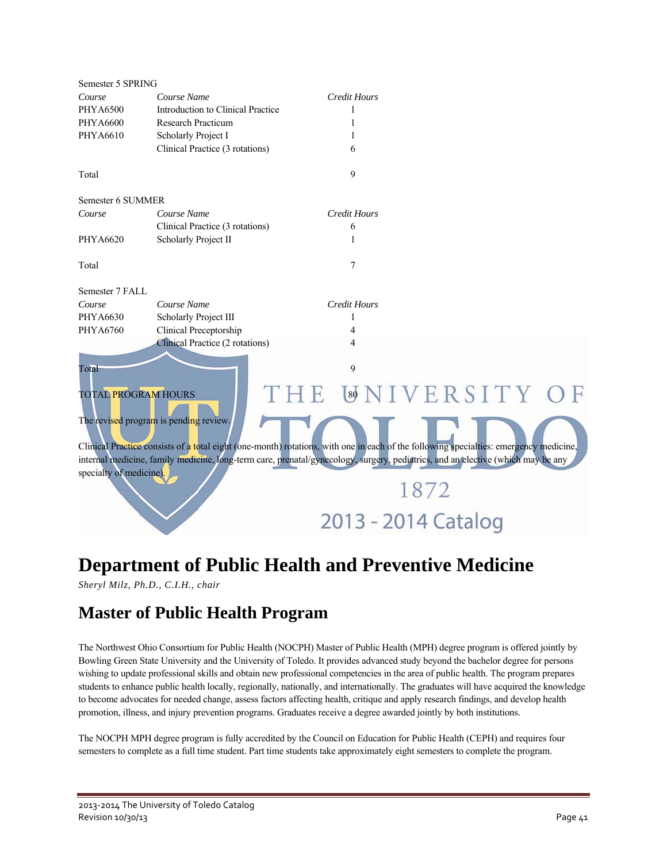| Semester 5 SPRING                                                                                                                     |                                   |                     |  |  |  |  |
|---------------------------------------------------------------------------------------------------------------------------------------|-----------------------------------|---------------------|--|--|--|--|
| Course                                                                                                                                | Course Name                       | <b>Credit Hours</b> |  |  |  |  |
| <b>PHYA6500</b>                                                                                                                       | Introduction to Clinical Practice | 1                   |  |  |  |  |
| <b>PHYA6600</b>                                                                                                                       | <b>Research Practicum</b>         | 1                   |  |  |  |  |
| PHYA6610                                                                                                                              | Scholarly Project I               | 1                   |  |  |  |  |
|                                                                                                                                       | Clinical Practice (3 rotations)   | 6                   |  |  |  |  |
| Total                                                                                                                                 |                                   | 9                   |  |  |  |  |
| Semester 6 SUMMER                                                                                                                     |                                   |                     |  |  |  |  |
| Course                                                                                                                                | Course Name                       | <b>Credit Hours</b> |  |  |  |  |
|                                                                                                                                       | Clinical Practice (3 rotations)   | 6                   |  |  |  |  |
| PHYA6620                                                                                                                              | Scholarly Project II              | 1                   |  |  |  |  |
| Total                                                                                                                                 |                                   | 7                   |  |  |  |  |
| Semester 7 FALL                                                                                                                       |                                   |                     |  |  |  |  |
| Course                                                                                                                                | Course Name                       | <b>Credit Hours</b> |  |  |  |  |
| PHYA6630                                                                                                                              | Scholarly Project III             | 1                   |  |  |  |  |
| PHYA6760                                                                                                                              | Clinical Preceptorship            | 4                   |  |  |  |  |
|                                                                                                                                       | Clinical Practice (2 rotations)   | 4                   |  |  |  |  |
| 9<br>Total                                                                                                                            |                                   |                     |  |  |  |  |
| <b>TOTAL PROGRAM HOURS</b>                                                                                                            |                                   | THE WNIVERSITY O    |  |  |  |  |
| The revised program is pending review.                                                                                                |                                   |                     |  |  |  |  |
| Clinical Practice consists of a total eight (one-month) rotations, with one in each of the following specialties: emergency medicine, |                                   |                     |  |  |  |  |
| internal medicine, family medicine, long-term care, prenatal/gynecology, surgery, pediatrics, and an elective (which may be any       |                                   |                     |  |  |  |  |
| specialty of medicine).                                                                                                               |                                   |                     |  |  |  |  |
|                                                                                                                                       | 1872                              |                     |  |  |  |  |
|                                                                                                                                       |                                   |                     |  |  |  |  |
|                                                                                                                                       |                                   | 2013 - 2014 Catalog |  |  |  |  |

### **Department of Public Health and Preventive Medicine**

*Sheryl Milz, Ph.D., C.I.H., chair* 

### **Master of Public Health Program**

The Northwest Ohio Consortium for Public Health (NOCPH) Master of Public Health (MPH) degree program is offered jointly by Bowling Green State University and the University of Toledo. It provides advanced study beyond the bachelor degree for persons wishing to update professional skills and obtain new professional competencies in the area of public health. The program prepares students to enhance public health locally, regionally, nationally, and internationally. The graduates will have acquired the knowledge to become advocates for needed change, assess factors affecting health, critique and apply research findings, and develop health promotion, illness, and injury prevention programs. Graduates receive a degree awarded jointly by both institutions.

The NOCPH MPH degree program is fully accredited by the Council on Education for Public Health (CEPH) and requires four semesters to complete as a full time student. Part time students take approximately eight semesters to complete the program.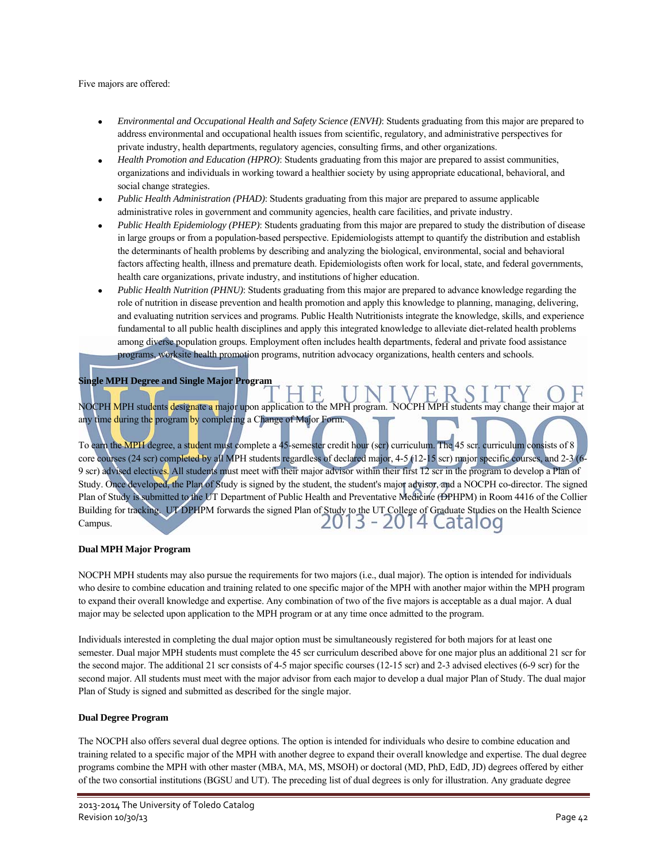#### Five majors are offered:

- *Environmental and Occupational Health and Safety Science (ENVH)*: Students graduating from this major are prepared to address environmental and occupational health issues from scientific, regulatory, and administrative perspectives for private industry, health departments, regulatory agencies, consulting firms, and other organizations.
- *Health Promotion and Education (HPRO)*: Students graduating from this major are prepared to assist communities, organizations and individuals in working toward a healthier society by using appropriate educational, behavioral, and social change strategies.
- *Public Health Administration (PHAD)*: Students graduating from this major are prepared to assume applicable administrative roles in government and community agencies, health care facilities, and private industry.
- *Public Health Epidemiology (PHEP)*: Students graduating from this major are prepared to study the distribution of disease in large groups or from a population-based perspective. Epidemiologists attempt to quantify the distribution and establish the determinants of health problems by describing and analyzing the biological, environmental, social and behavioral factors affecting health, illness and premature death. Epidemiologists often work for local, state, and federal governments, health care organizations, private industry, and institutions of higher education.
- *Public Health Nutrition (PHNU)*: Students graduating from this major are prepared to advance knowledge regarding the role of nutrition in disease prevention and health promotion and apply this knowledge to planning, managing, delivering, and evaluating nutrition services and programs. Public Health Nutritionists integrate the knowledge, skills, and experience fundamental to all public health disciplines and apply this integrated knowledge to alleviate diet-related health problems among diverse population groups. Employment often includes health departments, federal and private food assistance programs, worksite health promotion programs, nutrition advocacy organizations, health centers and schools.

#### **Single MPH Degree and Single Major Program**

NOCPH MPH students designate a major upon application to the MPH program. NOCPH MPH students may change their major at any time during the program by completing a Change of Major Form.

To earn the MPH degree, a student must complete a 45-semester credit hour (scr) curriculum. The 45 scr. curriculum consists of 8 core courses (24 scr) completed by all MPH students regardless of declared major, 4-5 (12-15 scr) major specific courses, and 2-3 (6- 9 scr) advised electives. All students must meet with their major advisor within their first 12 scr in the program to develop a Plan of Study. Once developed, the Plan of Study is signed by the student, the student's major advisor, and a NOCPH co-director. The signed Plan of Study is submitted to the UT Department of Public Health and Preventative Medicine (DPHPM) in Room 4416 of the Collier Building for tracking. UT DPHPM forwards the signed Plan of Study to the UT College of Graduate Studies on the Health Science Campus.

#### **Dual MPH Major Program**

NOCPH MPH students may also pursue the requirements for two majors (i.e., dual major). The option is intended for individuals who desire to combine education and training related to one specific major of the MPH with another major within the MPH program to expand their overall knowledge and expertise. Any combination of two of the five majors is acceptable as a dual major. A dual major may be selected upon application to the MPH program or at any time once admitted to the program.

Individuals interested in completing the dual major option must be simultaneously registered for both majors for at least one semester. Dual major MPH students must complete the 45 scr curriculum described above for one major plus an additional 21 scr for the second major. The additional 21 scr consists of 4-5 major specific courses (12-15 scr) and 2-3 advised electives (6-9 scr) for the second major. All students must meet with the major advisor from each major to develop a dual major Plan of Study. The dual major Plan of Study is signed and submitted as described for the single major.

#### **Dual Degree Program**

The NOCPH also offers several dual degree options. The option is intended for individuals who desire to combine education and training related to a specific major of the MPH with another degree to expand their overall knowledge and expertise. The dual degree programs combine the MPH with other master (MBA, MA, MS, MSOH) or doctoral (MD, PhD, EdD, JD) degrees offered by either of the two consortial institutions (BGSU and UT). The preceding list of dual degrees is only for illustration. Any graduate degree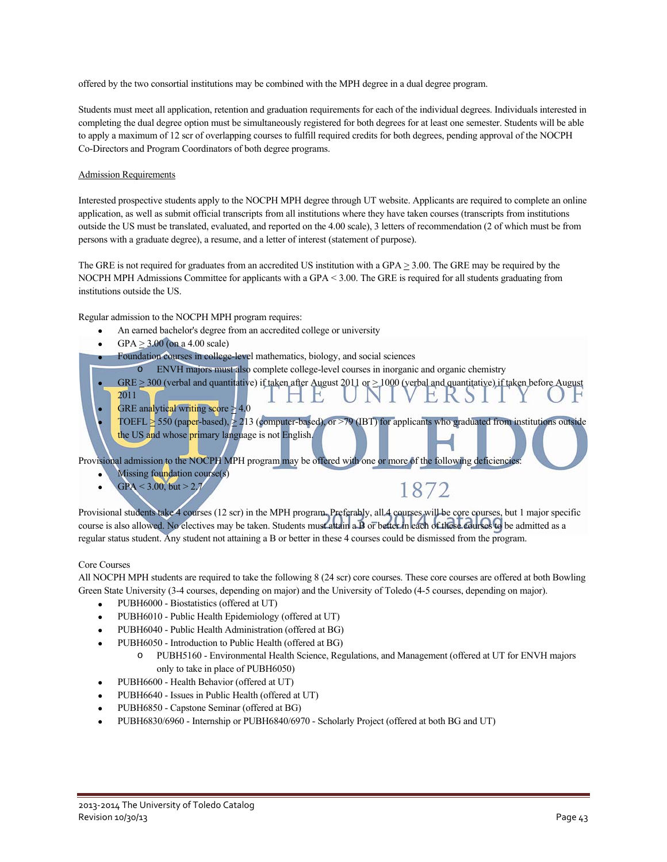offered by the two consortial institutions may be combined with the MPH degree in a dual degree program.

Students must meet all application, retention and graduation requirements for each of the individual degrees. Individuals interested in completing the dual degree option must be simultaneously registered for both degrees for at least one semester. Students will be able to apply a maximum of 12 scr of overlapping courses to fulfill required credits for both degrees, pending approval of the NOCPH Co-Directors and Program Coordinators of both degree programs.

#### Admission Requirements

Interested prospective students apply to the NOCPH MPH degree through UT website. Applicants are required to complete an online application, as well as submit official transcripts from all institutions where they have taken courses (transcripts from institutions outside the US must be translated, evaluated, and reported on the 4.00 scale), 3 letters of recommendation (2 of which must be from persons with a graduate degree), a resume, and a letter of interest (statement of purpose).

The GRE is not required for graduates from an accredited US institution with a GPA > 3.00. The GRE may be required by the NOCPH MPH Admissions Committee for applicants with a GPA < 3.00. The GRE is required for all students graduating from institutions outside the US.

Regular admission to the NOCPH MPH program requires:

- An earned bachelor's degree from an accredited college or university
- GPA  $\geq$  3.00 (on a 4.00 scale)

Foundation courses in college-level mathematics, biology, and social sciences

- o ENVH majors must also complete college-level courses in inorganic and organic chemistry
- GRE  $\geq$  300 (verbal and quantitative) if taken after August 2011 or  $\geq$  1000 (verbal and quantitative) if taken before August 2011
- GRE analytical writing score  $\geq 4.0$
- TOEFL  $\geq$  550 (paper-based),  $\geq$  213 (computer-based), or  $\geq$  79 (IBT) for applicants who graduated from institutions outside the US and whose primary language is not English.

Provisional admission to the NOCPH MPH program may be offered with one or more of the following deficiencies:

- Missing foundation course(s)
- $GPA < 3.00$ , but  $> 2.7$

1872

Provisional students take 4 courses (12 scr) in the MPH program. Preferably, all 4 courses will be core courses, but 1 major specific course is also allowed. No electives may be taken. Students must attain a B or better in each of these courses to be admitted as a regular status student. Any student not attaining a B or better in these 4 courses could be dismissed from the program.

#### Core Courses

All NOCPH MPH students are required to take the following 8 (24 scr) core courses. These core courses are offered at both Bowling Green State University (3-4 courses, depending on major) and the University of Toledo (4-5 courses, depending on major).

- PUBH6000 Biostatistics (offered at UT)
- PUBH6010 Public Health Epidemiology (offered at UT)
- PUBH6040 Public Health Administration (offered at BG)
- PUBH6050 Introduction to Public Health (offered at BG)
	- o PUBH5160 Environmental Health Science, Regulations, and Management (offered at UT for ENVH majors only to take in place of PUBH6050)
- PUBH6600 Health Behavior (offered at UT)
- PUBH6640 Issues in Public Health (offered at UT)
- PUBH6850 Capstone Seminar (offered at BG)
- PUBH6830/6960 Internship or PUBH6840/6970 Scholarly Project (offered at both BG and UT)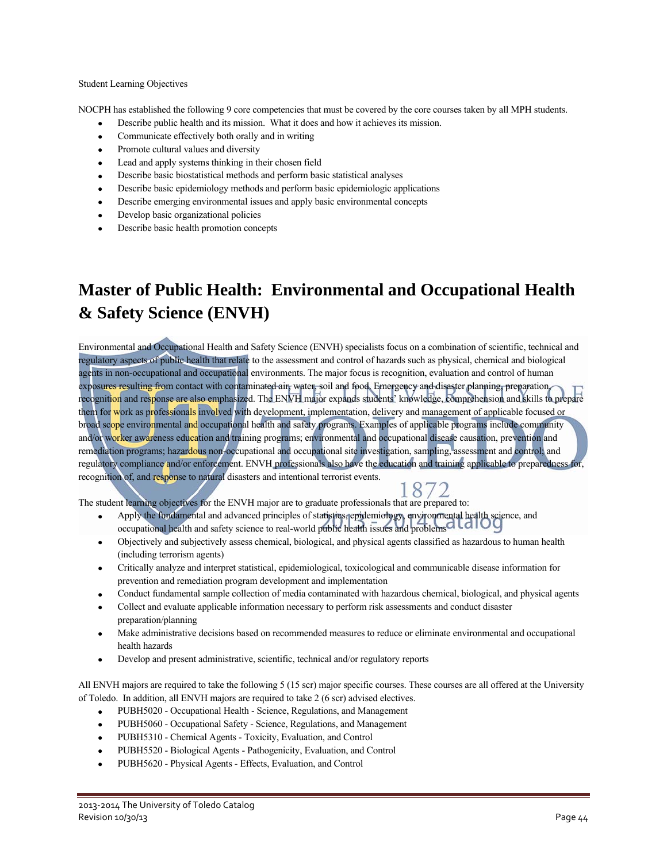#### Student Learning Objectives

NOCPH has established the following 9 core competencies that must be covered by the core courses taken by all MPH students.

- Describe public health and its mission. What it does and how it achieves its mission.
- Communicate effectively both orally and in writing
- Promote cultural values and diversity
- Lead and apply systems thinking in their chosen field
- Describe basic biostatistical methods and perform basic statistical analyses
- Describe basic epidemiology methods and perform basic epidemiologic applications
- Describe emerging environmental issues and apply basic environmental concepts
- Develop basic organizational policies
- Describe basic health promotion concepts

### **Master of Public Health: Environmental and Occupational Health & Safety Science (ENVH)**

Environmental and Occupational Health and Safety Science (ENVH) specialists focus on a combination of scientific, technical and regulatory aspects of public health that relate to the assessment and control of hazards such as physical, chemical and biological agents in non-occupational and occupational environments. The major focus is recognition, evaluation and control of human exposures resulting from contact with contaminated air, water, soil and food. Emergency and disaster planning, preparation, recognition and response are also emphasized. The ENVH major expands students' knowledge, comprehension and skills to prepare them for work as professionals involved with development, implementation, delivery and management of applicable focused or broad scope environmental and occupational health and safety programs. Examples of applicable programs include community and/or worker awareness education and training programs; environmental and occupational disease causation, prevention and remediation programs; hazardous non-occupational and occupational site investigation, sampling, assessment and control; and regulatory compliance and/or enforcement. ENVH professionals also have the education and training applicable to preparedness for, recognition of, and response to natural disasters and intentional terrorist events.

1872 The student learning objectives for the ENVH major are to graduate professionals that are prepared to:

- Apply the fundamental and advanced principles of statistics, epidemiology, environmental health science, and occupational health and safety science to real-world public health issues and problems<sup>CILCIL</sup>
- Objectively and subjectively assess chemical, biological, and physical agents classified as hazardous to human health (including terrorism agents)
- Critically analyze and interpret statistical, epidemiological, toxicological and communicable disease information for prevention and remediation program development and implementation
- Conduct fundamental sample collection of media contaminated with hazardous chemical, biological, and physical agents
- Collect and evaluate applicable information necessary to perform risk assessments and conduct disaster preparation/planning
- Make administrative decisions based on recommended measures to reduce or eliminate environmental and occupational health hazards
- Develop and present administrative, scientific, technical and/or regulatory reports

All ENVH majors are required to take the following 5 (15 scr) major specific courses. These courses are all offered at the University of Toledo. In addition, all ENVH majors are required to take 2 (6 scr) advised electives.

- PUBH5020 Occupational Health Science, Regulations, and Management
- PUBH5060 Occupational Safety Science, Regulations, and Management
- PUBH5310 Chemical Agents Toxicity, Evaluation, and Control
- PUBH5520 Biological Agents Pathogenicity, Evaluation, and Control
- PUBH5620 Physical Agents Effects, Evaluation, and Control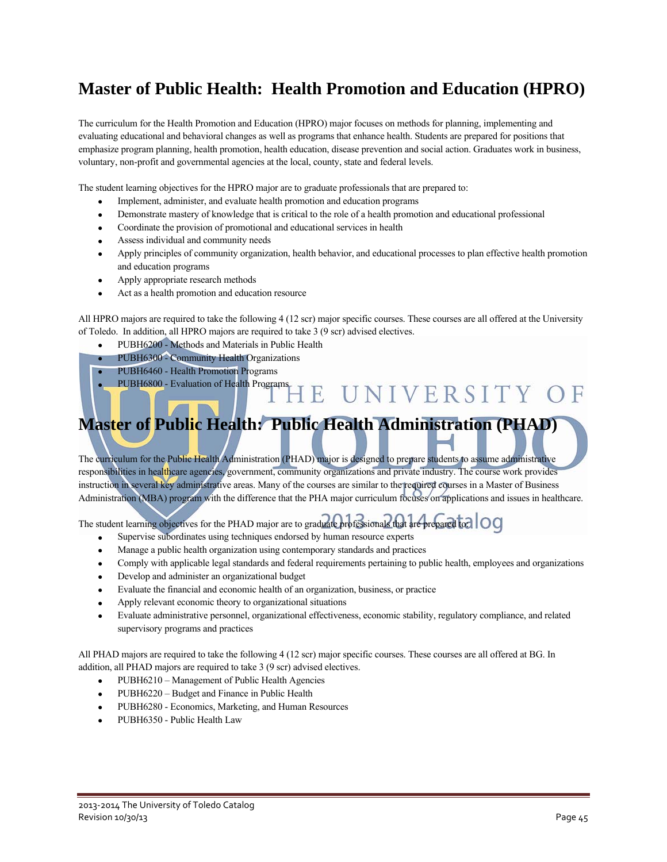### **Master of Public Health: Health Promotion and Education (HPRO)**

The curriculum for the Health Promotion and Education (HPRO) major focuses on methods for planning, implementing and evaluating educational and behavioral changes as well as programs that enhance health. Students are prepared for positions that emphasize program planning, health promotion, health education, disease prevention and social action. Graduates work in business, voluntary, non-profit and governmental agencies at the local, county, state and federal levels.

The student learning objectives for the HPRO major are to graduate professionals that are prepared to:

- Implement, administer, and evaluate health promotion and education programs
- Demonstrate mastery of knowledge that is critical to the role of a health promotion and educational professional
- Coordinate the provision of promotional and educational services in health
- Assess individual and community needs
- Apply principles of community organization, health behavior, and educational processes to plan effective health promotion and education programs
- Apply appropriate research methods
- Act as a health promotion and education resource

All HPRO majors are required to take the following 4 (12 scr) major specific courses. These courses are all offered at the University of Toledo. In addition, all HPRO majors are required to take 3 (9 scr) advised electives.

- PUBH6200 Methods and Materials in Public Health
- PUBH6300 Community Health Organizations
- PUBH6460 Health Promotion Programs
- PUBH6800 Evaluation of Health Programs

## **Master of Public Health: Public Health Administration (PHAD)**

ΗE

UNIVERSITY OF

The curriculum for the Public Health Administration (PHAD) major is designed to prepare students to assume administrative responsibilities in healthcare agencies, government, community organizations and private industry. The course work provides instruction in several key administrative areas. Many of the courses are similar to the required courses in a Master of Business Administration (MBA) program with the difference that the PHA major curriculum focuses on applications and issues in healthcare.

The student learning objectives for the PHAD major are to graduate professionals that are prepared to:

- Supervise subordinates using techniques endorsed by human resource experts
- Manage a public health organization using contemporary standards and practices
- Comply with applicable legal standards and federal requirements pertaining to public health, employees and organizations
- Develop and administer an organizational budget
- Evaluate the financial and economic health of an organization, business, or practice
- Apply relevant economic theory to organizational situations
- Evaluate administrative personnel, organizational effectiveness, economic stability, regulatory compliance, and related supervisory programs and practices

All PHAD majors are required to take the following 4 (12 scr) major specific courses. These courses are all offered at BG. In addition, all PHAD majors are required to take 3 (9 scr) advised electives.

- PUBH6210 Management of Public Health Agencies
- PUBH6220 Budget and Finance in Public Health
- PUBH6280 Economics, Marketing, and Human Resources
- PUBH6350 Public Health Law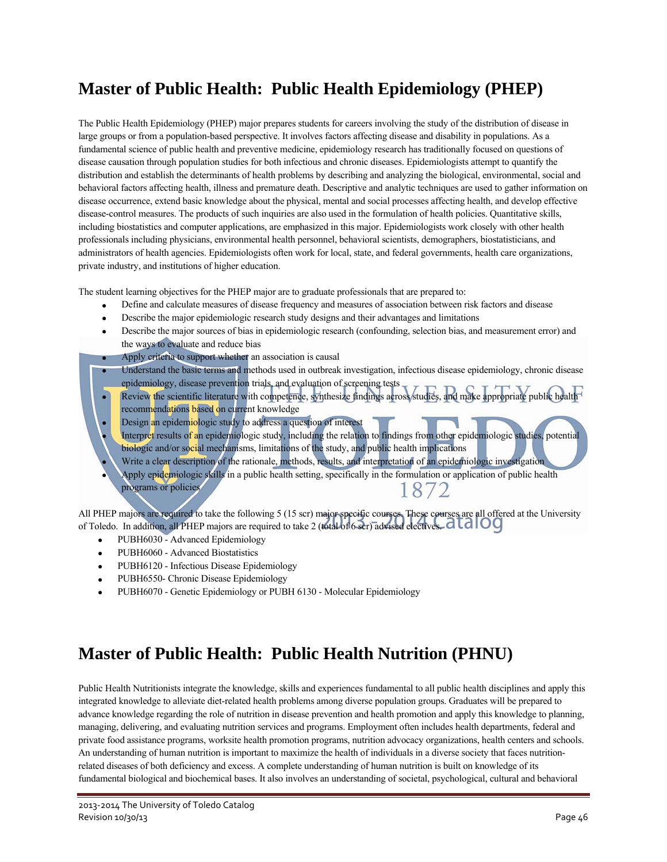### **Master of Public Health: Public Health Epidemiology (PHEP)**

The Public Health Epidemiology (PHEP) major prepares students for careers involving the study of the distribution of disease in large groups or from a population-based perspective. It involves factors affecting disease and disability in populations. As a fundamental science of public health and preventive medicine, epidemiology research has traditionally focused on questions of disease causation through population studies for both infectious and chronic diseases. Epidemiologists attempt to quantify the distribution and establish the determinants of health problems by describing and analyzing the biological, environmental, social and behavioral factors affecting health, illness and premature death. Descriptive and analytic techniques are used to gather information on disease occurrence, extend basic knowledge about the physical, mental and social processes affecting health, and develop effective disease-control measures. The products of such inquiries are also used in the formulation of health policies. Quantitative skills, including biostatistics and computer applications, are emphasized in this major. Epidemiologists work closely with other health professionals including physicians, environmental health personnel, behavioral scientists, demographers, biostatisticians, and administrators of health agencies. Epidemiologists often work for local, state, and federal governments, health care organizations, private industry, and institutions of higher education.

The student learning objectives for the PHEP major are to graduate professionals that are prepared to:

- Define and calculate measures of disease frequency and measures of association between risk factors and disease
- Describe the major epidemiologic research study designs and their advantages and limitations
- Describe the major sources of bias in epidemiologic research (confounding, selection bias, and measurement error) and the ways to evaluate and reduce bias
- Apply criteria to support whether an association is causal
- Understand the basic terms and methods used in outbreak investigation, infectious disease epidemiology, chronic disease epidemiology, disease prevention trials, and evaluation of screening tests
- Review the scientific literature with competence, synthesize findings across studies, and make appropriate public health recommendations based on current knowledge
- Design an epidemiologic study to address a question of interest
- Interpret results of an epidemiologic study, including the relation to findings from other epidemiologic studies, potential biologic and/or social mechanisms, limitations of the study, and public health implications Write a clear description of the rationale, methods, results, and interpretation of an epidemiologic investigation
- Apply epidemiologic skills in a public health setting, specifically in the formulation or application of public health programs or policies 1872

All PHEP majors are required to take the following 5 (15 scr) major specific courses. These courses are all offered at the University of Toledo. In addition, all PHEP majors are required to take 2 (total of 6 scr) advised electives.

- PUBH6030 Advanced Epidemiology
- PUBH6060 Advanced Biostatistics
- PUBH6120 Infectious Disease Epidemiology
- PUBH6550- Chronic Disease Epidemiology
- PUBH6070 Genetic Epidemiology or PUBH 6130 Molecular Epidemiology

### **Master of Public Health: Public Health Nutrition (PHNU)**

Public Health Nutritionists integrate the knowledge, skills and experiences fundamental to all public health disciplines and apply this integrated knowledge to alleviate diet-related health problems among diverse population groups. Graduates will be prepared to advance knowledge regarding the role of nutrition in disease prevention and health promotion and apply this knowledge to planning, managing, delivering, and evaluating nutrition services and programs. Employment often includes health departments, federal and private food assistance programs, worksite health promotion programs, nutrition advocacy organizations, health centers and schools. An understanding of human nutrition is important to maximize the health of individuals in a diverse society that faces nutritionrelated diseases of both deficiency and excess. A complete understanding of human nutrition is built on knowledge of its fundamental biological and biochemical bases. It also involves an understanding of societal, psychological, cultural and behavioral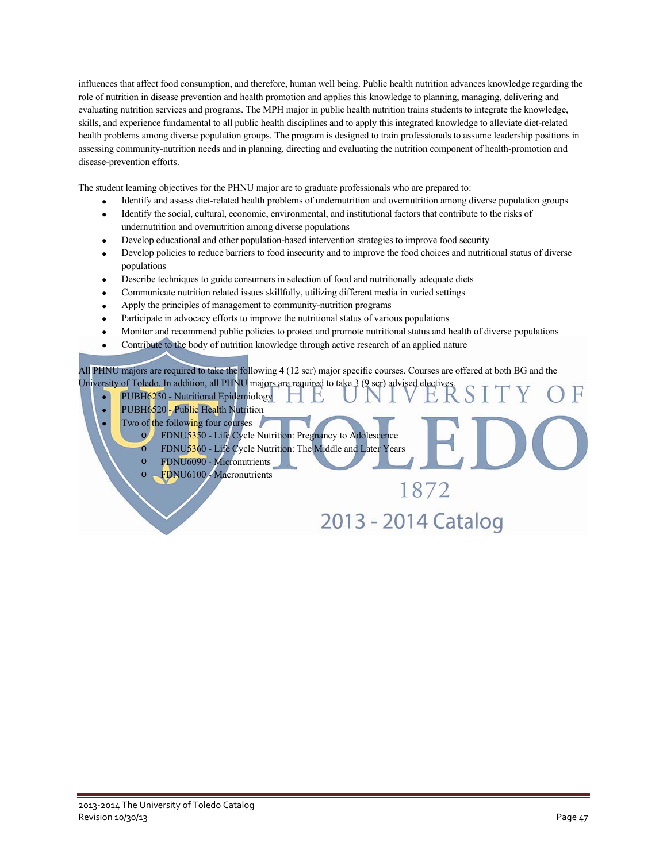influences that affect food consumption, and therefore, human well being. Public health nutrition advances knowledge regarding the role of nutrition in disease prevention and health promotion and applies this knowledge to planning, managing, delivering and evaluating nutrition services and programs. The MPH major in public health nutrition trains students to integrate the knowledge, skills, and experience fundamental to all public health disciplines and to apply this integrated knowledge to alleviate diet-related health problems among diverse population groups. The program is designed to train professionals to assume leadership positions in assessing community-nutrition needs and in planning, directing and evaluating the nutrition component of health-promotion and disease-prevention efforts.

The student learning objectives for the PHNU major are to graduate professionals who are prepared to:

- Identify and assess diet-related health problems of undernutrition and overnutrition among diverse population groups
- Identify the social, cultural, economic, environmental, and institutional factors that contribute to the risks of undernutrition and overnutrition among diverse populations
- Develop educational and other population-based intervention strategies to improve food security
- Develop policies to reduce barriers to food insecurity and to improve the food choices and nutritional status of diverse populations
- Describe techniques to guide consumers in selection of food and nutritionally adequate diets
- Communicate nutrition related issues skillfully, utilizing different media in varied settings
- Apply the principles of management to community-nutrition programs
- Participate in advocacy efforts to improve the nutritional status of various populations
- Monitor and recommend public policies to protect and promote nutritional status and health of diverse populations
- Contribute to the body of nutrition knowledge through active research of an applied nature

All PHNU majors are required to take the following 4 (12 scr) major specific courses. Courses are offered at both BG and the All PHNU majors are required to take the relief of the equired to take 3 (9 scr) advised electives.

E,

- PUBH6250 Nutritional Epidemiology
- PUBH6520 Public Health Nutrition
- Two of the following four courses
	- FDNU5350 Life Cycle Nutrition: Pregnancy to Adolescence
	- o FDNU5360 Life Cycle Nutrition: The Middle and Later Years
	- o FDNU6090 Micronutrients
		- FDNU6100 Macronutrients

2013 - 2014 Catalog

1872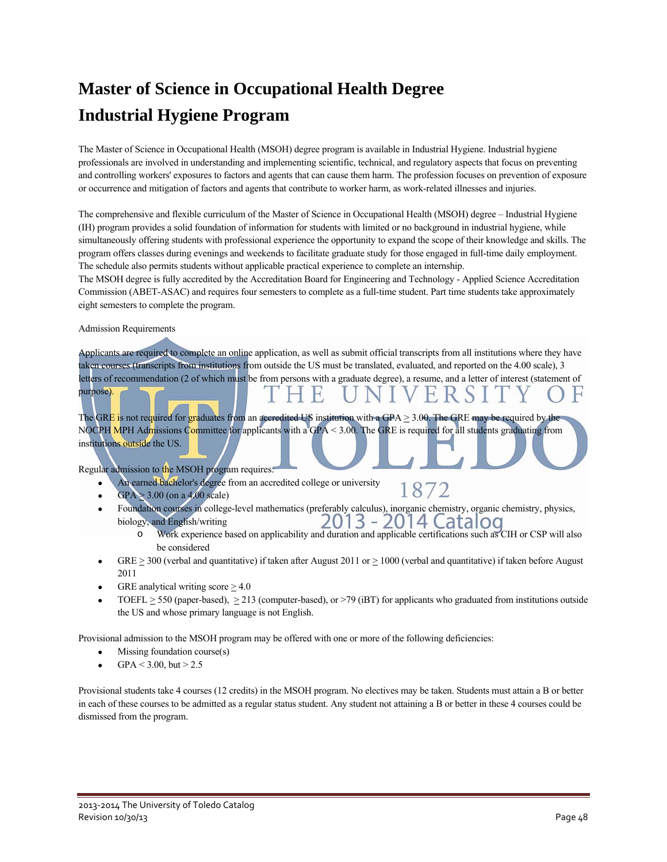# **Master of Science in Occupational Health Degree Industrial Hygiene Program**

The Master of Science in Occupational Health (MSOH) degree program is available in Industrial Hygiene. Industrial hygiene professionals are involved in understanding and implementing scientific, technical, and regulatory aspects that focus on preventing and controlling workers' exposures to factors and agents that can cause them harm. The profession focuses on prevention of exposure or occurrence and mitigation of factors and agents that contribute to worker harm, as work-related illnesses and injuries.

The comprehensive and flexible curriculum of the Master of Science in Occupational Health (MSOH) degree – Industrial Hygiene (IH) program provides a solid foundation of information for students with limited or no background in industrial hygiene, while simultaneously offering students with professional experience the opportunity to expand the scope of their knowledge and skills. The program offers classes during evenings and weekends to facilitate graduate study for those engaged in full-time daily employment. The schedule also permits students without applicable practical experience to complete an internship.

The MSOH degree is fully accredited by the Accreditation Board for Engineering and Technology - Applied Science Accreditation Commission (ABET-ASAC) and requires four semesters to complete as a full-time student. Part time students take approximately eight semesters to complete the program.

Admission Requirements

purpose).

Applicants are required to complete an online application, as well as submit official transcripts from all institutions where they have taken courses (transcripts from institutions from outside the US must be translated, evaluated, and reported on the 4.00 scale), 3 letters of recommendation (2 of which must be from persons with a graduate degree), a resume, and a letter of interest (statement of

The GRE is not required for graduates from an accredited US institution with a GPA  $\geq$  3.00. The GRE may be required by the NOCPH MPH Admissions Committee for applicants with a GPA  $< 3.00$ . The GRE is required for all students graduating from institutions outside the US.

Regular admission to the MSOH program requires:

- An earned bachelor's degree from an accredited college or university 1872
- $GPA$   $> 3.00$  (on a 4.00 scale)
- Foundation courses in college-level mathematics (preferably calculus), inorganic chemistry, organic chemistry, physics, 2013 - 2014 Catalog biology, and English/writing
	- o Work experience based on applicability and duration and applicable certifications such as CIH or CSP will also be considered
- GRE  $\geq$  300 (verbal and quantitative) if taken after August 2011 or  $\geq$  1000 (verbal and quantitative) if taken before August 2011
- GRE analytical writing score  $\geq 4.0$
- TOEFL  $\geq$  550 (paper-based),  $\geq$  213 (computer-based), or >79 (iBT) for applicants who graduated from institutions outside the US and whose primary language is not English.

Provisional admission to the MSOH program may be offered with one or more of the following deficiencies:

- Missing foundation course(s)
- $GPA < 3.00$ , but  $> 2.5$

Provisional students take 4 courses (12 credits) in the MSOH program. No electives may be taken. Students must attain a B or better in each of these courses to be admitted as a regular status student. Any student not attaining a B or better in these 4 courses could be dismissed from the program.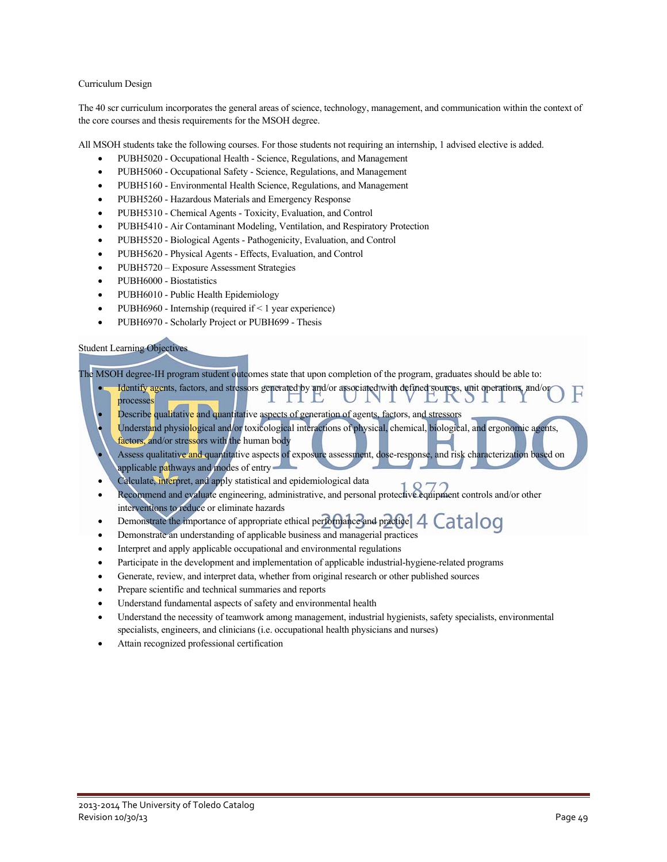#### Curriculum Design

The 40 scr curriculum incorporates the general areas of science, technology, management, and communication within the context of the core courses and thesis requirements for the MSOH degree.

All MSOH students take the following courses. For those students not requiring an internship, 1 advised elective is added.

- PUBH5020 Occupational Health Science, Regulations, and Management
- PUBH5060 Occupational Safety Science, Regulations, and Management
- PUBH5160 Environmental Health Science, Regulations, and Management
- PUBH5260 Hazardous Materials and Emergency Response
- PUBH5310 Chemical Agents Toxicity, Evaluation, and Control
- PUBH5410 Air Contaminant Modeling, Ventilation, and Respiratory Protection
- PUBH5520 Biological Agents Pathogenicity, Evaluation, and Control
- PUBH5620 Physical Agents Effects, Evaluation, and Control
- PUBH5720 Exposure Assessment Strategies
- PUBH6000 Biostatistics
- PUBH6010 Public Health Epidemiology
- PUBH6960 Internship (required if  $\leq 1$  year experience)
- PUBH6970 Scholarly Project or PUBH699 Thesis

#### Student Learning Objectives

The MSOH degree-IH program student outcomes state that upon completion of the program, graduates should be able to:

- Identify agents, factors, and stressors generated by and/or associated with defined sources, unit operations, and/or F. processes L N O
- Describe qualitative and quantitative aspects of generation of agents, factors, and stressors
- Understand physiological and/or toxicological interactions of physical, chemical, biological, and ergonomic agents, factors, and/or stressors with the human body
- Assess qualitative and quantitative aspects of exposure assessment, dose-response, and risk characterization based on applicable pathways and modes of entry-
- Calculate, interpret, and apply statistical and epidemiological data
- Recommend and evaluate engineering, administrative, and personal protective equipment controls and/or other interventions to reduce or eliminate hazards
- $\blacksquare$  Demonstrate the importance of appropriate ethical performance and practice  $4$  Catalog
- Demonstrate an understanding of applicable business and managerial practices
- Interpret and apply applicable occupational and environmental regulations
- Participate in the development and implementation of applicable industrial-hygiene-related programs
- Generate, review, and interpret data, whether from original research or other published sources
- Prepare scientific and technical summaries and reports
- Understand fundamental aspects of safety and environmental health
- Understand the necessity of teamwork among management, industrial hygienists, safety specialists, environmental specialists, engineers, and clinicians (i.e. occupational health physicians and nurses)
- Attain recognized professional certification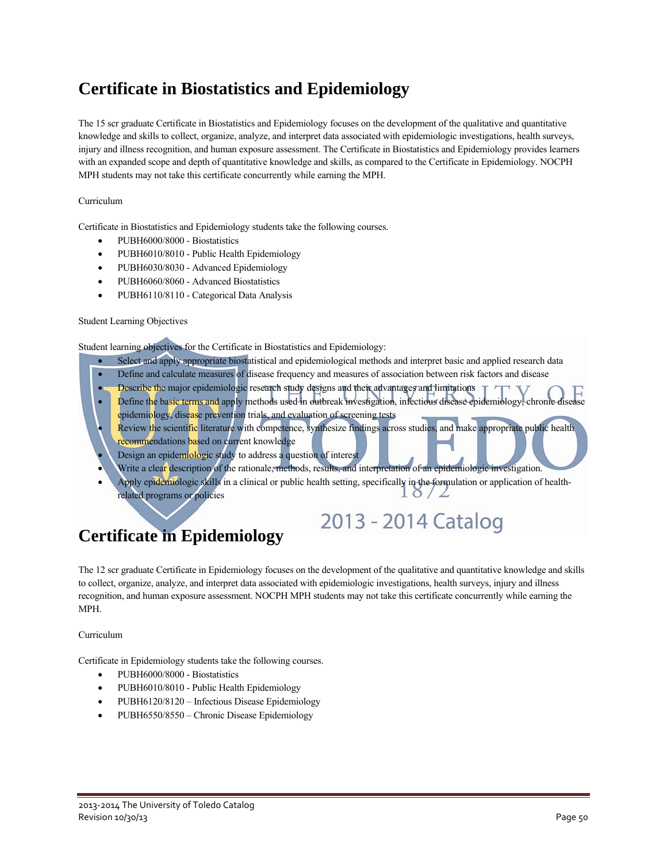### **Certificate in Biostatistics and Epidemiology**

The 15 scr graduate Certificate in Biostatistics and Epidemiology focuses on the development of the qualitative and quantitative knowledge and skills to collect, organize, analyze, and interpret data associated with epidemiologic investigations, health surveys, injury and illness recognition, and human exposure assessment. The Certificate in Biostatistics and Epidemiology provides learners with an expanded scope and depth of quantitative knowledge and skills, as compared to the Certificate in Epidemiology. NOCPH MPH students may not take this certificate concurrently while earning the MPH.

#### Curriculum

Certificate in Biostatistics and Epidemiology students take the following courses.

- PUBH6000/8000 Biostatistics
- PUBH6010/8010 Public Health Epidemiology
- PUBH6030/8030 Advanced Epidemiology
- PUBH6060/8060 Advanced Biostatistics
- PUBH6110/8110 Categorical Data Analysis

#### Student Learning Objectives

Student learning objectives for the Certificate in Biostatistics and Epidemiology:

- Select and apply appropriate biostatistical and epidemiological methods and interpret basic and applied research data
- Define and calculate measures of disease frequency and measures of association between risk factors and disease
- Describe the major epidemiologic research study designs and their advantages and limitations
- Define the basic terms and apply methods used in outbreak investigation, infectious disease epidemiology, chronic disease epidemiology, disease prevention trials, and evaluation of screening tests
- Review the scientific literature with competence, synthesize findings across studies, and make appropriate public health recommendations based on current knowledge
- Design an epidemiologic study to address a question of interest
- Write a clear description of the rationale, methods, results, and interpretation of an epidemiologic investigation.
- Apply epidemiologic skills in a clinical or public health setting, specifically in the formulation or application of healthrelated programs or policies

2013 - 2014 Catalog

### **Certificate in Epidemiology**

The 12 scr graduate Certificate in Epidemiology focuses on the development of the qualitative and quantitative knowledge and skills to collect, organize, analyze, and interpret data associated with epidemiologic investigations, health surveys, injury and illness recognition, and human exposure assessment. NOCPH MPH students may not take this certificate concurrently while earning the MPH.

#### Curriculum

Certificate in Epidemiology students take the following courses.

- PUBH6000/8000 Biostatistics
- PUBH6010/8010 Public Health Epidemiology
- PUBH6120/8120 Infectious Disease Epidemiology
- PUBH6550/8550 Chronic Disease Epidemiology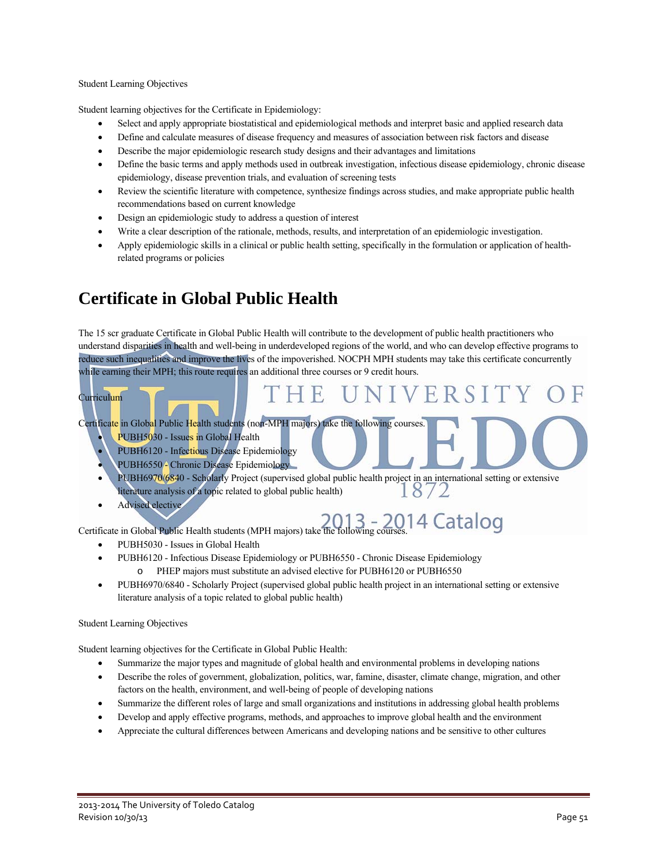#### Student Learning Objectives

Student learning objectives for the Certificate in Epidemiology:

- Select and apply appropriate biostatistical and epidemiological methods and interpret basic and applied research data
- Define and calculate measures of disease frequency and measures of association between risk factors and disease
- Describe the major epidemiologic research study designs and their advantages and limitations
- Define the basic terms and apply methods used in outbreak investigation, infectious disease epidemiology, chronic disease epidemiology, disease prevention trials, and evaluation of screening tests
- Review the scientific literature with competence, synthesize findings across studies, and make appropriate public health recommendations based on current knowledge
- Design an epidemiologic study to address a question of interest
- Write a clear description of the rationale, methods, results, and interpretation of an epidemiologic investigation.
- Apply epidemiologic skills in a clinical or public health setting, specifically in the formulation or application of healthrelated programs or policies

### **Certificate in Global Public Health**

The 15 scr graduate Certificate in Global Public Health will contribute to the development of public health practitioners who understand disparities in health and well-being in underdeveloped regions of the world, and who can develop effective programs to reduce such inequalities and improve the lives of the impoverished. NOCPH MPH students may take this certificate concurrently while earning their MPH; this route requires an additional three courses or 9 credit hours.

H E.

#### Curriculum

Certificate in Global Public Health students (non-MPH majors) take the following courses.

- PUBH5030 Issues in Global Health
- PUBH6120 Infectious Disease Epidemiology
- PUBH6550 Chronic Disease Epidemiology
- PUBH6970/6840 Scholarly Project (supervised global public health project in an international setting or extensive literature analysis of a topic related to global public health)
- Advised elective

Certificate in Global Public Health students (MPH majors) take the following courses.<sup>14</sup> Catalog

UNIVERSIT

- PUBH5030 Issues in Global Health
- PUBH6120 Infectious Disease Epidemiology or PUBH6550 Chronic Disease Epidemiology o PHEP majors must substitute an advised elective for PUBH6120 or PUBH6550
- PUBH6970/6840 Scholarly Project (supervised global public health project in an international setting or extensive literature analysis of a topic related to global public health)

#### Student Learning Objectives

Student learning objectives for the Certificate in Global Public Health:

- Summarize the major types and magnitude of global health and environmental problems in developing nations
- Describe the roles of government, globalization, politics, war, famine, disaster, climate change, migration, and other factors on the health, environment, and well-being of people of developing nations
- Summarize the different roles of large and small organizations and institutions in addressing global health problems
- Develop and apply effective programs, methods, and approaches to improve global health and the environment
- Appreciate the cultural differences between Americans and developing nations and be sensitive to other cultures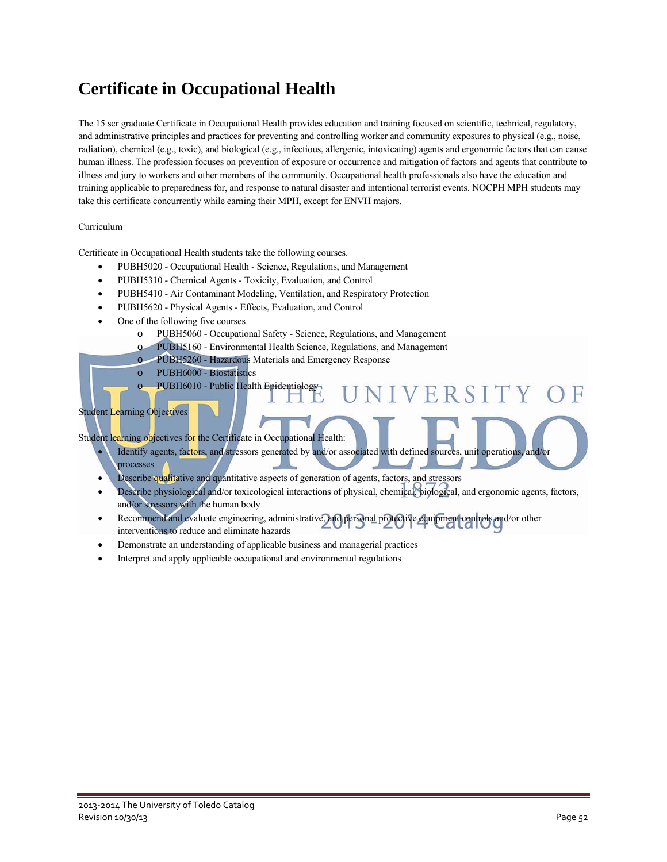### **Certificate in Occupational Health**

The 15 scr graduate Certificate in Occupational Health provides education and training focused on scientific, technical, regulatory, and administrative principles and practices for preventing and controlling worker and community exposures to physical (e.g., noise, radiation), chemical (e.g., toxic), and biological (e.g., infectious, allergenic, intoxicating) agents and ergonomic factors that can cause human illness. The profession focuses on prevention of exposure or occurrence and mitigation of factors and agents that contribute to illness and jury to workers and other members of the community. Occupational health professionals also have the education and training applicable to preparedness for, and response to natural disaster and intentional terrorist events. NOCPH MPH students may take this certificate concurrently while earning their MPH, except for ENVH majors.

#### Curriculum

Certificate in Occupational Health students take the following courses.

- PUBH5020 Occupational Health Science, Regulations, and Management
- PUBH5310 Chemical Agents Toxicity, Evaluation, and Control
- PUBH5410 Air Contaminant Modeling, Ventilation, and Respiratory Protection
- PUBH5620 Physical Agents Effects, Evaluation, and Control
- One of the following five courses
	- o PUBH5060 Occupational Safety Science, Regulations, and Management
	- o PUBH5160 Environmental Health Science, Regulations, and Management
	- o PUBH5260 Hazardous Materials and Emergency Response
	- o PUBH6000 Biostatistics
	- o PUBH6010 Public Health Epidemiology

### Student Learning Objectives

Student learning objectives for the Certificate in Occupational Health:

- Identify agents, factors, and stressors generated by and/or associated with defined sources, unit operations, and/or processes
- Describe qualitative and quantitative aspects of generation of agents, factors, and stressors
- Describe physiological and/or toxicological interactions of physical, chemical, biological, and ergonomic agents, factors, and/or stressors with the human body

VIVERSITY

- Recommend and evaluate engineering, administrative, and personal protective equipment controls and/or other interventions to reduce and eliminate hazards
- Demonstrate an understanding of applicable business and managerial practices
- Interpret and apply applicable occupational and environmental regulations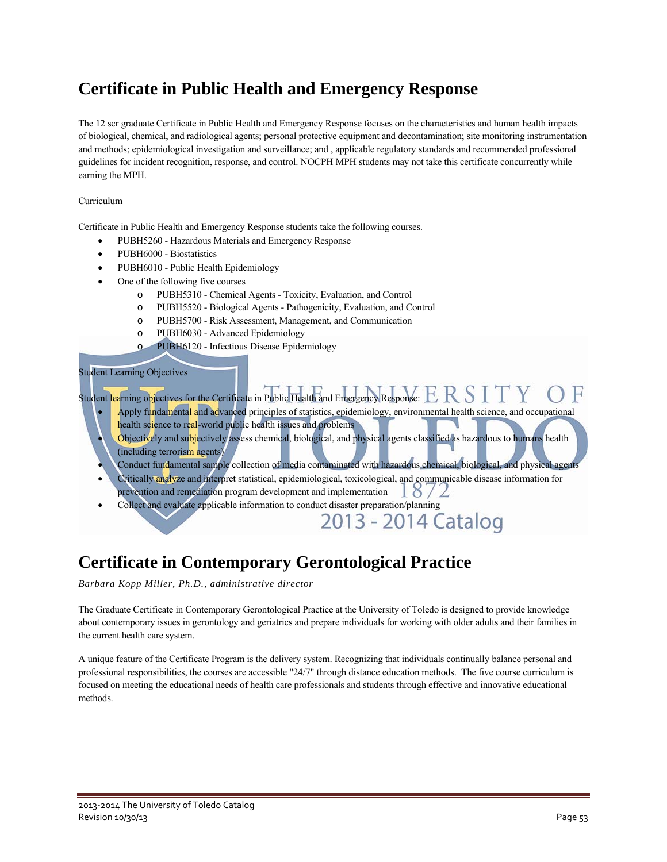### **Certificate in Public Health and Emergency Response**

The 12 scr graduate Certificate in Public Health and Emergency Response focuses on the characteristics and human health impacts of biological, chemical, and radiological agents; personal protective equipment and decontamination; site monitoring instrumentation and methods; epidemiological investigation and surveillance; and , applicable regulatory standards and recommended professional guidelines for incident recognition, response, and control. NOCPH MPH students may not take this certificate concurrently while earning the MPH.

#### Curriculum

Certificate in Public Health and Emergency Response students take the following courses.

- PUBH5260 Hazardous Materials and Emergency Response
- PUBH6000 Biostatistics
- PUBH6010 Public Health Epidemiology
- One of the following five courses
	- o PUBH5310 Chemical Agents Toxicity, Evaluation, and Control
	- o PUBH5520 Biological Agents Pathogenicity, Evaluation, and Control
	- o PUBH5700 Risk Assessment, Management, and Communication
	- o PUBH6030 Advanced Epidemiology
	- o PUBH6120 Infectious Disease Epidemiology

#### Student Learning Objectives

Student learning objectives for the Certificate in Public Health and Emergency Response:  ${\rm E}$ 

- Apply fundamental and advanced principles of statistics, epidemiology, environmental health science, and occupational health science to real-world public health issues and problems
- Objectively and subjectively assess chemical, biological, and physical agents classified as hazardous to humans health (including terrorism agents)
- Conduct fundamental sample collection of media contaminated with hazardous chemical, biological, and physical agents
- Critically analyze and interpret statistical, epidemiological, toxicological, and communicable disease information for prevention and remediation program development and implementation  $\frac{18}{2}$
- Collect and evaluate applicable information to conduct disaster preparation/planning<br>2013 2014 Catalog

### **Certificate in Contemporary Gerontological Practice**

*Barbara Kopp Miller, Ph.D., administrative director* 

The Graduate Certificate in Contemporary Gerontological Practice at the University of Toledo is designed to provide knowledge about contemporary issues in gerontology and geriatrics and prepare individuals for working with older adults and their families in the current health care system.

A unique feature of the Certificate Program is the delivery system. Recognizing that individuals continually balance personal and professional responsibilities, the courses are accessible "24/7" through distance education methods. The five course curriculum is focused on meeting the educational needs of health care professionals and students through effective and innovative educational methods.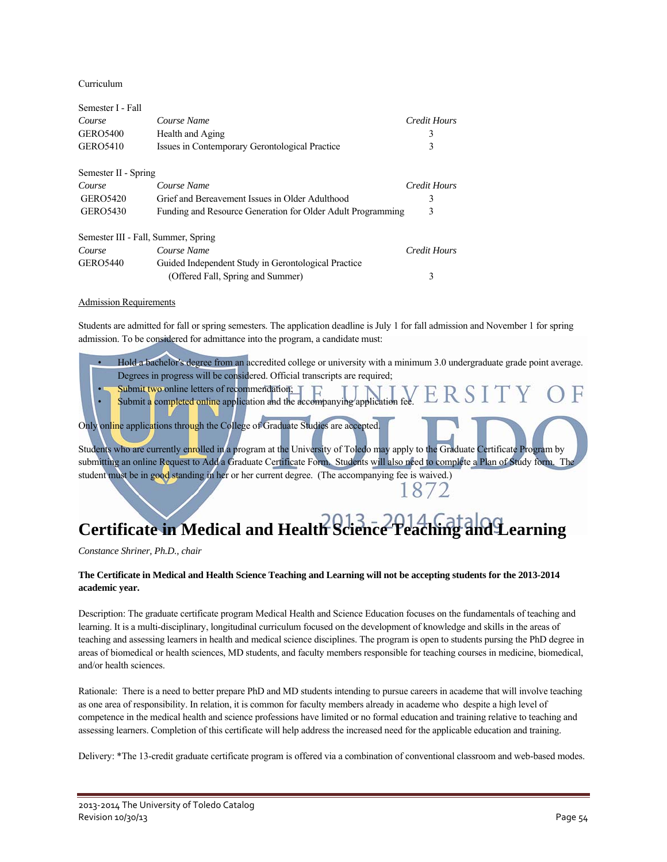Curriculum

| Semester I - Fall                   |                                                             |              |
|-------------------------------------|-------------------------------------------------------------|--------------|
| Course                              | Course Name                                                 | Credit Hours |
| <b>GERO5400</b>                     | Health and Aging                                            | 3            |
| <b>GERO5410</b>                     | Issues in Contemporary Gerontological Practice              | 3            |
| Semester II - Spring                |                                                             |              |
| Course                              | Course Name                                                 | Credit Hours |
| <b>GERO5420</b>                     | Grief and Bereavement Issues in Older Adulthood             | 3            |
| GERO5430                            | Funding and Resource Generation for Older Adult Programming | 3            |
| Semester III - Fall, Summer, Spring |                                                             |              |
| Course                              | Course Name                                                 | Credit Hours |
| <b>GERO5440</b>                     | Guided Independent Study in Gerontological Practice         |              |
|                                     | (Offered Fall, Spring and Summer)                           | 3            |

#### Admission Requirements

Students are admitted for fall or spring semesters. The application deadline is July 1 for fall admission and November 1 for spring admission. To be considered for admittance into the program, a candidate must:

- Hold a bachelor's degree from an accredited college or university with a minimum 3.0 undergraduate grade point average. Degrees in progress will be considered. Official transcripts are required;
- Submit two online letters of recommendation;
- ERS Submit a completed online application and the accompanying application

Only online applications through the College of Graduate Studies are accepted.

Students who are currently enrolled in a program at the University of Toledo may apply to the Graduate Certificate Program by submitting an online Request to Add a Graduate Certificate Form. Students will also need to complete a Plan of Study form. The student must be in good standing in her or her current degree. (The accompanying fee is waived.)

# **Certificate in Medical and Health Science Teaching and Learning**

*Constance Shriner, Ph.D., chair* 

#### **The Certificate in Medical and Health Science Teaching and Learning will not be accepting students for the 2013-2014 academic year.**

Description: The graduate certificate program Medical Health and Science Education focuses on the fundamentals of teaching and learning. It is a multi-disciplinary, longitudinal curriculum focused on the development of knowledge and skills in the areas of teaching and assessing learners in health and medical science disciplines. The program is open to students pursing the PhD degree in areas of biomedical or health sciences, MD students, and faculty members responsible for teaching courses in medicine, biomedical, and/or health sciences.

Rationale: There is a need to better prepare PhD and MD students intending to pursue careers in academe that will involve teaching as one area of responsibility. In relation, it is common for faculty members already in academe who despite a high level of competence in the medical health and science professions have limited or no formal education and training relative to teaching and assessing learners. Completion of this certificate will help address the increased need for the applicable education and training.

Delivery: \*The 13-credit graduate certificate program is offered via a combination of conventional classroom and web-based modes.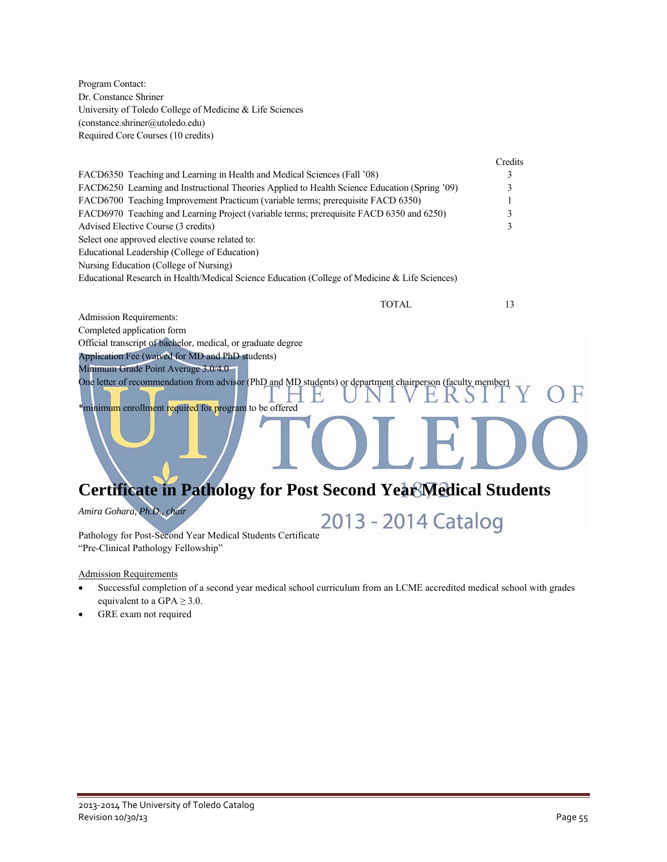Program Contact: Dr. Constance Shriner University of Toledo College of Medicine & Life Sciences (constance.shriner@utoledo.edu) Required Core Courses (10 credits)

|                                                                                                                                                                      | Credits |
|----------------------------------------------------------------------------------------------------------------------------------------------------------------------|---------|
| FACD6350 Teaching and Learning in Health and Medical Sciences (Fall '08)                                                                                             | 3       |
| FACD6250 Learning and Instructional Theories Applied to Health Science Education (Spring '09)                                                                        |         |
| FACD6700 Teaching Improvement Practicum (variable terms; prerequisite FACD 6350)                                                                                     |         |
| FACD6970 Teaching and Learning Project (variable terms; prerequisite FACD 6350 and 6250)                                                                             |         |
| Advised Elective Course (3 credits)                                                                                                                                  | 3       |
| Select one approved elective course related to:                                                                                                                      |         |
| Educational Leadership (College of Education)                                                                                                                        |         |
| Nursing Education (College of Nursing)                                                                                                                               |         |
| Educational Research in Health/Medical Science Education (College of Medicine & Life Sciences)                                                                       |         |
| <b>TOTAL</b>                                                                                                                                                         | 13      |
| <b>Admission Requirements:</b>                                                                                                                                       |         |
| Completed application form                                                                                                                                           |         |
| Official transcript of bachelor, medical, or graduate degree                                                                                                         |         |
| Application Fee (waived for MD and PhD students)                                                                                                                     |         |
| Minimum Grade Point Average 3.0/4.0                                                                                                                                  |         |
| One letter of recommendation from advisor (PhD and MD students) or department chairperson (faculty member)<br>*minimum enrollment required for program to be offered |         |
|                                                                                                                                                                      |         |

# **Certificate in Pathology for Post Second Year Medical Students**

*Amira Gohara, Ph.D., chair* 

Amira Gohara, Ph.D., chair<br>Pathology for Post-Second Year Medical Students Certificate<br>Certificate

"Pre-Clinical Pathology Fellowship"

Admission Requirements

- Successful completion of a second year medical school curriculum from an LCME accredited medical school with grades equivalent to a GPA  $\geq$  3.0.
- GRE exam not required

OF